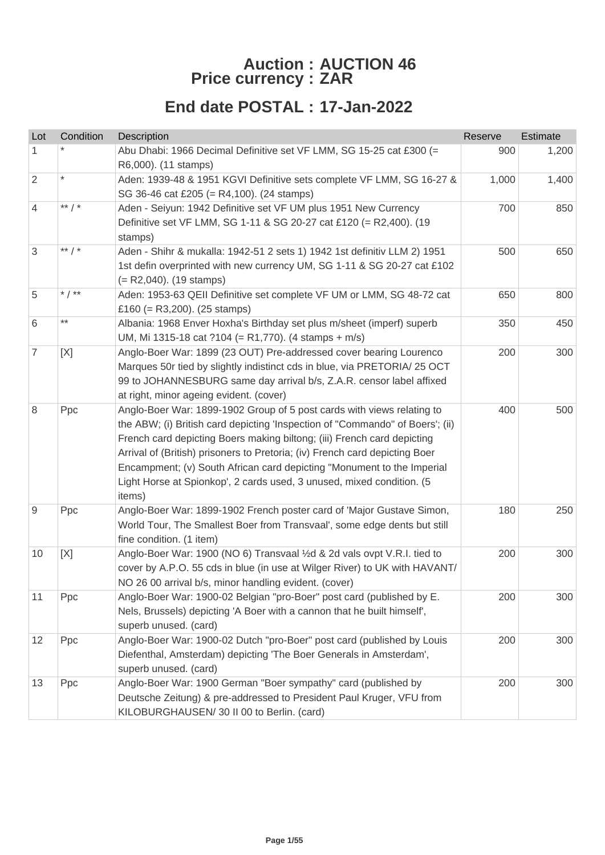## **Auction : AUCTION 46 Price currency : ZAR**

## **End date POSTAL : 17-Jan-2022**

| Lot            | Condition | Description                                                                                                                                                                                                                                                                                                                                                                                                                                                                    | Reserve | Estimate |
|----------------|-----------|--------------------------------------------------------------------------------------------------------------------------------------------------------------------------------------------------------------------------------------------------------------------------------------------------------------------------------------------------------------------------------------------------------------------------------------------------------------------------------|---------|----------|
| 1.             |           | Abu Dhabi: 1966 Decimal Definitive set VF LMM, SG 15-25 cat £300 (=<br>R6,000). (11 stamps)                                                                                                                                                                                                                                                                                                                                                                                    | 900     | 1,200    |
| $\overline{2}$ | $\star$   | Aden: 1939-48 & 1951 KGVI Definitive sets complete VF LMM, SG 16-27 &<br>SG 36-46 cat £205 (= R4,100). (24 stamps)                                                                                                                                                                                                                                                                                                                                                             | 1,000   | 1,400    |
| 4              | ** $/$ *  | Aden - Seiyun: 1942 Definitive set VF UM plus 1951 New Currency<br>Definitive set VF LMM, SG 1-11 & SG 20-27 cat £120 (= R2,400). (19<br>stamps)                                                                                                                                                                                                                                                                                                                               | 700     | 850      |
| 3              | ** $/$ *  | Aden - Shihr & mukalla: 1942-51 2 sets 1) 1942 1st definitiv LLM 2) 1951<br>1st defin overprinted with new currency UM, SG 1-11 & SG 20-27 cat £102<br>$(= R2,040)$ . (19 stamps)                                                                                                                                                                                                                                                                                              | 500     | 650      |
| 5              | * $/$ **  | Aden: 1953-63 QEII Definitive set complete VF UM or LMM, SG 48-72 cat<br>£160 (= R3,200). (25 stamps)                                                                                                                                                                                                                                                                                                                                                                          | 650     | 800      |
| 6              | $***$     | Albania: 1968 Enver Hoxha's Birthday set plus m/sheet (imperf) superb<br>UM, Mi 1315-18 cat ?104 (= R1,770). (4 stamps + m/s)                                                                                                                                                                                                                                                                                                                                                  | 350     | 450      |
| $\overline{7}$ | [X]       | Anglo-Boer War: 1899 (23 OUT) Pre-addressed cover bearing Lourenco<br>Marques 50r tied by slightly indistinct cds in blue, via PRETORIA/ 25 OCT<br>99 to JOHANNESBURG same day arrival b/s, Z.A.R. censor label affixed<br>at right, minor ageing evident. (cover)                                                                                                                                                                                                             | 200     | 300      |
| 8              | Ppc       | Anglo-Boer War: 1899-1902 Group of 5 post cards with views relating to<br>the ABW; (i) British card depicting 'Inspection of "Commando" of Boers'; (ii)<br>French card depicting Boers making biltong; (iii) French card depicting<br>Arrival of (British) prisoners to Pretoria; (iv) French card depicting Boer<br>Encampment; (v) South African card depicting "Monument to the Imperial<br>Light Horse at Spionkop', 2 cards used, 3 unused, mixed condition. (5<br>items) | 400     | 500      |
| 9              | Ppc       | Anglo-Boer War: 1899-1902 French poster card of 'Major Gustave Simon,<br>World Tour, The Smallest Boer from Transvaal', some edge dents but still<br>fine condition. (1 item)                                                                                                                                                                                                                                                                                                  | 180     | 250      |
| 10             | [X]       | Anglo-Boer War: 1900 (NO 6) Transvaal 1/2d & 2d vals ovpt V.R.I. tied to<br>cover by A.P.O. 55 cds in blue (in use at Wilger River) to UK with HAVANT/<br>NO 26 00 arrival b/s, minor handling evident. (cover)                                                                                                                                                                                                                                                                | 200     | 300      |
| 11             | Ppc       | Anglo-Boer War: 1900-02 Belgian "pro-Boer" post card (published by E.<br>Nels, Brussels) depicting 'A Boer with a cannon that he built himself',<br>superb unused. (card)                                                                                                                                                                                                                                                                                                      | 200     | 300      |
| 12             | Ppc       | Anglo-Boer War: 1900-02 Dutch "pro-Boer" post card (published by Louis<br>Diefenthal, Amsterdam) depicting 'The Boer Generals in Amsterdam',<br>superb unused. (card)                                                                                                                                                                                                                                                                                                          | 200     | 300      |
| 13             | Ppc       | Anglo-Boer War: 1900 German "Boer sympathy" card (published by<br>Deutsche Zeitung) & pre-addressed to President Paul Kruger, VFU from<br>KILOBURGHAUSEN/30 II 00 to Berlin. (card)                                                                                                                                                                                                                                                                                            | 200     | 300      |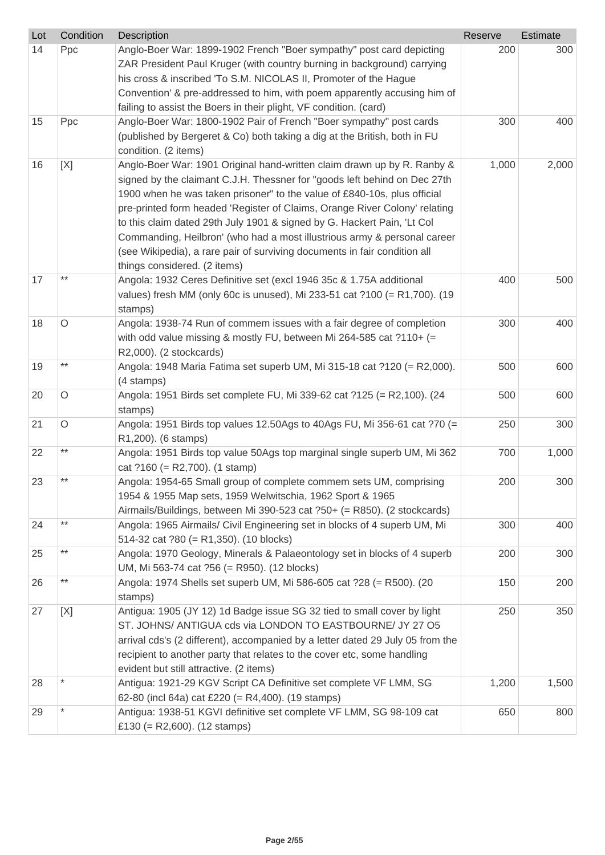| Lot | Condition       | Description                                                                                                                                                                                                                                                                                                                                                                                                                                                                                                                                                                        | Reserve | <b>Estimate</b> |
|-----|-----------------|------------------------------------------------------------------------------------------------------------------------------------------------------------------------------------------------------------------------------------------------------------------------------------------------------------------------------------------------------------------------------------------------------------------------------------------------------------------------------------------------------------------------------------------------------------------------------------|---------|-----------------|
| 14  | Ppc             | Anglo-Boer War: 1899-1902 French "Boer sympathy" post card depicting<br>ZAR President Paul Kruger (with country burning in background) carrying<br>his cross & inscribed 'To S.M. NICOLAS II, Promoter of the Hague<br>Convention' & pre-addressed to him, with poem apparently accusing him of                                                                                                                                                                                                                                                                                    | 200     | 300             |
|     |                 | failing to assist the Boers in their plight, VF condition. (card)                                                                                                                                                                                                                                                                                                                                                                                                                                                                                                                  |         |                 |
| 15  | Ppc             | Anglo-Boer War: 1800-1902 Pair of French "Boer sympathy" post cards<br>(published by Bergeret & Co) both taking a dig at the British, both in FU<br>condition. (2 items)                                                                                                                                                                                                                                                                                                                                                                                                           | 300     | 400             |
| 16  | [X]             | Anglo-Boer War: 1901 Original hand-written claim drawn up by R. Ranby &<br>signed by the claimant C.J.H. Thessner for "goods left behind on Dec 27th<br>1900 when he was taken prisoner" to the value of £840-10s, plus official<br>pre-printed form headed 'Register of Claims, Orange River Colony' relating<br>to this claim dated 29th July 1901 & signed by G. Hackert Pain, 'Lt Col<br>Commanding, Heilbron' (who had a most illustrious army & personal career<br>(see Wikipedia), a rare pair of surviving documents in fair condition all<br>things considered. (2 items) | 1,000   | 2,000           |
| 17  | $***$           | Angola: 1932 Ceres Definitive set (excl 1946 35c & 1.75A additional<br>values) fresh MM (only 60c is unused), Mi 233-51 cat ?100 (= R1,700). (19<br>stamps)                                                                                                                                                                                                                                                                                                                                                                                                                        | 400     | 500             |
| 18  | $\circ$         | Angola: 1938-74 Run of commem issues with a fair degree of completion<br>with odd value missing & mostly FU, between Mi 264-585 cat ?110+ (=<br>R2,000). (2 stockcards)                                                                                                                                                                                                                                                                                                                                                                                                            | 300     | 400             |
| 19  | $***$           | Angola: 1948 Maria Fatima set superb UM, Mi 315-18 cat ?120 (= R2,000).<br>(4 stamps)                                                                                                                                                                                                                                                                                                                                                                                                                                                                                              | 500     | 600             |
| 20  | O               | Angola: 1951 Birds set complete FU, Mi 339-62 cat ?125 (= R2,100). (24<br>stamps)                                                                                                                                                                                                                                                                                                                                                                                                                                                                                                  | 500     | 600             |
| 21  | O               | Angola: 1951 Birds top values 12.50Ags to 40Ags FU, Mi 356-61 cat ?70 (=<br>R1,200). (6 stamps)                                                                                                                                                                                                                                                                                                                                                                                                                                                                                    | 250     | 300             |
| 22  | $^{\star\star}$ | Angola: 1951 Birds top value 50Ags top marginal single superb UM, Mi 362<br>cat ?160 (= R2,700). (1 stamp)                                                                                                                                                                                                                                                                                                                                                                                                                                                                         | 700     | 1,000           |
| 23  | $***$           | Angola: 1954-65 Small group of complete commem sets UM, comprising<br>1954 & 1955 Map sets, 1959 Welwitschia, 1962 Sport & 1965<br>Airmails/Buildings, between Mi 390-523 cat ?50+ (= R850). (2 stockcards)                                                                                                                                                                                                                                                                                                                                                                        | 200     | 300             |
| 24  | $***$           | Angola: 1965 Airmails/ Civil Engineering set in blocks of 4 superb UM, Mi<br>514-32 cat $?80 (= R1,350)$ . (10 blocks)                                                                                                                                                                                                                                                                                                                                                                                                                                                             | 300     | 400             |
| 25  | $***$           | Angola: 1970 Geology, Minerals & Palaeontology set in blocks of 4 superb<br>UM, Mi 563-74 cat ?56 (= R950). (12 blocks)                                                                                                                                                                                                                                                                                                                                                                                                                                                            | 200     | 300             |
| 26  | $^{\star\star}$ | Angola: 1974 Shells set superb UM, Mi 586-605 cat ?28 (= R500). (20<br>stamps)                                                                                                                                                                                                                                                                                                                                                                                                                                                                                                     | 150     | 200             |
| 27  | [X]             | Antigua: 1905 (JY 12) 1d Badge issue SG 32 tied to small cover by light<br>ST. JOHNS/ ANTIGUA cds via LONDON TO EASTBOURNE/ JY 27 O5<br>arrival cds's (2 different), accompanied by a letter dated 29 July 05 from the<br>recipient to another party that relates to the cover etc, some handling<br>evident but still attractive. (2 items)                                                                                                                                                                                                                                       | 250     | 350             |
| 28  |                 | Antigua: 1921-29 KGV Script CA Definitive set complete VF LMM, SG<br>62-80 (incl 64a) cat £220 (= R4,400). (19 stamps)                                                                                                                                                                                                                                                                                                                                                                                                                                                             | 1,200   | 1,500           |
| 29  |                 | Antigua: 1938-51 KGVI definitive set complete VF LMM, SG 98-109 cat<br>£130 (= R2,600). $(12 \text{ stamps})$                                                                                                                                                                                                                                                                                                                                                                                                                                                                      | 650     | 800             |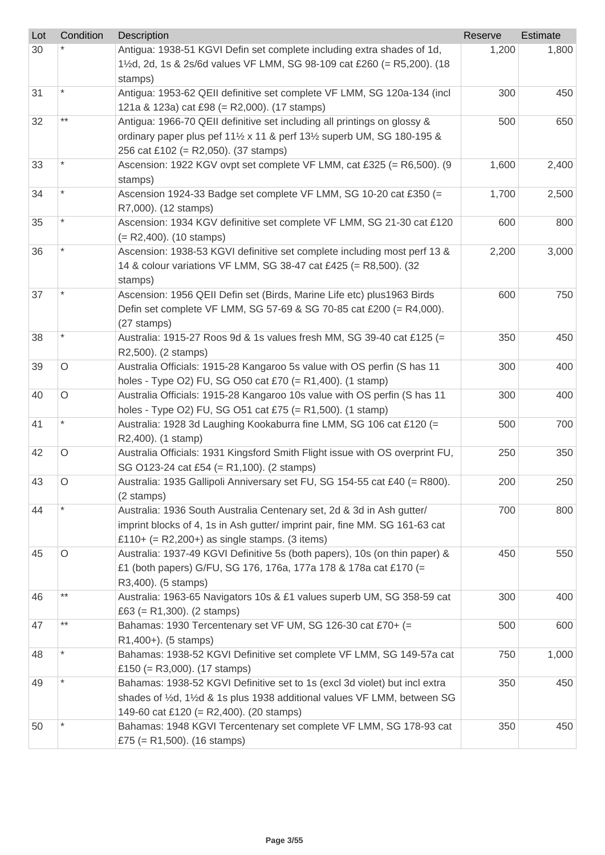| Lot | Condition | <b>Description</b>                                                           | Reserve | Estimate |
|-----|-----------|------------------------------------------------------------------------------|---------|----------|
| 30  |           | Antigua: 1938-51 KGVI Defin set complete including extra shades of 1d,       | 1,200   | 1,800    |
|     |           | 1½d, 2d, 1s & 2s/6d values VF LMM, SG 98-109 cat £260 (= R5,200). (18        |         |          |
|     |           | stamps)                                                                      |         |          |
| 31  |           | Antigua: 1953-62 QEII definitive set complete VF LMM, SG 120a-134 (incl      | 300     | 450      |
|     |           | 121a & 123a) cat £98 (= R2,000). (17 stamps)                                 |         |          |
| 32  | $***$     | Antigua: 1966-70 QEII definitive set including all printings on glossy &     | 500     | 650      |
|     |           | ordinary paper plus pef 111/2 x 11 & perf 131/2 superb UM, SG 180-195 &      |         |          |
|     |           | 256 cat £102 (= R2,050). (37 stamps)                                         |         |          |
| 33  |           | Ascension: 1922 KGV ovpt set complete VF LMM, cat £325 (= R6,500). (9        | 1,600   | 2,400    |
|     |           | stamps)                                                                      |         |          |
| 34  |           | Ascension 1924-33 Badge set complete VF LMM, SG 10-20 cat £350 (=            | 1,700   | 2,500    |
|     |           | R7,000). (12 stamps)                                                         |         |          |
| 35  |           | Ascension: 1934 KGV definitive set complete VF LMM, SG 21-30 cat £120        | 600     | 800      |
|     |           | $(= R2,400)$ . (10 stamps)                                                   |         |          |
| 36  |           | Ascension: 1938-53 KGVI definitive set complete including most perf 13 &     | 2,200   | 3,000    |
|     |           | 14 & colour variations VF LMM, SG 38-47 cat £425 (= R8,500). (32             |         |          |
|     |           | stamps)                                                                      |         |          |
| 37  |           | Ascension: 1956 QEII Defin set (Birds, Marine Life etc) plus1963 Birds       | 600     | 750      |
|     |           | Defin set complete VF LMM, SG 57-69 & SG 70-85 cat £200 (= R4,000).          |         |          |
|     |           | (27 stamps)                                                                  |         |          |
| 38  |           | Australia: 1915-27 Roos 9d & 1s values fresh MM, SG 39-40 cat £125 (=        | 350     | 450      |
|     |           | R2,500). (2 stamps)                                                          |         |          |
| 39  | O         | Australia Officials: 1915-28 Kangaroo 5s value with OS perfin (S has 11      | 300     | 400      |
|     |           | holes - Type O2) FU, SG O50 cat £70 (= R1,400). (1 stamp)                    |         |          |
| 40  | $\circ$   | Australia Officials: 1915-28 Kangaroo 10s value with OS perfin (S has 11     | 300     | 400      |
|     |           | holes - Type O2) FU, SG O51 cat £75 (= R1,500). (1 stamp)                    |         |          |
| 41  |           | Australia: 1928 3d Laughing Kookaburra fine LMM, SG 106 cat £120 (=          | 500     | 700      |
|     |           | R2,400). (1 stamp)                                                           |         |          |
| 42  | $\circ$   | Australia Officials: 1931 Kingsford Smith Flight issue with OS overprint FU, | 250     | 350      |
|     |           | SG O123-24 cat £54 (= R1,100). (2 stamps)                                    |         |          |
| 43  | $\Omega$  | Australia: 1935 Gallipoli Anniversary set FU, SG 154-55 cat £40 (= R800).    | 200     | 250      |
|     |           | (2 stamps)                                                                   |         |          |
| 44  |           | Australia: 1936 South Australia Centenary set, 2d & 3d in Ash gutter/        | 700     | 800      |
|     |           | imprint blocks of 4, 1s in Ash gutter/ imprint pair, fine MM. SG 161-63 cat  |         |          |
|     |           | £110+ (= $R2,200+$ ) as single stamps. (3 items)                             |         |          |
| 45  | $\circ$   | Australia: 1937-49 KGVI Definitive 5s (both papers), 10s (on thin paper) &   | 450     | 550      |
|     |           | £1 (both papers) G/FU, SG 176, 176a, 177a 178 & 178a cat £170 (=             |         |          |
|     |           | R3,400). (5 stamps)                                                          |         |          |
| 46  | $***$     | Australia: 1963-65 Navigators 10s & £1 values superb UM, SG 358-59 cat       | 300     | 400      |
|     |           | £63 (= R1,300). (2 stamps)                                                   |         |          |
| 47  | $***$     | Bahamas: 1930 Tercentenary set VF UM, SG 126-30 cat £70+ (=                  | 500     | 600      |
|     |           | R1,400+). (5 stamps)                                                         |         |          |
| 48  | $\star$   | Bahamas: 1938-52 KGVI Definitive set complete VF LMM, SG 149-57a cat         | 750     | 1,000    |
|     |           | £150 (= R3,000). $(17 \text{ stamps})$                                       |         |          |
| 49  | $\star$   | Bahamas: 1938-52 KGVI Definitive set to 1s (excl 3d violet) but incl extra   | 350     | 450      |
|     |           | shades of 1/2d, 11/2d & 1s plus 1938 additional values VF LMM, between SG    |         |          |
|     |           | 149-60 cat £120 (= R2,400). (20 stamps)                                      |         |          |
| 50  |           | Bahamas: 1948 KGVI Tercentenary set complete VF LMM, SG 178-93 cat           | 350     | 450      |
|     |           | £75 (= R1,500). (16 stamps)                                                  |         |          |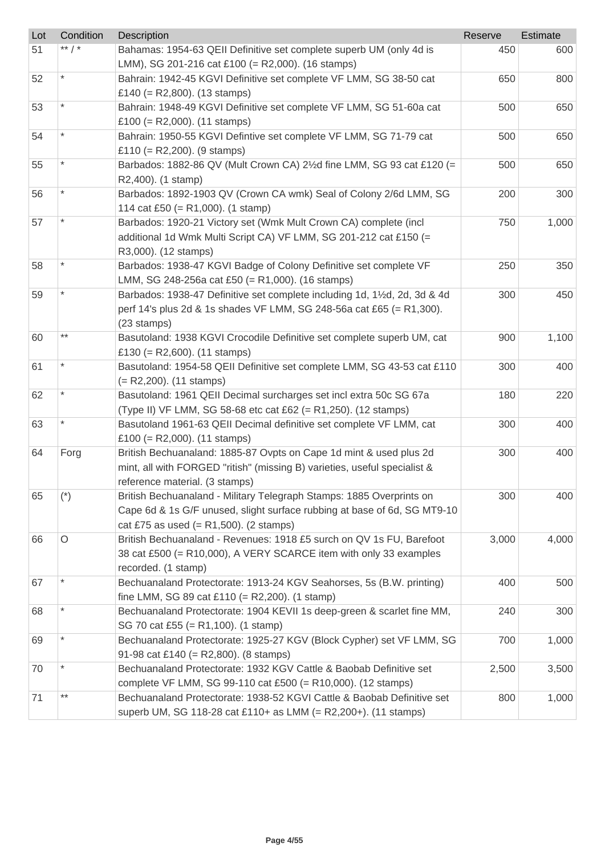| Lot | Condition | Description                                                                                                                                                                                   | Reserve | Estimate |
|-----|-----------|-----------------------------------------------------------------------------------------------------------------------------------------------------------------------------------------------|---------|----------|
| 51  | ** $/$ *  | Bahamas: 1954-63 QEII Definitive set complete superb UM (only 4d is<br>LMM), SG 201-216 cat £100 (= R2,000). (16 stamps)                                                                      | 450     | 600      |
| 52  | $\star$   | Bahrain: 1942-45 KGVI Definitive set complete VF LMM, SG 38-50 cat<br>£140 (= R2,800). (13 stamps)                                                                                            | 650     | 800      |
| 53  |           | Bahrain: 1948-49 KGVI Definitive set complete VF LMM, SG 51-60a cat<br>£100 (= R2,000). $(11 \text{ stamps})$                                                                                 | 500     | 650      |
| 54  |           | Bahrain: 1950-55 KGVI Defintive set complete VF LMM, SG 71-79 cat<br>£110 (= $R2,200$ ). (9 stamps)                                                                                           | 500     | 650      |
| 55  |           | Barbados: 1882-86 QV (Mult Crown CA) 21/2d fine LMM, SG 93 cat £120 (=<br>R2,400). (1 stamp)                                                                                                  | 500     | 650      |
| 56  |           | Barbados: 1892-1903 QV (Crown CA wmk) Seal of Colony 2/6d LMM, SG<br>114 cat £50 (= R1,000). (1 stamp)                                                                                        | 200     | 300      |
| 57  |           | Barbados: 1920-21 Victory set (Wmk Mult Crown CA) complete (incl<br>additional 1d Wmk Multi Script CA) VF LMM, SG 201-212 cat £150 (=<br>R3,000). (12 stamps)                                 | 750     | 1,000    |
| 58  |           | Barbados: 1938-47 KGVI Badge of Colony Definitive set complete VF<br>LMM, SG 248-256a cat £50 (= R1,000). (16 stamps)                                                                         | 250     | 350      |
| 59  |           | Barbados: 1938-47 Definitive set complete including 1d, 11/2d, 2d, 3d & 4d<br>perf 14's plus 2d & 1s shades VF LMM, SG 248-56a cat £65 (= R1,300).<br>(23 stamps)                             | 300     | 450      |
| 60  | $***$     | Basutoland: 1938 KGVI Crocodile Definitive set complete superb UM, cat<br>£130 (= R2,600). $(11 \text{ stamps})$                                                                              | 900     | 1,100    |
| 61  | $\star$   | Basutoland: 1954-58 QEII Definitive set complete LMM, SG 43-53 cat £110<br>$(= R2,200)$ . (11 stamps)                                                                                         | 300     | 400      |
| 62  | $\star$   | Basutoland: 1961 QEII Decimal surcharges set incl extra 50c SG 67a<br>(Type II) VF LMM, SG 58-68 etc cat £62 (= R1,250). (12 stamps)                                                          | 180     | 220      |
| 63  |           | Basutoland 1961-63 QEII Decimal definitive set complete VF LMM, cat<br>£100 (= R2,000). $(11 \text{ stamps})$                                                                                 | 300     | 400      |
| 64  | Forg      | British Bechuanaland: 1885-87 Ovpts on Cape 1d mint & used plus 2d<br>mint, all with FORGED "ritish" (missing B) varieties, useful specialist &<br>reference material. (3 stamps)             | 300     | 400      |
| 65  | $(*)$     | British Bechuanaland - Military Telegraph Stamps: 1885 Overprints on<br>Cape 6d & 1s G/F unused, slight surface rubbing at base of 6d, SG MT9-10<br>cat £75 as used $(= R1,500)$ . (2 stamps) | 300     | 400      |
| 66  | $\circ$   | British Bechuanaland - Revenues: 1918 £5 surch on QV 1s FU, Barefoot<br>38 cat £500 (= R10,000), A VERY SCARCE item with only 33 examples<br>recorded. (1 stamp)                              | 3,000   | 4,000    |
| 67  |           | Bechuanaland Protectorate: 1913-24 KGV Seahorses, 5s (B.W. printing)<br>fine LMM, SG 89 cat £110 (= R2,200). (1 stamp)                                                                        | 400     | 500      |
| 68  |           | Bechuanaland Protectorate: 1904 KEVII 1s deep-green & scarlet fine MM,<br>SG 70 cat £55 (= R1,100). (1 stamp)                                                                                 | 240     | 300      |
| 69  | $\star$   | Bechuanaland Protectorate: 1925-27 KGV (Block Cypher) set VF LMM, SG<br>91-98 cat £140 (= R2,800). (8 stamps)                                                                                 | 700     | 1,000    |
| 70  |           | Bechuanaland Protectorate: 1932 KGV Cattle & Baobab Definitive set<br>complete VF LMM, SG 99-110 cat £500 (= R10,000). (12 stamps)                                                            | 2,500   | 3,500    |
| 71  | $***$     | Bechuanaland Protectorate: 1938-52 KGVI Cattle & Baobab Definitive set<br>superb UM, SG 118-28 cat £110+ as LMM (= R2,200+). (11 stamps)                                                      | 800     | 1,000    |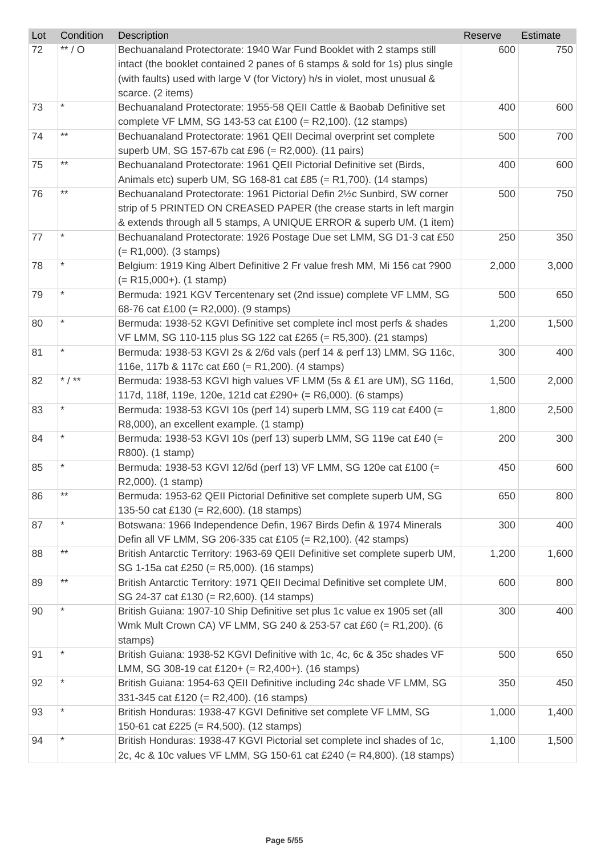| Lot | Condition       | Description                                                                                                                               | Reserve | Estimate |
|-----|-----------------|-------------------------------------------------------------------------------------------------------------------------------------------|---------|----------|
| 72  | $**/O$          | Bechuanaland Protectorate: 1940 War Fund Booklet with 2 stamps still                                                                      | 600     | 750      |
|     |                 | intact (the booklet contained 2 panes of 6 stamps & sold for 1s) plus single                                                              |         |          |
|     |                 | (with faults) used with large V (for Victory) h/s in violet, most unusual &                                                               |         |          |
|     |                 | scarce. (2 items)                                                                                                                         |         |          |
| 73  |                 | Bechuanaland Protectorate: 1955-58 QEII Cattle & Baobab Definitive set                                                                    | 400     | 600      |
|     |                 | complete VF LMM, SG 143-53 cat £100 (= R2,100). (12 stamps)                                                                               |         |          |
| 74  | $^{\star\star}$ | Bechuanaland Protectorate: 1961 QEII Decimal overprint set complete                                                                       | 500     | 700      |
|     |                 | superb UM, SG 157-67b cat £96 (= R2,000). (11 pairs)                                                                                      |         |          |
| 75  | $***$           | Bechuanaland Protectorate: 1961 QEII Pictorial Definitive set (Birds,                                                                     | 400     | 600      |
|     | $***$           | Animals etc) superb UM, SG 168-81 cat £85 (= R1,700). (14 stamps)                                                                         |         |          |
| 76  |                 | Bechuanaland Protectorate: 1961 Pictorial Defin 2½c Sunbird, SW corner                                                                    | 500     | 750      |
|     |                 | strip of 5 PRINTED ON CREASED PAPER (the crease starts in left margin                                                                     |         |          |
|     |                 | & extends through all 5 stamps, A UNIQUE ERROR & superb UM. (1 item)                                                                      |         |          |
| 77  |                 | Bechuanaland Protectorate: 1926 Postage Due set LMM, SG D1-3 cat £50                                                                      | 250     | 350      |
|     |                 | $(= R1,000)$ . (3 stamps)                                                                                                                 |         |          |
| 78  |                 | Belgium: 1919 King Albert Definitive 2 Fr value fresh MM, Mi 156 cat ?900                                                                 | 2,000   | 3,000    |
|     | $\star$         | $(= R15,000+).$ (1 stamp)                                                                                                                 |         |          |
| 79  |                 | Bermuda: 1921 KGV Tercentenary set (2nd issue) complete VF LMM, SG                                                                        | 500     | 650      |
|     | $\star$         | 68-76 cat £100 (= R2,000). (9 stamps)                                                                                                     |         |          |
| 80  |                 | Bermuda: 1938-52 KGVI Definitive set complete incl most perfs & shades                                                                    | 1,200   | 1,500    |
| 81  |                 | VF LMM, SG 110-115 plus SG 122 cat £265 (= R5,300). (21 stamps)<br>Bermuda: 1938-53 KGVI 2s & 2/6d vals (perf 14 & perf 13) LMM, SG 116c, | 300     | 400      |
|     |                 | 116e, 117b & 117c cat £60 (= R1,200). (4 stamps)                                                                                          |         |          |
| 82  | * $/$ **        | Bermuda: 1938-53 KGVI high values VF LMM (5s & £1 are UM), SG 116d,                                                                       | 1,500   | 2,000    |
|     |                 | 117d, 118f, 119e, 120e, 121d cat £290+ (= R6,000). (6 stamps)                                                                             |         |          |
| 83  |                 | Bermuda: 1938-53 KGVI 10s (perf 14) superb LMM, SG 119 cat £400 (=                                                                        | 1,800   | 2,500    |
|     |                 | R8,000), an excellent example. (1 stamp)                                                                                                  |         |          |
| 84  |                 | Bermuda: 1938-53 KGVI 10s (perf 13) superb LMM, SG 119e cat £40 (=                                                                        | 200     | 300      |
|     |                 | R800). (1 stamp)                                                                                                                          |         |          |
| 85  |                 | Bermuda: 1938-53 KGVI 12/6d (perf 13) VF LMM, SG 120e cat £100 (=                                                                         | 450     | 600      |
|     |                 | R2,000). (1 stamp)                                                                                                                        |         |          |
| 86  | $***$           | Bermuda: 1953-62 QEII Pictorial Definitive set complete superb UM, SG                                                                     | 650     | 800      |
|     |                 | 135-50 cat £130 (= R2,600). (18 stamps)                                                                                                   |         |          |
| 87  | $\star$         | Botswana: 1966 Independence Defin, 1967 Birds Defin & 1974 Minerals                                                                       | 300     | 400      |
|     |                 | Defin all VF LMM, SG 206-335 cat £105 (= R2,100). (42 stamps)                                                                             |         |          |
| 88  | $^{\star\star}$ | British Antarctic Territory: 1963-69 QEII Definitive set complete superb UM,                                                              | 1,200   | 1,600    |
|     |                 | SG 1-15a cat £250 (= R5,000). (16 stamps)                                                                                                 |         |          |
| 89  | $^{\star\star}$ | British Antarctic Territory: 1971 QEII Decimal Definitive set complete UM,                                                                | 600     | 800      |
|     |                 | SG 24-37 cat £130 (= R2,600). (14 stamps)                                                                                                 |         |          |
| 90  | $\star$         | British Guiana: 1907-10 Ship Definitive set plus 1c value ex 1905 set (all                                                                | 300     | 400      |
|     |                 | Wmk Mult Crown CA) VF LMM, SG 240 & 253-57 cat £60 (= R1,200). (6                                                                         |         |          |
|     |                 | stamps)                                                                                                                                   |         |          |
| 91  |                 | British Guiana: 1938-52 KGVI Definitive with 1c, 4c, 6c & 35c shades VF                                                                   | 500     | 650      |
|     |                 | LMM, SG 308-19 cat £120+ (= R2,400+). (16 stamps)                                                                                         |         |          |
| 92  |                 | British Guiana: 1954-63 QEII Definitive including 24c shade VF LMM, SG                                                                    | 350     | 450      |
|     |                 | 331-345 cat £120 (= R2,400). (16 stamps)                                                                                                  |         |          |
| 93  |                 | British Honduras: 1938-47 KGVI Definitive set complete VF LMM, SG                                                                         | 1,000   | 1,400    |
|     |                 | 150-61 cat £225 (= R4,500). (12 stamps)                                                                                                   |         |          |
| 94  |                 | British Honduras: 1938-47 KGVI Pictorial set complete incl shades of 1c,                                                                  | 1,100   | 1,500    |
|     |                 | 2c, 4c & 10c values VF LMM, SG 150-61 cat £240 (= R4,800). (18 stamps)                                                                    |         |          |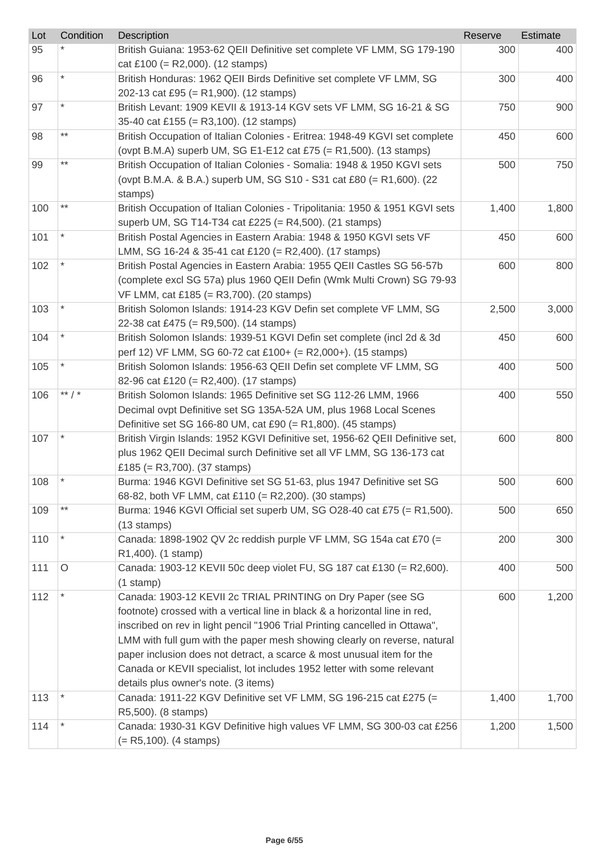| Lot | Condition | Description                                                                                                                                                                                                                                                                                                                                                                                                                                                                                          | Reserve | Estimate |
|-----|-----------|------------------------------------------------------------------------------------------------------------------------------------------------------------------------------------------------------------------------------------------------------------------------------------------------------------------------------------------------------------------------------------------------------------------------------------------------------------------------------------------------------|---------|----------|
| 95  |           | British Guiana: 1953-62 QEII Definitive set complete VF LMM, SG 179-190<br>cat £100 (= R2,000). (12 stamps)                                                                                                                                                                                                                                                                                                                                                                                          | 300     | 400      |
| 96  |           | British Honduras: 1962 QEII Birds Definitive set complete VF LMM, SG<br>202-13 cat £95 (= R1,900). (12 stamps)                                                                                                                                                                                                                                                                                                                                                                                       | 300     | 400      |
| 97  |           | British Levant: 1909 KEVII & 1913-14 KGV sets VF LMM, SG 16-21 & SG<br>35-40 cat £155 (= R3,100). (12 stamps)                                                                                                                                                                                                                                                                                                                                                                                        | 750     | 900      |
| 98  | $***$     | British Occupation of Italian Colonies - Eritrea: 1948-49 KGVI set complete<br>(ovpt B.M.A) superb UM, SG E1-E12 cat £75 (= R1,500). (13 stamps)                                                                                                                                                                                                                                                                                                                                                     | 450     | 600      |
| 99  | $***$     | British Occupation of Italian Colonies - Somalia: 1948 & 1950 KGVI sets<br>(ovpt B.M.A. & B.A.) superb UM, SG S10 - S31 cat £80 (= R1,600). (22<br>stamps)                                                                                                                                                                                                                                                                                                                                           | 500     | 750      |
| 100 | $***$     | British Occupation of Italian Colonies - Tripolitania: 1950 & 1951 KGVI sets<br>superb UM, SG T14-T34 cat £225 (= R4,500). (21 stamps)                                                                                                                                                                                                                                                                                                                                                               | 1,400   | 1,800    |
| 101 |           | British Postal Agencies in Eastern Arabia: 1948 & 1950 KGVI sets VF<br>LMM, SG 16-24 & 35-41 cat £120 (= R2,400). (17 stamps)                                                                                                                                                                                                                                                                                                                                                                        | 450     | 600      |
| 102 |           | British Postal Agencies in Eastern Arabia: 1955 QEII Castles SG 56-57b<br>(complete excl SG 57a) plus 1960 QEII Defin (Wmk Multi Crown) SG 79-93<br>VF LMM, cat £185 (= R3,700). (20 stamps)                                                                                                                                                                                                                                                                                                         | 600     | 800      |
| 103 |           | British Solomon Islands: 1914-23 KGV Defin set complete VF LMM, SG<br>22-38 cat £475 (= R9,500). (14 stamps)                                                                                                                                                                                                                                                                                                                                                                                         | 2,500   | 3,000    |
| 104 |           | British Solomon Islands: 1939-51 KGVI Defin set complete (incl 2d & 3d<br>perf 12) VF LMM, SG 60-72 cat £100+ (= R2,000+). (15 stamps)                                                                                                                                                                                                                                                                                                                                                               | 450     | 600      |
| 105 |           | British Solomon Islands: 1956-63 QEII Defin set complete VF LMM, SG<br>82-96 cat £120 (= R2,400). (17 stamps)                                                                                                                                                                                                                                                                                                                                                                                        | 400     | 500      |
| 106 | ** $/$ *  | British Solomon Islands: 1965 Definitive set SG 112-26 LMM, 1966<br>Decimal ovpt Definitive set SG 135A-52A UM, plus 1968 Local Scenes<br>Definitive set SG 166-80 UM, cat £90 (= R1,800). (45 stamps)                                                                                                                                                                                                                                                                                               | 400     | 550      |
| 107 |           | British Virgin Islands: 1952 KGVI Definitive set, 1956-62 QEII Definitive set,<br>plus 1962 QEII Decimal surch Definitive set all VF LMM, SG 136-173 cat<br>£185 (= R3,700). (37 stamps)                                                                                                                                                                                                                                                                                                             | 600     | 800      |
| 108 |           | Burma: 1946 KGVI Definitive set SG 51-63, plus 1947 Definitive set SG<br>68-82, both VF LMM, cat £110 (= R2,200). (30 stamps)                                                                                                                                                                                                                                                                                                                                                                        | 500     | 600      |
| 109 | $***$     | Burma: 1946 KGVI Official set superb UM, SG O28-40 cat £75 (= R1,500).<br>$(13 \text{ stamps})$                                                                                                                                                                                                                                                                                                                                                                                                      | 500     | 650      |
| 110 |           | Canada: 1898-1902 QV 2c reddish purple VF LMM, SG 154a cat £70 (=<br>R1,400). (1 stamp)                                                                                                                                                                                                                                                                                                                                                                                                              | 200     | 300      |
| 111 | $\circ$   | Canada: 1903-12 KEVII 50c deep violet FU, SG 187 cat £130 (= R2,600).<br>$(1$ stamp)                                                                                                                                                                                                                                                                                                                                                                                                                 | 400     | 500      |
| 112 |           | Canada: 1903-12 KEVII 2c TRIAL PRINTING on Dry Paper (see SG<br>footnote) crossed with a vertical line in black & a horizontal line in red,<br>inscribed on rev in light pencil "1906 Trial Printing cancelled in Ottawa",<br>LMM with full gum with the paper mesh showing clearly on reverse, natural<br>paper inclusion does not detract, a scarce & most unusual item for the<br>Canada or KEVII specialist, lot includes 1952 letter with some relevant<br>details plus owner's note. (3 items) | 600     | 1,200    |
| 113 |           | Canada: 1911-22 KGV Definitive set VF LMM, SG 196-215 cat £275 (=<br>R5,500). (8 stamps)                                                                                                                                                                                                                                                                                                                                                                                                             | 1,400   | 1,700    |
| 114 |           | Canada: 1930-31 KGV Definitive high values VF LMM, SG 300-03 cat £256<br>$(= R5, 100)$ . (4 stamps)                                                                                                                                                                                                                                                                                                                                                                                                  | 1,200   | 1,500    |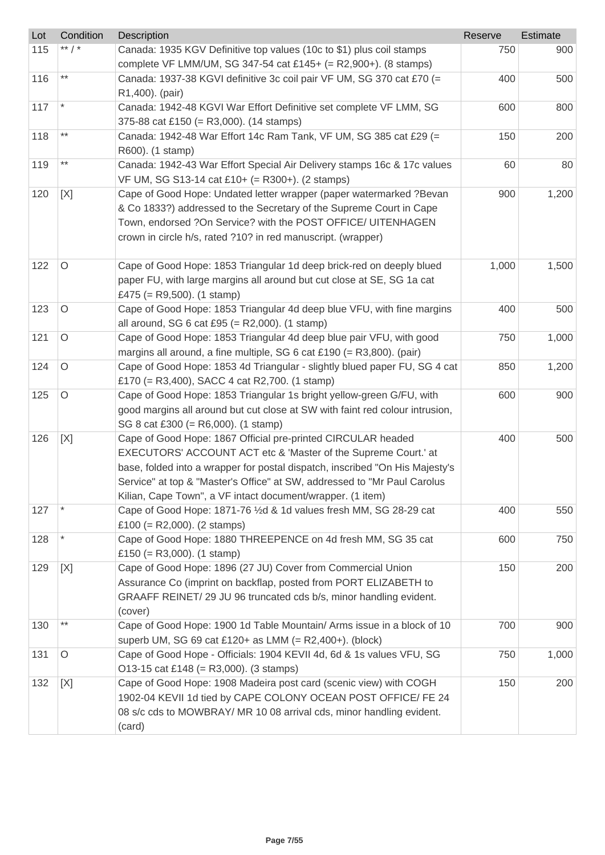| Lot | Condition | Description                                                                                                                                                                                                                                                                                                                                              | Reserve | Estimate |
|-----|-----------|----------------------------------------------------------------------------------------------------------------------------------------------------------------------------------------------------------------------------------------------------------------------------------------------------------------------------------------------------------|---------|----------|
| 115 | ** $/$ *  | Canada: 1935 KGV Definitive top values (10c to \$1) plus coil stamps                                                                                                                                                                                                                                                                                     | 750     | 900      |
|     |           | complete VF LMM/UM, SG 347-54 cat £145+ (= R2,900+). (8 stamps)                                                                                                                                                                                                                                                                                          |         |          |
| 116 | $***$     | Canada: 1937-38 KGVI definitive 3c coil pair VF UM, SG 370 cat £70 (=<br>R1,400). (pair)                                                                                                                                                                                                                                                                 | 400     | 500      |
| 117 |           | Canada: 1942-48 KGVI War Effort Definitive set complete VF LMM, SG<br>375-88 cat £150 (= R3,000). (14 stamps)                                                                                                                                                                                                                                            | 600     | 800      |
| 118 | $***$     | Canada: 1942-48 War Effort 14c Ram Tank, VF UM, SG 385 cat £29 (=<br>R600). (1 stamp)                                                                                                                                                                                                                                                                    | 150     | 200      |
| 119 | $***$     | Canada: 1942-43 War Effort Special Air Delivery stamps 16c & 17c values<br>VF UM, SG S13-14 cat £10+ (= R300+). (2 stamps)                                                                                                                                                                                                                               | 60      | 80       |
| 120 | [X]       | Cape of Good Hope: Undated letter wrapper (paper watermarked ?Bevan<br>& Co 1833?) addressed to the Secretary of the Supreme Court in Cape<br>Town, endorsed ?On Service? with the POST OFFICE/ UITENHAGEN<br>crown in circle h/s, rated ?10? in red manuscript. (wrapper)                                                                               | 900     | 1,200    |
| 122 | $\circ$   | Cape of Good Hope: 1853 Triangular 1d deep brick-red on deeply blued<br>paper FU, with large margins all around but cut close at SE, SG 1a cat<br>£475 (= $R9,500$ ). (1 stamp)                                                                                                                                                                          | 1,000   | 1,500    |
| 123 | $\circ$   | Cape of Good Hope: 1853 Triangular 4d deep blue VFU, with fine margins<br>all around, SG 6 cat £95 (= $R2,000$ ). (1 stamp)                                                                                                                                                                                                                              | 400     | 500      |
| 121 | O         | Cape of Good Hope: 1853 Triangular 4d deep blue pair VFU, with good<br>margins all around, a fine multiple, SG 6 cat £190 (= $R3,800$ ). (pair)                                                                                                                                                                                                          | 750     | 1,000    |
| 124 | $\circ$   | Cape of Good Hope: 1853 4d Triangular - slightly blued paper FU, SG 4 cat<br>£170 (= R3,400), SACC 4 cat R2,700. (1 stamp)                                                                                                                                                                                                                               | 850     | 1,200    |
| 125 | $\circ$   | Cape of Good Hope: 1853 Triangular 1s bright yellow-green G/FU, with<br>good margins all around but cut close at SW with faint red colour intrusion,<br>SG 8 cat £300 (= R6,000). (1 stamp)                                                                                                                                                              | 600     | 900      |
| 126 | [X]       | Cape of Good Hope: 1867 Official pre-printed CIRCULAR headed<br>EXECUTORS' ACCOUNT ACT etc & 'Master of the Supreme Court.' at<br>base, folded into a wrapper for postal dispatch, inscribed "On His Majesty's<br>Service" at top & "Master's Office" at SW, addressed to "Mr Paul Carolus<br>Kilian, Cape Town", a VF intact document/wrapper. (1 item) | 400     | 500      |
| 127 |           | Cape of Good Hope: 1871-76 1/2d & 1d values fresh MM, SG 28-29 cat<br>£100 (= R2,000). (2 stamps)                                                                                                                                                                                                                                                        | 400     | 550      |
| 128 |           | Cape of Good Hope: 1880 THREEPENCE on 4d fresh MM, SG 35 cat<br>£150 (= R3,000). (1 stamp)                                                                                                                                                                                                                                                               | 600     | 750      |
| 129 | [X]       | Cape of Good Hope: 1896 (27 JU) Cover from Commercial Union<br>Assurance Co (imprint on backflap, posted from PORT ELIZABETH to<br>GRAAFF REINET/29 JU 96 truncated cds b/s, minor handling evident.<br>(cover)                                                                                                                                          | 150     | 200      |
| 130 | $***$     | Cape of Good Hope: 1900 1d Table Mountain/ Arms issue in a block of 10<br>superb UM, SG 69 cat £120+ as LMM (= $R2,400+$ ). (block)                                                                                                                                                                                                                      | 700     | 900      |
| 131 | O         | Cape of Good Hope - Officials: 1904 KEVII 4d, 6d & 1s values VFU, SG<br>O13-15 cat £148 (= R3,000). (3 stamps)                                                                                                                                                                                                                                           | 750     | 1,000    |
| 132 | [X]       | Cape of Good Hope: 1908 Madeira post card (scenic view) with COGH<br>1902-04 KEVII 1d tied by CAPE COLONY OCEAN POST OFFICE/ FE 24<br>08 s/c cds to MOWBRAY/ MR 10 08 arrival cds, minor handling evident.<br>(card)                                                                                                                                     | 150     | 200      |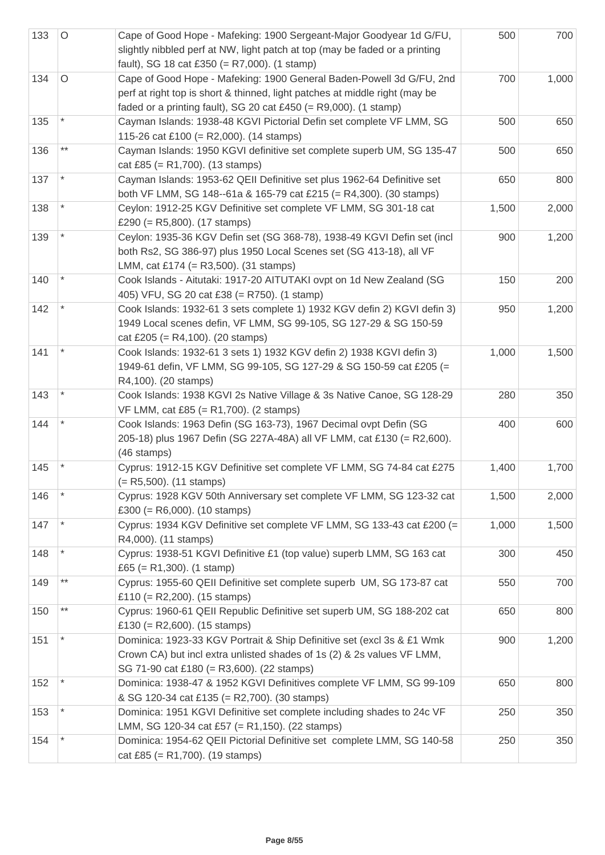| 133 | $\circ$ | Cape of Good Hope - Mafeking: 1900 Sergeant-Major Goodyear 1d G/FU,<br>slightly nibbled perf at NW, light patch at top (may be faded or a printing<br>fault), SG 18 cat £350 (= $R7,000$ ). (1 stamp)                      | 500   | 700   |
|-----|---------|----------------------------------------------------------------------------------------------------------------------------------------------------------------------------------------------------------------------------|-------|-------|
| 134 | $\circ$ | Cape of Good Hope - Mafeking: 1900 General Baden-Powell 3d G/FU, 2nd<br>perf at right top is short & thinned, light patches at middle right (may be<br>faded or a printing fault), SG 20 cat £450 (= $R9,000$ ). (1 stamp) | 700   | 1,000 |
| 135 |         | Cayman Islands: 1938-48 KGVI Pictorial Defin set complete VF LMM, SG<br>115-26 cat £100 (= R2,000). (14 stamps)                                                                                                            | 500   | 650   |
| 136 | $***$   | Cayman Islands: 1950 KGVI definitive set complete superb UM, SG 135-47<br>cat £85 (= R1,700). (13 stamps)                                                                                                                  | 500   | 650   |
| 137 | $\star$ | Cayman Islands: 1953-62 QEII Definitive set plus 1962-64 Definitive set<br>both VF LMM, SG 148--61a & 165-79 cat £215 (= R4,300). (30 stamps)                                                                              | 650   | 800   |
| 138 |         | Ceylon: 1912-25 KGV Definitive set complete VF LMM, SG 301-18 cat<br>£290 (= $R5,800$ ). (17 stamps)                                                                                                                       | 1,500 | 2,000 |
| 139 |         | Ceylon: 1935-36 KGV Defin set (SG 368-78), 1938-49 KGVI Defin set (incl<br>both Rs2, SG 386-97) plus 1950 Local Scenes set (SG 413-18), all VF<br>LMM, cat £174 (= R3,500). (31 stamps)                                    | 900   | 1,200 |
| 140 |         | Cook Islands - Aitutaki: 1917-20 AITUTAKI ovpt on 1d New Zealand (SG<br>405) VFU, SG 20 cat £38 (= R750). (1 stamp)                                                                                                        | 150   | 200   |
| 142 |         | Cook Islands: 1932-61 3 sets complete 1) 1932 KGV defin 2) KGVI defin 3)<br>1949 Local scenes defin, VF LMM, SG 99-105, SG 127-29 & SG 150-59<br>cat £205 (= $R4,100$ ). (20 stamps)                                       | 950   | 1,200 |
| 141 |         | Cook Islands: 1932-61 3 sets 1) 1932 KGV defin 2) 1938 KGVI defin 3)<br>1949-61 defin, VF LMM, SG 99-105, SG 127-29 & SG 150-59 cat £205 (=<br>R4,100). (20 stamps)                                                        | 1,000 | 1,500 |
| 143 |         | Cook Islands: 1938 KGVI 2s Native Village & 3s Native Canoe, SG 128-29<br>VF LMM, cat £85 (= R1,700). (2 stamps)                                                                                                           | 280   | 350   |
| 144 |         | Cook Islands: 1963 Defin (SG 163-73), 1967 Decimal ovpt Defin (SG<br>205-18) plus 1967 Defin (SG 227A-48A) all VF LMM, cat £130 (= R2,600).<br>(46 stamps)                                                                 | 400   | 600   |
| 145 |         | Cyprus: 1912-15 KGV Definitive set complete VF LMM, SG 74-84 cat £275<br>$(= R5,500)$ . (11 stamps)                                                                                                                        | 1,400 | 1,700 |
| 146 | $\star$ | Cyprus: 1928 KGV 50th Anniversary set complete VF LMM, SG 123-32 cat<br>£300 (= $R6,000$ ). (10 stamps)                                                                                                                    | 1,500 | 2,000 |
| 147 | $\ast$  | Cyprus: 1934 KGV Definitive set complete VF LMM, SG 133-43 cat £200 (=<br>R4,000). (11 stamps)                                                                                                                             | 1,000 | 1,500 |
| 148 |         | Cyprus: 1938-51 KGVI Definitive £1 (top value) superb LMM, SG 163 cat<br>£65 (= R1,300). (1 stamp)                                                                                                                         | 300   | 450   |
| 149 | $***$   | Cyprus: 1955-60 QEII Definitive set complete superb UM, SG 173-87 cat<br>£110 (= R2,200). $(15 \text{ stamps})$                                                                                                            | 550   | 700   |
| 150 | $***$   | Cyprus: 1960-61 QEII Republic Definitive set superb UM, SG 188-202 cat<br>£130 (= R2,600). $(15 \text{ stamps})$                                                                                                           | 650   | 800   |
| 151 |         | Dominica: 1923-33 KGV Portrait & Ship Definitive set (excl 3s & £1 Wmk<br>Crown CA) but incl extra unlisted shades of 1s (2) & 2s values VF LMM,<br>SG 71-90 cat £180 (= R3,600). (22 stamps)                              | 900   | 1,200 |
| 152 |         | Dominica: 1938-47 & 1952 KGVI Definitives complete VF LMM, SG 99-109<br>& SG 120-34 cat £135 (= R2,700). (30 stamps)                                                                                                       | 650   | 800   |
| 153 |         | Dominica: 1951 KGVI Definitive set complete including shades to 24c VF<br>LMM, SG 120-34 cat £57 (= R1,150). (22 stamps)                                                                                                   | 250   | 350   |
| 154 |         | Dominica: 1954-62 QEII Pictorial Definitive set complete LMM, SG 140-58<br>cat £85 (= $R1,700$ ). (19 stamps)                                                                                                              | 250   | 350   |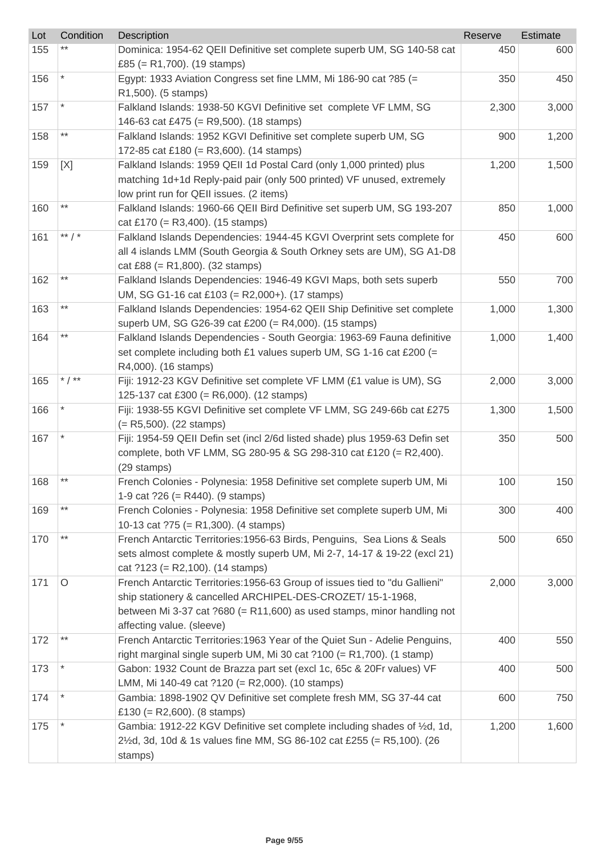| Lot | Condition       | Description                                                                                                                                                                                                                                          | Reserve | Estimate |
|-----|-----------------|------------------------------------------------------------------------------------------------------------------------------------------------------------------------------------------------------------------------------------------------------|---------|----------|
| 155 |                 | Dominica: 1954-62 QEII Definitive set complete superb UM, SG 140-58 cat<br>£85 (= R1,700). $(19 \text{ stamps})$                                                                                                                                     | 450     | 600      |
| 156 |                 | Egypt: 1933 Aviation Congress set fine LMM, Mi 186-90 cat ?85 (=<br>R1,500). (5 stamps)                                                                                                                                                              | 350     | 450      |
| 157 |                 | Falkland Islands: 1938-50 KGVI Definitive set complete VF LMM, SG<br>146-63 cat £475 (= R9,500). (18 stamps)                                                                                                                                         | 2,300   | 3,000    |
| 158 | $^{\star\star}$ | Falkland Islands: 1952 KGVI Definitive set complete superb UM, SG<br>172-85 cat £180 (= R3,600). (14 stamps)                                                                                                                                         | 900     | 1,200    |
| 159 | [X]             | Falkland Islands: 1959 QEII 1d Postal Card (only 1,000 printed) plus<br>matching 1d+1d Reply-paid pair (only 500 printed) VF unused, extremely<br>low print run for QEII issues. (2 items)                                                           | 1,200   | 1,500    |
| 160 | $***$           | Falkland Islands: 1960-66 QEII Bird Definitive set superb UM, SG 193-207<br>cat £170 (= $R3,400$ ). (15 stamps)                                                                                                                                      | 850     | 1,000    |
| 161 | ** $/$ *        | Falkland Islands Dependencies: 1944-45 KGVI Overprint sets complete for<br>all 4 islands LMM (South Georgia & South Orkney sets are UM), SG A1-D8<br>cat £88 (= $R1,800$ ). (32 stamps)                                                              | 450     | 600      |
| 162 | $***$           | Falkland Islands Dependencies: 1946-49 KGVI Maps, both sets superb<br>UM, SG G1-16 cat £103 (= R2,000+). (17 stamps)                                                                                                                                 | 550     | 700      |
| 163 | $***$           | Falkland Islands Dependencies: 1954-62 QEII Ship Definitive set complete<br>superb UM, SG G26-39 cat £200 (= R4,000). (15 stamps)                                                                                                                    | 1,000   | 1,300    |
| 164 | $^{\star\star}$ | Falkland Islands Dependencies - South Georgia: 1963-69 Fauna definitive<br>set complete including both £1 values superb UM, SG 1-16 cat £200 (=<br>R4,000). (16 stamps)                                                                              | 1,000   | 1,400    |
| 165 | * $/$ **        | Fiji: 1912-23 KGV Definitive set complete VF LMM (£1 value is UM), SG<br>125-137 cat £300 (= R6,000). (12 stamps)                                                                                                                                    | 2,000   | 3,000    |
| 166 |                 | Fiji: 1938-55 KGVI Definitive set complete VF LMM, SG 249-66b cat £275<br>$(= R5,500)$ . (22 stamps)                                                                                                                                                 | 1,300   | 1,500    |
| 167 |                 | Fiji: 1954-59 QEII Defin set (incl 2/6d listed shade) plus 1959-63 Defin set<br>complete, both VF LMM, SG 280-95 & SG 298-310 cat £120 (= R2,400).<br>(29 stamps)                                                                                    | 350     | 500      |
| 168 | $***$           | French Colonies - Polynesia: 1958 Definitive set complete superb UM, Mi<br>1-9 cat $?26 (= R440)$ . (9 stamps)                                                                                                                                       | 100     | 150      |
| 169 | $***$           | French Colonies - Polynesia: 1958 Definitive set complete superb UM, Mi<br>10-13 cat $?75 (= R1,300)$ . (4 stamps)                                                                                                                                   | 300     | 400      |
| 170 | $^{\star\star}$ | French Antarctic Territories: 1956-63 Birds, Penguins, Sea Lions & Seals<br>sets almost complete & mostly superb UM, Mi 2-7, 14-17 & 19-22 (excl 21)<br>cat $?123 (= R2,100)$ . (14 stamps)                                                          | 500     | 650      |
| 171 | O               | French Antarctic Territories: 1956-63 Group of issues tied to "du Gallieni"<br>ship stationery & cancelled ARCHIPEL-DES-CROZET/ 15-1-1968,<br>between Mi 3-37 cat $?680 (= R11,600)$ as used stamps, minor handling not<br>affecting value. (sleeve) | 2,000   | 3,000    |
| 172 | $***$           | French Antarctic Territories: 1963 Year of the Quiet Sun - Adelie Penguins,<br>right marginal single superb UM, Mi 30 cat $?100 (= R1,700)$ . (1 stamp)                                                                                              | 400     | 550      |
| 173 |                 | Gabon: 1932 Count de Brazza part set (excl 1c, 65c & 20Fr values) VF<br>LMM, Mi 140-49 cat ?120 (= R2,000). (10 stamps)                                                                                                                              | 400     | 500      |
| 174 |                 | Gambia: 1898-1902 QV Definitive set complete fresh MM, SG 37-44 cat<br>£130 (= R2,600). (8 stamps)                                                                                                                                                   | 600     | 750      |
| 175 |                 | Gambia: 1912-22 KGV Definitive set complete including shades of 1/2d, 1d,<br>2½d, 3d, 10d & 1s values fine MM, SG 86-102 cat £255 (= R5, 100). (26<br>stamps)                                                                                        | 1,200   | 1,600    |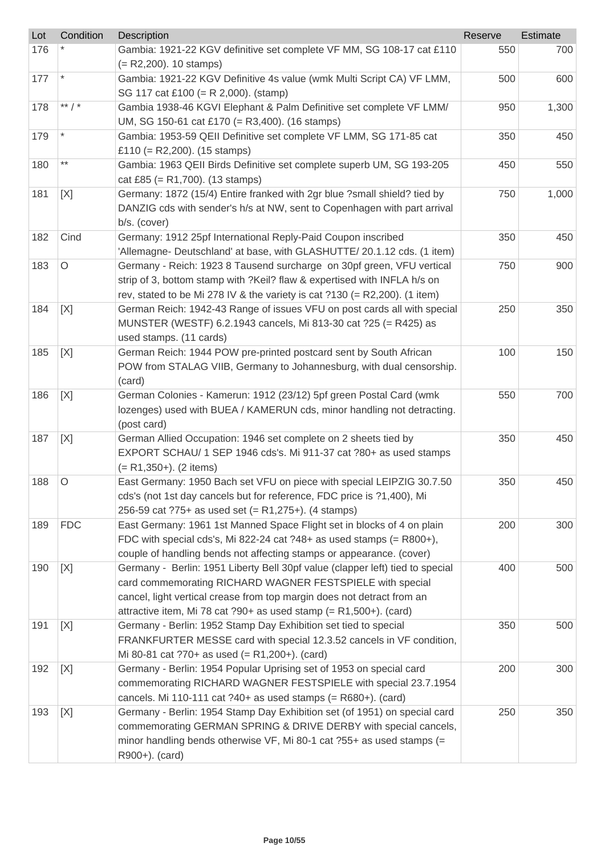| Lot | Condition  | Description                                                                                | Reserve | <b>Estimate</b> |
|-----|------------|--------------------------------------------------------------------------------------------|---------|-----------------|
| 176 |            | Gambia: 1921-22 KGV definitive set complete VF MM, SG 108-17 cat £110                      | 550     | 700             |
|     |            | $(= R2,200)$ . 10 stamps)                                                                  |         |                 |
| 177 |            | Gambia: 1921-22 KGV Definitive 4s value (wmk Multi Script CA) VF LMM,                      | 500     | 600             |
|     |            | SG 117 cat £100 (= R 2,000). (stamp)                                                       |         |                 |
| 178 | ** $/$ *   | Gambia 1938-46 KGVI Elephant & Palm Definitive set complete VF LMM/                        | 950     | 1,300           |
|     |            | UM, SG 150-61 cat £170 (= R3,400). (16 stamps)                                             |         |                 |
| 179 | $\star$    | Gambia: 1953-59 QEII Definitive set complete VF LMM, SG 171-85 cat                         | 350     | 450             |
|     |            | £110 (= R2,200). $(15 \text{ stamps})$                                                     |         |                 |
| 180 | $***$      | Gambia: 1963 QEII Birds Definitive set complete superb UM, SG 193-205                      | 450     | 550             |
|     |            | cat £85 (= $R1,700$ ). (13 stamps)                                                         |         |                 |
| 181 | [X]        | Germany: 1872 (15/4) Entire franked with 2gr blue ?small shield? tied by                   | 750     | 1,000           |
|     |            | DANZIG cds with sender's h/s at NW, sent to Copenhagen with part arrival                   |         |                 |
|     |            | b/s. (cover)                                                                               |         |                 |
| 182 | Cind       | Germany: 1912 25pf International Reply-Paid Coupon inscribed                               | 350     | 450             |
|     |            | 'Allemagne- Deutschland' at base, with GLASHUTTE/ 20.1.12 cds. (1 item)                    |         |                 |
| 183 | O          | Germany - Reich: 1923 8 Tausend surcharge on 30pf green, VFU vertical                      | 750     | 900             |
|     |            | strip of 3, bottom stamp with ?Keil? flaw & expertised with INFLA h/s on                   |         |                 |
|     |            | rev, stated to be Mi 278 IV & the variety is cat $?130 (= R2,200)$ . (1 item)              |         |                 |
| 184 | [X]        | German Reich: 1942-43 Range of issues VFU on post cards all with special                   | 250     | 350             |
|     |            | MUNSTER (WESTF) 6.2.1943 cancels, Mi 813-30 cat ?25 (= R425) as<br>used stamps. (11 cards) |         |                 |
| 185 | [X]        | German Reich: 1944 POW pre-printed postcard sent by South African                          | 100     | 150             |
|     |            | POW from STALAG VIIB, Germany to Johannesburg, with dual censorship.                       |         |                 |
|     |            | (card)                                                                                     |         |                 |
| 186 | [X]        | German Colonies - Kamerun: 1912 (23/12) 5pf green Postal Card (wmk                         | 550     | 700             |
|     |            | lozenges) used with BUEA / KAMERUN cds, minor handling not detracting.                     |         |                 |
|     |            | (post card)                                                                                |         |                 |
| 187 | [X]        | German Allied Occupation: 1946 set complete on 2 sheets tied by                            | 350     | 450             |
|     |            | EXPORT SCHAU/ 1 SEP 1946 cds's. Mi 911-37 cat ?80+ as used stamps                          |         |                 |
|     |            | $(= R1, 350+).$ (2 items)                                                                  |         |                 |
| 188 | O          | East Germany: 1950 Bach set VFU on piece with special LEIPZIG 30.7.50                      | 350     | 450             |
|     |            | cds's (not 1st day cancels but for reference, FDC price is ?1,400), Mi                     |         |                 |
|     |            | 256-59 cat ?75+ as used set (= R1,275+). (4 stamps)                                        |         |                 |
| 189 | <b>FDC</b> | East Germany: 1961 1st Manned Space Flight set in blocks of 4 on plain                     | 200     | 300             |
|     |            | FDC with special cds's, Mi 822-24 cat $?48+$ as used stamps (= R800+),                     |         |                 |
|     |            | couple of handling bends not affecting stamps or appearance. (cover)                       |         |                 |
| 190 | [X]        | Germany - Berlin: 1951 Liberty Bell 30pf value (clapper left) tied to special              | 400     | 500             |
|     |            | card commemorating RICHARD WAGNER FESTSPIELE with special                                  |         |                 |
|     |            | cancel, light vertical crease from top margin does not detract from an                     |         |                 |
|     |            | attractive item, Mi 78 cat ?90+ as used stamp (= R1,500+). (card)                          |         |                 |
| 191 | [X]        | Germany - Berlin: 1952 Stamp Day Exhibition set tied to special                            | 350     | 500             |
|     |            | FRANKFURTER MESSE card with special 12.3.52 cancels in VF condition,                       |         |                 |
|     |            | Mi 80-81 cat ?70+ as used $(= R1,200+)$ . (card)                                           |         |                 |
| 192 | [X]        | Germany - Berlin: 1954 Popular Uprising set of 1953 on special card                        | 200     | 300             |
|     |            | commemorating RICHARD WAGNER FESTSPIELE with special 23.7.1954                             |         |                 |
|     |            | cancels. Mi 110-111 cat ?40+ as used stamps (= R680+). (card)                              |         |                 |
| 193 | [X]        | Germany - Berlin: 1954 Stamp Day Exhibition set (of 1951) on special card                  | 250     | 350             |
|     |            | commemorating GERMAN SPRING & DRIVE DERBY with special cancels,                            |         |                 |
|     |            | minor handling bends otherwise VF, Mi 80-1 cat $?55+$ as used stamps (=                    |         |                 |
|     |            | R900+). (card)                                                                             |         |                 |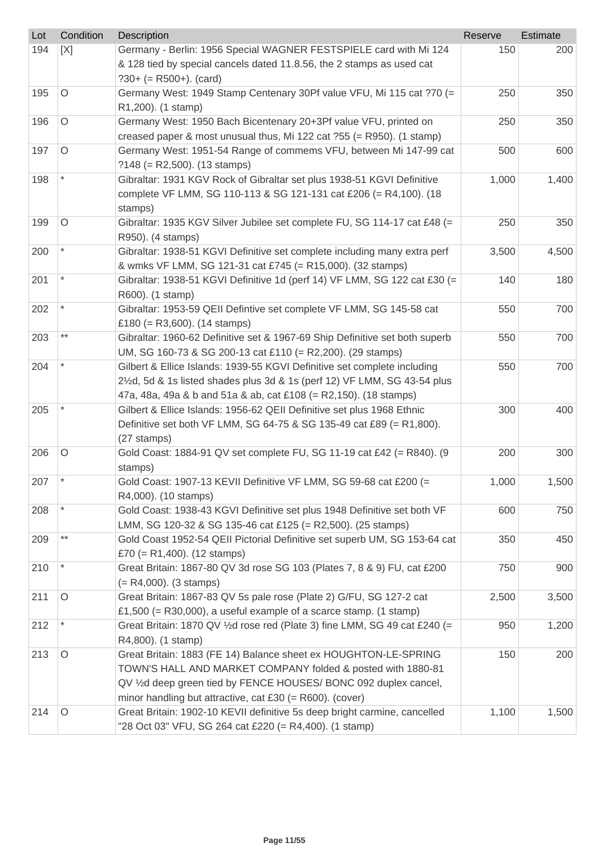| Lot | Condition | Description                                                                                                                                                                                                                                                       | Reserve | Estimate |
|-----|-----------|-------------------------------------------------------------------------------------------------------------------------------------------------------------------------------------------------------------------------------------------------------------------|---------|----------|
| 194 | [X]       | Germany - Berlin: 1956 Special WAGNER FESTSPIELE card with Mi 124<br>& 128 tied by special cancels dated 11.8.56, the 2 stamps as used cat<br>$?30+ (= R500+).$ (card)                                                                                            | 150     | 200      |
| 195 | $\circ$   | Germany West: 1949 Stamp Centenary 30Pf value VFU, Mi 115 cat ?70 (=<br>R1,200). (1 stamp)                                                                                                                                                                        | 250     | 350      |
| 196 | O         | Germany West: 1950 Bach Bicentenary 20+3Pf value VFU, printed on<br>creased paper & most unusual thus, Mi 122 cat $?55 (= R950)$ . (1 stamp)                                                                                                                      | 250     | 350      |
| 197 | $\circ$   | Germany West: 1951-54 Range of commems VFU, between Mi 147-99 cat<br>$?148 (= R2,500)$ . (13 stamps)                                                                                                                                                              | 500     | 600      |
| 198 |           | Gibraltar: 1931 KGV Rock of Gibraltar set plus 1938-51 KGVI Definitive<br>complete VF LMM, SG 110-113 & SG 121-131 cat £206 (= R4,100). (18<br>stamps)                                                                                                            | 1,000   | 1,400    |
| 199 | O         | Gibraltar: 1935 KGV Silver Jubilee set complete FU, SG 114-17 cat £48 (=<br>R950). (4 stamps)                                                                                                                                                                     | 250     | 350      |
| 200 | $\star$   | Gibraltar: 1938-51 KGVI Definitive set complete including many extra perf<br>& wmks VF LMM, SG 121-31 cat £745 (= R15,000). (32 stamps)                                                                                                                           | 3,500   | 4,500    |
| 201 |           | Gibraltar: 1938-51 KGVI Definitive 1d (perf 14) VF LMM, SG 122 cat £30 (=<br>R600). (1 stamp)                                                                                                                                                                     | 140     | 180      |
| 202 |           | Gibraltar: 1953-59 QEII Defintive set complete VF LMM, SG 145-58 cat<br>£180 (= $R3,600$ ). (14 stamps)                                                                                                                                                           | 550     | 700      |
| 203 | $***$     | Gibraltar: 1960-62 Definitive set & 1967-69 Ship Definitive set both superb<br>UM, SG 160-73 & SG 200-13 cat £110 (= R2,200). (29 stamps)                                                                                                                         | 550     | 700      |
| 204 |           | Gilbert & Ellice Islands: 1939-55 KGVI Definitive set complete including<br>2½d, 5d & 1s listed shades plus 3d & 1s (perf 12) VF LMM, SG 43-54 plus<br>47a, 48a, 49a & b and 51a & ab, cat £108 (= R2,150). (18 stamps)                                           | 550     | 700      |
| 205 |           | Gilbert & Ellice Islands: 1956-62 QEII Definitive set plus 1968 Ethnic<br>Definitive set both VF LMM, SG 64-75 & SG 135-49 cat £89 (= R1,800).<br>(27 stamps)                                                                                                     | 300     | 400      |
| 206 | $\circ$   | Gold Coast: 1884-91 QV set complete FU, SG 11-19 cat £42 (= R840). (9<br>stamps)                                                                                                                                                                                  | 200     | 300      |
| 207 |           | Gold Coast: 1907-13 KEVII Definitive VF LMM, SG 59-68 cat £200 (=<br>R4,000). (10 stamps)                                                                                                                                                                         | 1,000   | 1,500    |
| 208 |           | Gold Coast: 1938-43 KGVI Definitive set plus 1948 Definitive set both VF<br>LMM, SG 120-32 & SG 135-46 cat £125 (= R2,500). (25 stamps)                                                                                                                           | 600     | 750      |
| 209 | $***$     | Gold Coast 1952-54 QEII Pictorial Definitive set superb UM, SG 153-64 cat<br>£70 (= R1,400). $(12 \text{ stamps})$                                                                                                                                                | 350     | 450      |
| 210 | $\star$   | Great Britain: 1867-80 QV 3d rose SG 103 (Plates 7, 8 & 9) FU, cat £200<br>$(= R4,000)$ . (3 stamps)                                                                                                                                                              | 750     | 900      |
| 211 | $\circ$   | Great Britain: 1867-83 QV 5s pale rose (Plate 2) G/FU, SG 127-2 cat<br>£1,500 (= R30,000), a useful example of a scarce stamp. (1 stamp)                                                                                                                          | 2,500   | 3,500    |
| 212 |           | Great Britain: 1870 QV 1/2d rose red (Plate 3) fine LMM, SG 49 cat £240 (=<br>R4,800). (1 stamp)                                                                                                                                                                  | 950     | 1,200    |
| 213 | O         | Great Britain: 1883 (FE 14) Balance sheet ex HOUGHTON-LE-SPRING<br>TOWN'S HALL AND MARKET COMPANY folded & posted with 1880-81<br>QV 1/2d deep green tied by FENCE HOUSES/ BONC 092 duplex cancel,<br>minor handling but attractive, cat £30 (= $R600$ ). (cover) | 150     | 200      |
| 214 | O         | Great Britain: 1902-10 KEVII definitive 5s deep bright carmine, cancelled<br>"28 Oct 03" VFU, SG 264 cat £220 (= R4,400). (1 stamp)                                                                                                                               | 1,100   | 1,500    |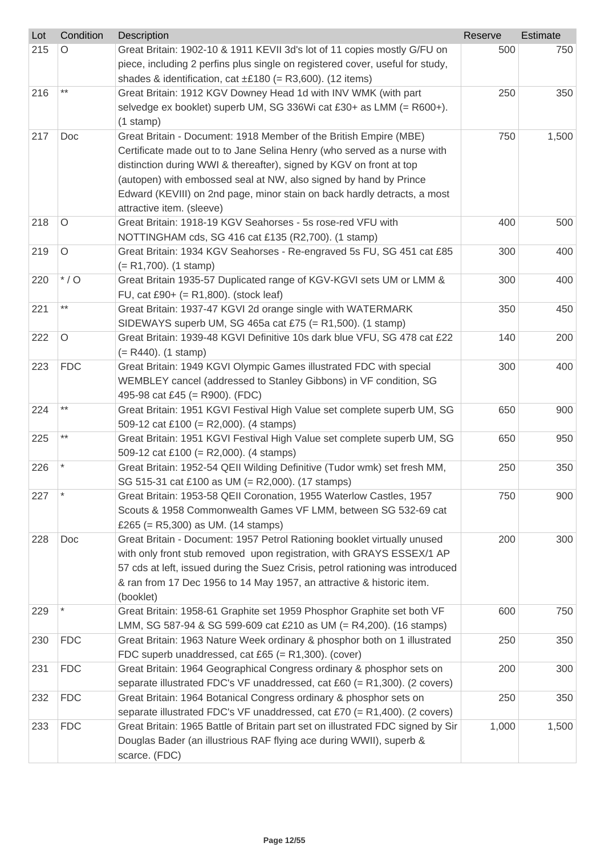| Lot | Condition     | Description                                                                     | Reserve | Estimate |
|-----|---------------|---------------------------------------------------------------------------------|---------|----------|
| 215 | O             | Great Britain: 1902-10 & 1911 KEVII 3d's lot of 11 copies mostly G/FU on        | 500     | 750      |
|     |               | piece, including 2 perfins plus single on registered cover, useful for study,   |         |          |
|     |               | shades & identification, cat $\pm$ £180 (= R3,600). (12 items)                  |         |          |
| 216 | $***$         | Great Britain: 1912 KGV Downey Head 1d with INV WMK (with part                  | 250     | 350      |
|     |               | selvedge ex booklet) superb UM, SG 336Wi cat £30+ as LMM (= R600+).             |         |          |
|     |               | $(1$ stamp)                                                                     |         |          |
| 217 | Doc           | Great Britain - Document: 1918 Member of the British Empire (MBE)               | 750     | 1,500    |
|     |               | Certificate made out to to Jane Selina Henry (who served as a nurse with        |         |          |
|     |               | distinction during WWI & thereafter), signed by KGV on front at top             |         |          |
|     |               | (autopen) with embossed seal at NW, also signed by hand by Prince               |         |          |
|     |               | Edward (KEVIII) on 2nd page, minor stain on back hardly detracts, a most        |         |          |
|     |               | attractive item. (sleeve)                                                       |         |          |
| 218 | $\circ$       | Great Britain: 1918-19 KGV Seahorses - 5s rose-red VFU with                     | 400     | 500      |
|     |               | NOTTINGHAM cds, SG 416 cat £135 (R2,700). (1 stamp)                             |         |          |
| 219 | $\circ$       | Great Britain: 1934 KGV Seahorses - Re-engraved 5s FU, SG 451 cat £85           | 300     | 400      |
|     |               | $(= R1,700)$ . (1 stamp)                                                        |         |          |
| 220 | $*$ / $\circ$ | Great Britain 1935-57 Duplicated range of KGV-KGVI sets UM or LMM &             | 300     | 400      |
|     |               | FU, cat £90+ (= $R1,800$ ). (stock leaf)                                        |         |          |
| 221 | $***$         | Great Britain: 1937-47 KGVI 2d orange single with WATERMARK                     | 350     | 450      |
|     |               | SIDEWAYS superb UM, SG 465a cat £75 (= R1,500). (1 stamp)                       |         |          |
| 222 | $\circ$       | Great Britain: 1939-48 KGVI Definitive 10s dark blue VFU, SG 478 cat £22        | 140     | 200      |
|     |               | $(= R440)$ . (1 stamp)                                                          |         |          |
| 223 | <b>FDC</b>    | Great Britain: 1949 KGVI Olympic Games illustrated FDC with special             | 300     | 400      |
|     |               | WEMBLEY cancel (addressed to Stanley Gibbons) in VF condition, SG               |         |          |
|     |               | 495-98 cat £45 (= R900). (FDC)                                                  |         |          |
| 224 | $***$         | Great Britain: 1951 KGVI Festival High Value set complete superb UM, SG         | 650     | 900      |
|     |               | 509-12 cat £100 (= R2,000). (4 stamps)                                          |         |          |
| 225 | $***$         | Great Britain: 1951 KGVI Festival High Value set complete superb UM, SG         | 650     | 950      |
|     |               | 509-12 cat £100 (= R2,000). (4 stamps)                                          |         |          |
| 226 |               | Great Britain: 1952-54 QEII Wilding Definitive (Tudor wmk) set fresh MM,        | 250     | 350      |
|     |               | SG 515-31 cat £100 as UM (= R2,000). (17 stamps)                                |         |          |
| 227 | $\ast$        | Great Britain: 1953-58 QEII Coronation, 1955 Waterlow Castles, 1957             | 750     | 900      |
|     |               | Scouts & 1958 Commonwealth Games VF LMM, between SG 532-69 cat                  |         |          |
|     |               | £265 (= $R5,300$ ) as UM. (14 stamps)                                           |         |          |
| 228 | Doc           | Great Britain - Document: 1957 Petrol Rationing booklet virtually unused        | 200     | 300      |
|     |               | with only front stub removed upon registration, with GRAYS ESSEX/1 AP           |         |          |
|     |               | 57 cds at left, issued during the Suez Crisis, petrol rationing was introduced  |         |          |
|     |               | & ran from 17 Dec 1956 to 14 May 1957, an attractive & historic item.           |         |          |
|     |               | (booklet)                                                                       |         |          |
| 229 |               | Great Britain: 1958-61 Graphite set 1959 Phosphor Graphite set both VF          | 600     | 750      |
|     |               | LMM, SG 587-94 & SG 599-609 cat £210 as UM (= R4,200). (16 stamps)              |         |          |
| 230 | <b>FDC</b>    | Great Britain: 1963 Nature Week ordinary & phosphor both on 1 illustrated       | 250     | 350      |
|     |               | FDC superb unaddressed, cat £65 (= $R1,300$ ). (cover)                          |         |          |
| 231 | <b>FDC</b>    | Great Britain: 1964 Geographical Congress ordinary & phosphor sets on           | 200     | 300      |
|     |               | separate illustrated FDC's VF unaddressed, cat £60 (= R1,300). (2 covers)       |         |          |
| 232 | <b>FDC</b>    | Great Britain: 1964 Botanical Congress ordinary & phosphor sets on              | 250     | 350      |
|     |               | separate illustrated FDC's VF unaddressed, cat £70 (= R1,400). (2 covers)       |         |          |
| 233 | <b>FDC</b>    | Great Britain: 1965 Battle of Britain part set on illustrated FDC signed by Sir | 1,000   | 1,500    |
|     |               | Douglas Bader (an illustrious RAF flying ace during WWII), superb &             |         |          |
|     |               | scarce. (FDC)                                                                   |         |          |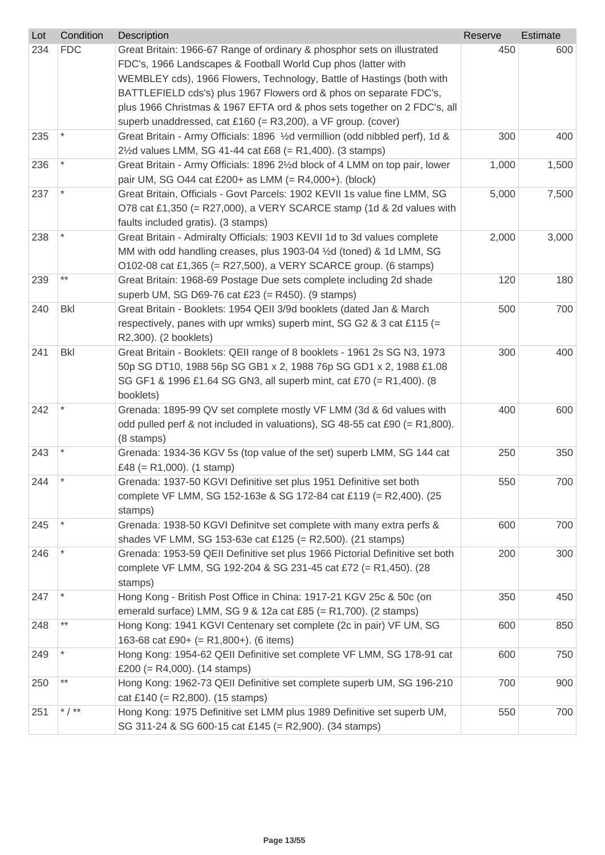| Lot | Condition  | Description                                                                                                                                                                                                                                                                                                                                                                                                                            | Reserve | Estimate |
|-----|------------|----------------------------------------------------------------------------------------------------------------------------------------------------------------------------------------------------------------------------------------------------------------------------------------------------------------------------------------------------------------------------------------------------------------------------------------|---------|----------|
| 234 | <b>FDC</b> | Great Britain: 1966-67 Range of ordinary & phosphor sets on illustrated<br>FDC's, 1966 Landscapes & Football World Cup phos (latter with<br>WEMBLEY cds), 1966 Flowers, Technology, Battle of Hastings (both with<br>BATTLEFIELD cds's) plus 1967 Flowers ord & phos on separate FDC's,<br>plus 1966 Christmas & 1967 EFTA ord & phos sets together on 2 FDC's, all<br>superb unaddressed, cat £160 (= $R3,200$ ), a VF group. (cover) | 450     | 600      |
| 235 |            | Great Britain - Army Officials: 1896 1/2d vermillion (odd nibbled perf), 1d &<br>$2\frac{1}{2}$ d values LMM, SG 41-44 cat £68 (= R1,400). (3 stamps)                                                                                                                                                                                                                                                                                  | 300     | 400      |
| 236 |            | Great Britain - Army Officials: 1896 21/2d block of 4 LMM on top pair, lower<br>pair UM, SG O44 cat £200+ as LMM (= R4,000+). (block)                                                                                                                                                                                                                                                                                                  | 1,000   | 1,500    |
| 237 |            | Great Britain, Officials - Govt Parcels: 1902 KEVII 1s value fine LMM, SG<br>O78 cat £1,350 (= R27,000), a VERY SCARCE stamp (1d & 2d values with<br>faults included gratis). (3 stamps)                                                                                                                                                                                                                                               | 5,000   | 7,500    |
| 238 |            | Great Britain - Admiralty Officials: 1903 KEVII 1d to 3d values complete<br>MM with odd handling creases, plus 1903-04 1/2d (toned) & 1d LMM, SG<br>O102-08 cat £1,365 (= R27,500), a VERY SCARCE group. (6 stamps)                                                                                                                                                                                                                    | 2,000   | 3,000    |
| 239 | $***$      | Great Britain: 1968-69 Postage Due sets complete including 2d shade<br>superb UM, SG D69-76 cat £23 (= R450). (9 stamps)                                                                                                                                                                                                                                                                                                               | 120     | 180      |
| 240 | <b>Bkl</b> | Great Britain - Booklets: 1954 QEII 3/9d booklets (dated Jan & March<br>respectively, panes with upr wmks) superb mint, SG G2 & 3 cat £115 (=<br>R2,300). (2 booklets)                                                                                                                                                                                                                                                                 | 500     | 700      |
| 241 | <b>Bkl</b> | Great Britain - Booklets: QEII range of 8 booklets - 1961 2s SG N3, 1973<br>50p SG DT10, 1988 56p SG GB1 x 2, 1988 76p SG GD1 x 2, 1988 £1.08<br>SG GF1 & 1996 £1.64 SG GN3, all superb mint, cat £70 (= R1,400). (8<br>booklets)                                                                                                                                                                                                      | 300     | 400      |
| 242 |            | Grenada: 1895-99 QV set complete mostly VF LMM (3d & 6d values with<br>odd pulled perf & not included in valuations), SG 48-55 cat £90 (= $R1,800$ ).<br>(8 stamps)                                                                                                                                                                                                                                                                    | 400     | 600      |
| 243 |            | Grenada: 1934-36 KGV 5s (top value of the set) superb LMM, SG 144 cat<br>£48 (= R1,000). (1 stamp)                                                                                                                                                                                                                                                                                                                                     | 250     | 350      |
| 244 |            | Grenada: 1937-50 KGVI Definitive set plus 1951 Definitive set both<br>complete VF LMM, SG 152-163e & SG 172-84 cat £119 (= R2,400). (25<br>stamps)                                                                                                                                                                                                                                                                                     | 550     | 700      |
| 245 |            | Grenada: 1938-50 KGVI Definitve set complete with many extra perfs &<br>shades VF LMM, SG 153-63e cat £125 (= R2,500). (21 stamps)                                                                                                                                                                                                                                                                                                     | 600     | 700      |
| 246 |            | Grenada: 1953-59 QEII Definitive set plus 1966 Pictorial Definitive set both<br>complete VF LMM, SG 192-204 & SG 231-45 cat £72 (= R1,450). (28<br>stamps)                                                                                                                                                                                                                                                                             | 200     | 300      |
| 247 |            | Hong Kong - British Post Office in China: 1917-21 KGV 25c & 50c (on<br>emerald surface) LMM, SG $9 & 12a$ cat £85 (= R1,700). (2 stamps)                                                                                                                                                                                                                                                                                               | 350     | 450      |
| 248 | $***$      | Hong Kong: 1941 KGVI Centenary set complete (2c in pair) VF UM, SG<br>163-68 cat £90+ (= R1,800+). (6 items)                                                                                                                                                                                                                                                                                                                           | 600     | 850      |
| 249 |            | Hong Kong: 1954-62 QEII Definitive set complete VF LMM, SG 178-91 cat<br>£200 (= $R4,000$ ). (14 stamps)                                                                                                                                                                                                                                                                                                                               | 600     | 750      |
| 250 | $***$      | Hong Kong: 1962-73 QEII Definitive set complete superb UM, SG 196-210<br>cat £140 (= R2,800). (15 stamps)                                                                                                                                                                                                                                                                                                                              | 700     | 900      |
| 251 | * $/$ **   | Hong Kong: 1975 Definitive set LMM plus 1989 Definitive set superb UM,<br>SG 311-24 & SG 600-15 cat £145 (= R2,900). (34 stamps)                                                                                                                                                                                                                                                                                                       | 550     | 700      |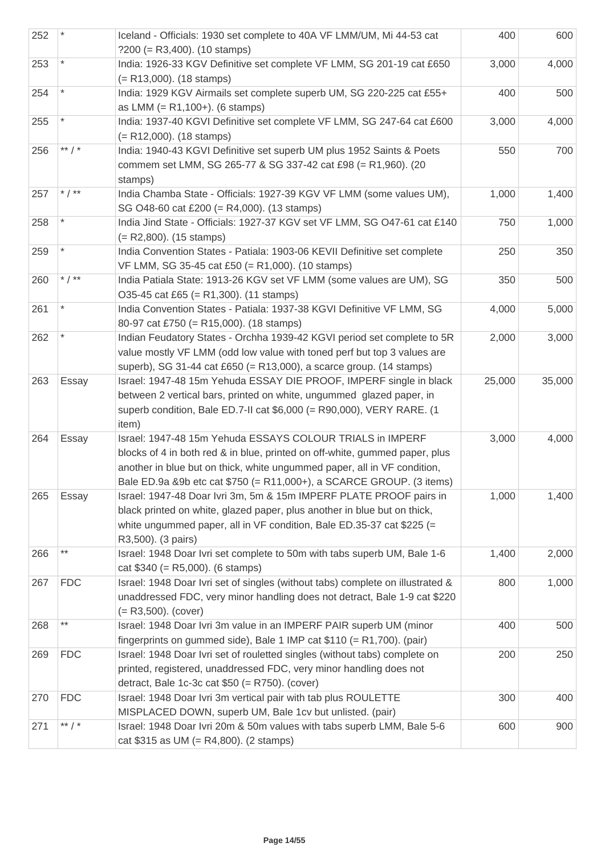| 252 |            | Iceland - Officials: 1930 set complete to 40A VF LMM/UM, Mi 44-53 cat<br>$?200 (= R3,400).$ (10 stamps)                                                                                                                                                                                      | 400    | 600    |
|-----|------------|----------------------------------------------------------------------------------------------------------------------------------------------------------------------------------------------------------------------------------------------------------------------------------------------|--------|--------|
| 253 |            | India: 1926-33 KGV Definitive set complete VF LMM, SG 201-19 cat £650<br>$(= R13,000)$ . (18 stamps)                                                                                                                                                                                         | 3,000  | 4,000  |
| 254 | $\star$    | India: 1929 KGV Airmails set complete superb UM, SG 220-225 cat £55+<br>as LMM $(= R1, 100+)$ . (6 stamps)                                                                                                                                                                                   | 400    | 500    |
| 255 |            | India: 1937-40 KGVI Definitive set complete VF LMM, SG 247-64 cat £600<br>$(= R12,000)$ . (18 stamps)                                                                                                                                                                                        | 3,000  | 4,000  |
| 256 | ** $/$ *   | India: 1940-43 KGVI Definitive set superb UM plus 1952 Saints & Poets<br>commem set LMM, SG 265-77 & SG 337-42 cat £98 (= R1,960). (20<br>stamps)                                                                                                                                            | 550    | 700    |
| 257 | * $/$ **   | India Chamba State - Officials: 1927-39 KGV VF LMM (some values UM),<br>SG O48-60 cat £200 (= R4,000). (13 stamps)                                                                                                                                                                           | 1,000  | 1,400  |
| 258 |            | India Jind State - Officials: 1927-37 KGV set VF LMM, SG O47-61 cat £140<br>$(= R2,800)$ . (15 stamps)                                                                                                                                                                                       | 750    | 1,000  |
| 259 | $\star$    | India Convention States - Patiala: 1903-06 KEVII Definitive set complete<br>VF LMM, SG 35-45 cat £50 (= R1,000). (10 stamps)                                                                                                                                                                 | 250    | 350    |
| 260 | * $/$ **   | India Patiala State: 1913-26 KGV set VF LMM (some values are UM), SG<br>O35-45 cat £65 (= R1,300). (11 stamps)                                                                                                                                                                               | 350    | 500    |
| 261 |            | India Convention States - Patiala: 1937-38 KGVI Definitive VF LMM, SG<br>80-97 cat £750 (= R15,000). (18 stamps)                                                                                                                                                                             | 4,000  | 5,000  |
| 262 |            | Indian Feudatory States - Orchha 1939-42 KGVI period set complete to 5R<br>value mostly VF LMM (odd low value with toned perf but top 3 values are<br>superb), SG 31-44 cat £650 (= R13,000), a scarce group. (14 stamps)                                                                    | 2,000  | 3,000  |
| 263 | Essay      | Israel: 1947-48 15m Yehuda ESSAY DIE PROOF, IMPERF single in black<br>between 2 vertical bars, printed on white, ungummed glazed paper, in<br>superb condition, Bale ED.7-II cat \$6,000 (= R90,000), VERY RARE. (1<br>item)                                                                 | 25,000 | 35,000 |
| 264 | Essay      | Israel: 1947-48 15m Yehuda ESSAYS COLOUR TRIALS in IMPERF<br>blocks of 4 in both red & in blue, printed on off-white, gummed paper, plus<br>another in blue but on thick, white ungummed paper, all in VF condition,<br>Bale ED.9a &9b etc cat \$750 (= R11,000+), a SCARCE GROUP. (3 items) | 3,000  | 4,000  |
| 265 | Essay      | Israel: 1947-48 Doar Ivri 3m, 5m & 15m IMPERF PLATE PROOF pairs in<br>black printed on white, glazed paper, plus another in blue but on thick,<br>white ungummed paper, all in VF condition, Bale ED.35-37 cat \$225 (=<br>R3,500). (3 pairs)                                                | 1,000  | 1,400  |
| 266 | $***$      | Israel: 1948 Doar Ivri set complete to 50m with tabs superb UM, Bale 1-6<br>cat $$340 (= R5,000)$ . (6 stamps)                                                                                                                                                                               | 1,400  | 2,000  |
| 267 | <b>FDC</b> | Israel: 1948 Doar Ivri set of singles (without tabs) complete on illustrated &<br>unaddressed FDC, very minor handling does not detract, Bale 1-9 cat \$220<br>$(= R3,500)$ . (cover)                                                                                                        | 800    | 1,000  |
| 268 | $***$      | Israel: 1948 Doar Ivri 3m value in an IMPERF PAIR superb UM (minor<br>fingerprints on gummed side), Bale 1 IMP cat $$110 (= R1,700)$ . (pair)                                                                                                                                                | 400    | 500    |
| 269 | <b>FDC</b> | Israel: 1948 Doar Ivri set of rouletted singles (without tabs) complete on<br>printed, registered, unaddressed FDC, very minor handling does not<br>detract, Bale 1c-3c cat $$50 (= R750)$ . (cover)                                                                                         | 200    | 250    |
| 270 | <b>FDC</b> | Israel: 1948 Doar Ivri 3m vertical pair with tab plus ROULETTE<br>MISPLACED DOWN, superb UM, Bale 1cv but unlisted. (pair)                                                                                                                                                                   | 300    | 400    |
| 271 | ** $/$ *   | Israel: 1948 Doar Ivri 20m & 50m values with tabs superb LMM, Bale 5-6<br>cat $$315$ as UM (= R4,800). (2 stamps)                                                                                                                                                                            | 600    | 900    |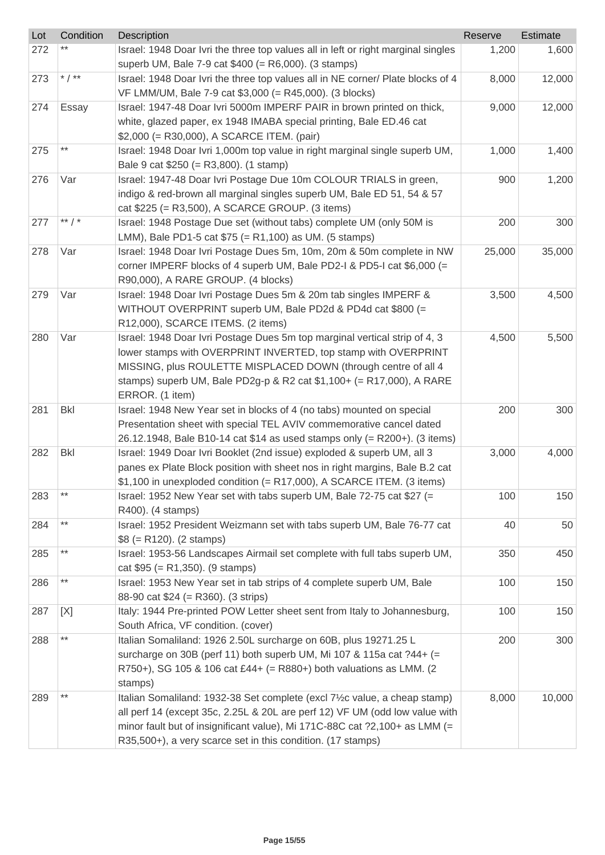| Lot | Condition  | Description                                                                                                                                           | Reserve | Estimate |
|-----|------------|-------------------------------------------------------------------------------------------------------------------------------------------------------|---------|----------|
| 272 |            | Israel: 1948 Doar Ivri the three top values all in left or right marginal singles                                                                     | 1,200   | 1,600    |
|     |            | superb UM, Bale 7-9 cat \$400 (= R6,000). (3 stamps)                                                                                                  |         |          |
| 273 | * $/$ **   | Israel: 1948 Doar Ivri the three top values all in NE corner/ Plate blocks of 4                                                                       | 8,000   | 12,000   |
|     |            | VF LMM/UM, Bale 7-9 cat \$3,000 (= R45,000). (3 blocks)                                                                                               |         |          |
| 274 | Essay      | Israel: 1947-48 Doar Ivri 5000m IMPERF PAIR in brown printed on thick,                                                                                | 9,000   | 12,000   |
|     |            | white, glazed paper, ex 1948 IMABA special printing, Bale ED.46 cat                                                                                   |         |          |
|     |            | \$2,000 (= R30,000), A SCARCE ITEM. (pair)                                                                                                            |         |          |
| 275 |            | Israel: 1948 Doar Ivri 1,000m top value in right marginal single superb UM,                                                                           | 1,000   | 1,400    |
|     | Var        | Bale 9 cat \$250 (= R3,800). (1 stamp)<br>Israel: 1947-48 Doar Ivri Postage Due 10m COLOUR TRIALS in green,                                           |         |          |
| 276 |            | indigo & red-brown all marginal singles superb UM, Bale ED 51, 54 & 57                                                                                | 900     | 1,200    |
|     |            | cat \$225 (= R3,500), A SCARCE GROUP. (3 items)                                                                                                       |         |          |
| 277 | ** $/$ *   | Israel: 1948 Postage Due set (without tabs) complete UM (only 50M is                                                                                  | 200     | 300      |
|     |            | LMM), Bale PD1-5 cat \$75 (= R1,100) as UM. (5 stamps)                                                                                                |         |          |
| 278 | Var        | Israel: 1948 Doar Ivri Postage Dues 5m, 10m, 20m & 50m complete in NW                                                                                 | 25,000  | 35,000   |
|     |            | corner IMPERF blocks of 4 superb UM, Bale PD2-I & PD5-I cat \$6,000 (=                                                                                |         |          |
|     |            | R90,000), A RARE GROUP. (4 blocks)                                                                                                                    |         |          |
| 279 | Var        | Israel: 1948 Doar Ivri Postage Dues 5m & 20m tab singles IMPERF &                                                                                     | 3,500   | 4,500    |
|     |            | WITHOUT OVERPRINT superb UM, Bale PD2d & PD4d cat \$800 (=                                                                                            |         |          |
|     |            | R12,000), SCARCE ITEMS. (2 items)                                                                                                                     |         |          |
| 280 | Var        | Israel: 1948 Doar Ivri Postage Dues 5m top marginal vertical strip of 4, 3                                                                            | 4,500   | 5,500    |
|     |            | lower stamps with OVERPRINT INVERTED, top stamp with OVERPRINT                                                                                        |         |          |
|     |            | MISSING, plus ROULETTE MISPLACED DOWN (through centre of all 4                                                                                        |         |          |
|     |            | stamps) superb UM, Bale PD2g-p & R2 cat \$1,100+ (= R17,000), A RARE                                                                                  |         |          |
|     |            | ERROR. (1 item)                                                                                                                                       |         |          |
| 281 | <b>Bkl</b> | Israel: 1948 New Year set in blocks of 4 (no tabs) mounted on special                                                                                 | 200     | 300      |
|     |            | Presentation sheet with special TEL AVIV commemorative cancel dated                                                                                   |         |          |
|     |            | 26.12.1948, Bale B10-14 cat \$14 as used stamps only (= R200+). (3 items)                                                                             |         |          |
| 282 | <b>Bkl</b> | Israel: 1949 Doar Ivri Booklet (2nd issue) exploded & superb UM, all 3<br>panes ex Plate Block position with sheet nos in right margins, Bale B.2 cat | 3,000   | 4,000    |
|     |            | \$1,100 in unexploded condition (= R17,000), A SCARCE ITEM. (3 items)                                                                                 |         |          |
| 283 | $***$      | Israel: 1952 New Year set with tabs superb UM, Bale 72-75 cat \$27 (=                                                                                 | 100     | 150      |
|     |            | R400). (4 stamps)                                                                                                                                     |         |          |
| 284 | $***$      | Israel: 1952 President Weizmann set with tabs superb UM, Bale 76-77 cat                                                                               | 40      | 50       |
|     |            | $$8 (= R120)$ . (2 stamps)                                                                                                                            |         |          |
| 285 | $***$      | Israel: 1953-56 Landscapes Airmail set complete with full tabs superb UM,                                                                             | 350     | 450      |
|     |            | cat $$95 (= R1,350)$ . (9 stamps)                                                                                                                     |         |          |
| 286 | $***$      | Israel: 1953 New Year set in tab strips of 4 complete superb UM, Bale                                                                                 | 100     | 150      |
|     |            | 88-90 cat \$24 (= R360). (3 strips)                                                                                                                   |         |          |
| 287 | [X]        | Italy: 1944 Pre-printed POW Letter sheet sent from Italy to Johannesburg,                                                                             | 100     | 150      |
|     |            | South Africa, VF condition. (cover)                                                                                                                   |         |          |
| 288 | $***$      | Italian Somaliland: 1926 2.50L surcharge on 60B, plus 19271.25 L                                                                                      | 200     | 300      |
|     |            | surcharge on 30B (perf 11) both superb UM, Mi 107 & 115a cat ?44+ (=                                                                                  |         |          |
|     |            | R750+), SG 105 & 106 cat £44+ (= R880+) both valuations as LMM. (2                                                                                    |         |          |
|     |            | stamps)                                                                                                                                               |         |          |
| 289 | $***$      | Italian Somaliland: 1932-38 Set complete (excl 7 <sup>1</sup> / <sub>2</sub> c value, a cheap stamp)                                                  | 8,000   | 10,000   |
|     |            | all perf 14 (except 35c, 2.25L & 20L are perf 12) VF UM (odd low value with                                                                           |         |          |
|     |            | minor fault but of insignificant value), Mi 171C-88C cat ?2,100+ as LMM (=                                                                            |         |          |
|     |            | R35,500+), a very scarce set in this condition. (17 stamps)                                                                                           |         |          |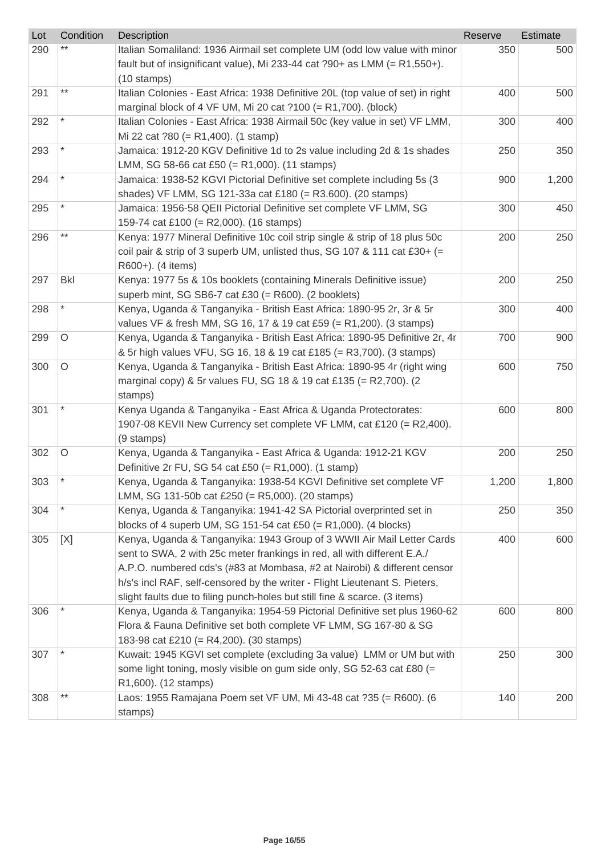| 350 |                                                                                                                              |
|-----|------------------------------------------------------------------------------------------------------------------------------|
|     | 500                                                                                                                          |
|     |                                                                                                                              |
|     |                                                                                                                              |
|     | 500                                                                                                                          |
|     |                                                                                                                              |
|     | 400                                                                                                                          |
|     |                                                                                                                              |
|     | 350                                                                                                                          |
|     |                                                                                                                              |
|     | 1,200                                                                                                                        |
|     |                                                                                                                              |
|     | 450                                                                                                                          |
|     |                                                                                                                              |
|     | 250                                                                                                                          |
|     |                                                                                                                              |
|     |                                                                                                                              |
|     | 250                                                                                                                          |
|     |                                                                                                                              |
|     | 400                                                                                                                          |
|     |                                                                                                                              |
|     | 900                                                                                                                          |
|     |                                                                                                                              |
|     | 750                                                                                                                          |
|     |                                                                                                                              |
|     |                                                                                                                              |
|     | 800                                                                                                                          |
|     |                                                                                                                              |
|     |                                                                                                                              |
|     | 250                                                                                                                          |
|     |                                                                                                                              |
|     | 1,800                                                                                                                        |
|     |                                                                                                                              |
|     | 350                                                                                                                          |
|     |                                                                                                                              |
|     | 600                                                                                                                          |
|     |                                                                                                                              |
|     |                                                                                                                              |
|     |                                                                                                                              |
|     | 800                                                                                                                          |
|     |                                                                                                                              |
|     |                                                                                                                              |
|     | 300                                                                                                                          |
|     |                                                                                                                              |
|     |                                                                                                                              |
|     | 200                                                                                                                          |
|     |                                                                                                                              |
|     | 400<br>300<br>250<br>900<br>300<br>200<br>200<br>300<br>700<br>600<br>600<br>200<br>1,200<br>250<br>400<br>600<br>250<br>140 |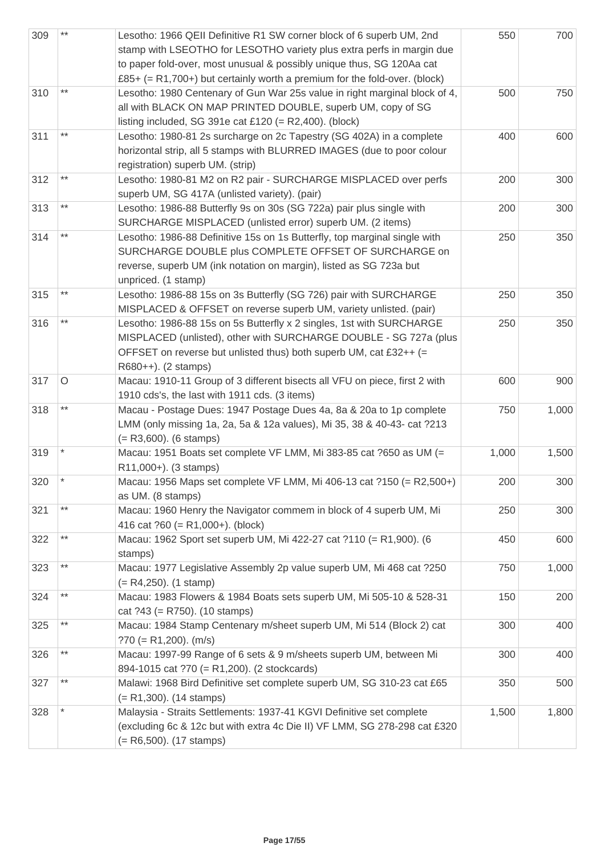| 309 | **              | Lesotho: 1966 QEII Definitive R1 SW corner block of 6 superb UM, 2nd<br>stamp with LSEOTHO for LESOTHO variety plus extra perfs in margin due<br>to paper fold-over, most unusual & possibly unique thus, SG 120Aa cat<br>£85+ (= $R1,700+$ ) but certainly worth a premium for the fold-over. (block) | 550   | 700   |
|-----|-----------------|--------------------------------------------------------------------------------------------------------------------------------------------------------------------------------------------------------------------------------------------------------------------------------------------------------|-------|-------|
| 310 | $***$           | Lesotho: 1980 Centenary of Gun War 25s value in right marginal block of 4,<br>all with BLACK ON MAP PRINTED DOUBLE, superb UM, copy of SG<br>listing included, SG 391e cat £120 (= $R2,400$ ). (block)                                                                                                 | 500   | 750   |
| 311 | $***$           | Lesotho: 1980-81 2s surcharge on 2c Tapestry (SG 402A) in a complete<br>horizontal strip, all 5 stamps with BLURRED IMAGES (due to poor colour<br>registration) superb UM. (strip)                                                                                                                     | 400   | 600   |
| 312 | $***$           | Lesotho: 1980-81 M2 on R2 pair - SURCHARGE MISPLACED over perfs<br>superb UM, SG 417A (unlisted variety). (pair)                                                                                                                                                                                       | 200   | 300   |
| 313 | $***$           | Lesotho: 1986-88 Butterfly 9s on 30s (SG 722a) pair plus single with<br>SURCHARGE MISPLACED (unlisted error) superb UM. (2 items)                                                                                                                                                                      | 200   | 300   |
| 314 | $***$           | Lesotho: 1986-88 Definitive 15s on 1s Butterfly, top marginal single with<br>SURCHARGE DOUBLE plus COMPLETE OFFSET OF SURCHARGE on<br>reverse, superb UM (ink notation on margin), listed as SG 723a but<br>unpriced. (1 stamp)                                                                        | 250   | 350   |
| 315 | $***$           | Lesotho: 1986-88 15s on 3s Butterfly (SG 726) pair with SURCHARGE<br>MISPLACED & OFFSET on reverse superb UM, variety unlisted. (pair)                                                                                                                                                                 | 250   | 350   |
| 316 | $***$           | Lesotho: 1986-88 15s on 5s Butterfly x 2 singles, 1st with SURCHARGE<br>MISPLACED (unlisted), other with SURCHARGE DOUBLE - SG 727a (plus<br>OFFSET on reverse but unlisted thus) both superb UM, cat £32++ (=<br>R680++). (2 stamps)                                                                  | 250   | 350   |
| 317 | $\circ$         | Macau: 1910-11 Group of 3 different bisects all VFU on piece, first 2 with<br>1910 cds's, the last with 1911 cds. (3 items)                                                                                                                                                                            | 600   | 900   |
| 318 | $***$           | Macau - Postage Dues: 1947 Postage Dues 4a, 8a & 20a to 1p complete<br>LMM (only missing 1a, 2a, 5a & 12a values), Mi 35, 38 & 40-43- cat ?213<br>$(= R3,600)$ . (6 stamps)                                                                                                                            | 750   | 1,000 |
| 319 |                 | Macau: 1951 Boats set complete VF LMM, Mi 383-85 cat ?650 as UM (=<br>R11,000+). (3 stamps)                                                                                                                                                                                                            | 1,000 | 1,500 |
| 320 |                 | Macau: 1956 Maps set complete VF LMM, Mi 406-13 cat ?150 (= R2,500+)<br>as UM. (8 stamps)                                                                                                                                                                                                              | 200   | 300   |
| 321 | $***$           | Macau: 1960 Henry the Navigator commem in block of 4 superb UM, Mi<br>416 cat $?60 (= R1,000+)$ . (block)                                                                                                                                                                                              | 250   | 300   |
| 322 | $^{\star\star}$ | Macau: 1962 Sport set superb UM, Mi 422-27 cat ?110 (= R1,900). (6<br>stamps)                                                                                                                                                                                                                          | 450   | 600   |
| 323 | $***$           | Macau: 1977 Legislative Assembly 2p value superb UM, Mi 468 cat ?250<br>$(= R4,250)$ . (1 stamp)                                                                                                                                                                                                       | 750   | 1,000 |
| 324 | $***$           | Macau: 1983 Flowers & 1984 Boats sets superb UM, Mi 505-10 & 528-31<br>cat $?43 (= R750)$ . (10 stamps)                                                                                                                                                                                                | 150   | 200   |
| 325 | $***$           | Macau: 1984 Stamp Centenary m/sheet superb UM, Mi 514 (Block 2) cat<br>$?70 (= R1,200)$ . (m/s)                                                                                                                                                                                                        | 300   | 400   |
| 326 | $***$           | Macau: 1997-99 Range of 6 sets & 9 m/sheets superb UM, between Mi<br>894-1015 cat ?70 (= R1,200). (2 stockcards)                                                                                                                                                                                       | 300   | 400   |
| 327 | $***$           | Malawi: 1968 Bird Definitive set complete superb UM, SG 310-23 cat £65<br>$(= R1,300)$ . (14 stamps)                                                                                                                                                                                                   | 350   | 500   |
| 328 |                 | Malaysia - Straits Settlements: 1937-41 KGVI Definitive set complete<br>(excluding 6c & 12c but with extra 4c Die II) VF LMM, SG 278-298 cat £320<br>$(= R6, 500)$ . (17 stamps)                                                                                                                       | 1,500 | 1,800 |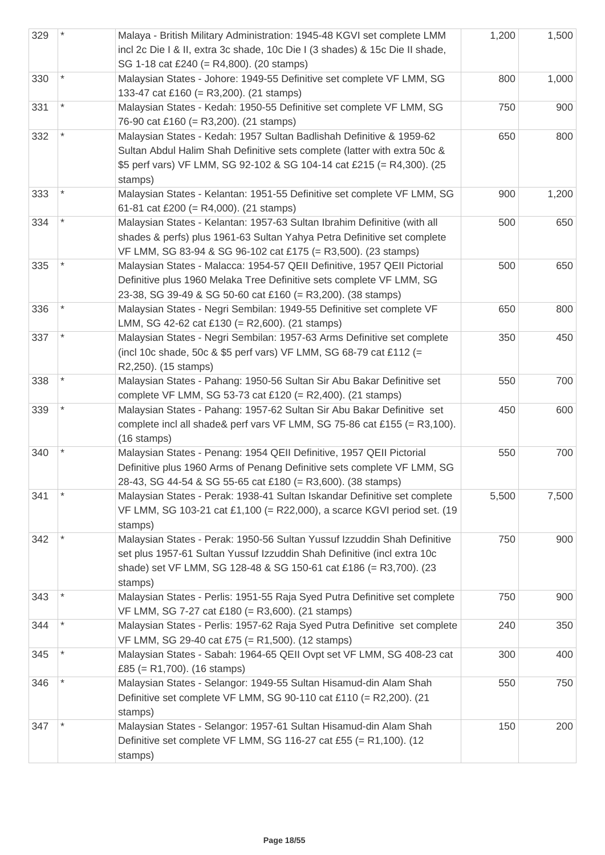| 329 | Malaya - British Military Administration: 1945-48 KGVI set complete LMM<br>incl 2c Die I & II, extra 3c shade, 10c Die I (3 shades) & 15c Die II shade,<br>SG 1-18 cat £240 (= R4,800). (20 stamps)                                   | 1,200 | 1,500 |
|-----|---------------------------------------------------------------------------------------------------------------------------------------------------------------------------------------------------------------------------------------|-------|-------|
| 330 | Malaysian States - Johore: 1949-55 Definitive set complete VF LMM, SG<br>133-47 cat £160 (= R3,200). (21 stamps)                                                                                                                      | 800   | 1,000 |
| 331 | Malaysian States - Kedah: 1950-55 Definitive set complete VF LMM, SG<br>76-90 cat £160 (= R3,200). (21 stamps)                                                                                                                        | 750   | 900   |
| 332 | Malaysian States - Kedah: 1957 Sultan Badlishah Definitive & 1959-62<br>Sultan Abdul Halim Shah Definitive sets complete (latter with extra 50c &<br>\$5 perf vars) VF LMM, SG 92-102 & SG 104-14 cat £215 (= R4,300). (25<br>stamps) | 650   | 800   |
| 333 | Malaysian States - Kelantan: 1951-55 Definitive set complete VF LMM, SG<br>61-81 cat £200 (= R4,000). (21 stamps)                                                                                                                     | 900   | 1,200 |
| 334 | Malaysian States - Kelantan: 1957-63 Sultan Ibrahim Definitive (with all<br>shades & perfs) plus 1961-63 Sultan Yahya Petra Definitive set complete<br>VF LMM, SG 83-94 & SG 96-102 cat £175 (= R3,500). (23 stamps)                  | 500   | 650   |
| 335 | Malaysian States - Malacca: 1954-57 QEII Definitive, 1957 QEII Pictorial<br>Definitive plus 1960 Melaka Tree Definitive sets complete VF LMM, SG<br>23-38, SG 39-49 & SG 50-60 cat £160 (= R3,200). (38 stamps)                       | 500   | 650   |
| 336 | Malaysian States - Negri Sembilan: 1949-55 Definitive set complete VF<br>LMM, SG 42-62 cat £130 (= R2,600). (21 stamps)                                                                                                               | 650   | 800   |
| 337 | Malaysian States - Negri Sembilan: 1957-63 Arms Definitive set complete<br>(incl 10c shade, 50c & \$5 perf vars) VF LMM, SG 68-79 cat £112 (=<br>R2,250). (15 stamps)                                                                 | 350   | 450   |
| 338 | Malaysian States - Pahang: 1950-56 Sultan Sir Abu Bakar Definitive set<br>complete VF LMM, SG 53-73 cat £120 (= R2,400). (21 stamps)                                                                                                  | 550   | 700   |
| 339 | Malaysian States - Pahang: 1957-62 Sultan Sir Abu Bakar Definitive set<br>complete incl all shade& perf vars VF LMM, SG 75-86 cat £155 (= $R3,100$ ).<br>(16 stamps)                                                                  | 450   | 600   |
| 340 | Malaysian States - Penang: 1954 QEII Definitive, 1957 QEII Pictorial<br>Definitive plus 1960 Arms of Penang Definitive sets complete VF LMM, SG<br>28-43, SG 44-54 & SG 55-65 cat £180 (= R3,600). (38 stamps)                        | 550   | 700   |
| 341 | Malaysian States - Perak: 1938-41 Sultan Iskandar Definitive set complete<br>VF LMM, SG 103-21 cat £1,100 (= R22,000), a scarce KGVI period set. (19<br>stamps)                                                                       | 5,500 | 7,500 |
| 342 | Malaysian States - Perak: 1950-56 Sultan Yussuf Izzuddin Shah Definitive<br>set plus 1957-61 Sultan Yussuf Izzuddin Shah Definitive (incl extra 10c<br>shade) set VF LMM, SG 128-48 & SG 150-61 cat £186 (= R3,700). (23<br>stamps)   | 750   | 900   |
| 343 | Malaysian States - Perlis: 1951-55 Raja Syed Putra Definitive set complete<br>VF LMM, SG 7-27 cat £180 (= R3,600). (21 stamps)                                                                                                        | 750   | 900   |
| 344 | Malaysian States - Perlis: 1957-62 Raja Syed Putra Definitive set complete<br>VF LMM, SG 29-40 cat £75 (= R1,500). (12 stamps)                                                                                                        | 240   | 350   |
| 345 | Malaysian States - Sabah: 1964-65 QEII Ovpt set VF LMM, SG 408-23 cat<br>£85 (= R1,700). (16 stamps)                                                                                                                                  | 300   | 400   |
| 346 | Malaysian States - Selangor: 1949-55 Sultan Hisamud-din Alam Shah<br>Definitive set complete VF LMM, SG 90-110 cat £110 (= R2,200). (21<br>stamps)                                                                                    | 550   | 750   |
| 347 | Malaysian States - Selangor: 1957-61 Sultan Hisamud-din Alam Shah<br>Definitive set complete VF LMM, SG 116-27 cat £55 (= R1,100). (12<br>stamps)                                                                                     | 150   | 200   |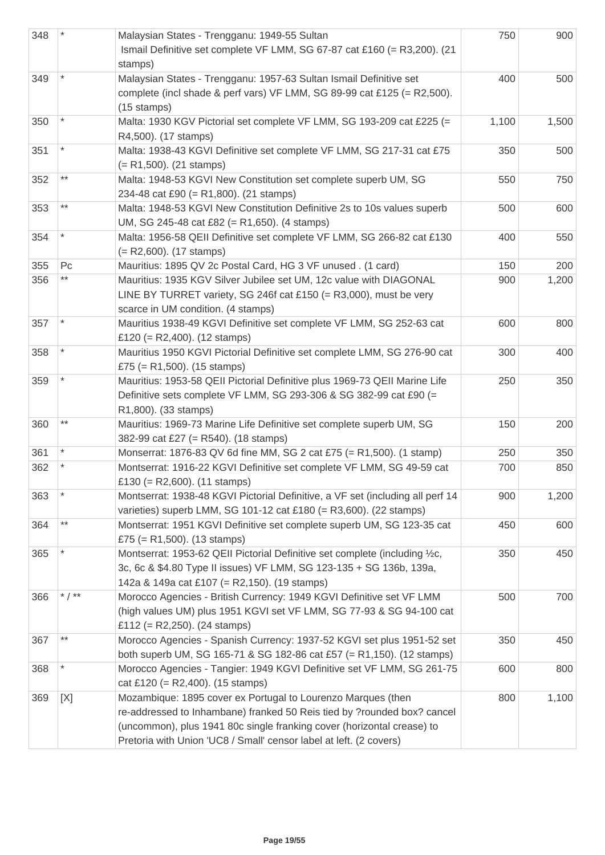| 348 |                 | Malaysian States - Trengganu: 1949-55 Sultan<br>Ismail Definitive set complete VF LMM, SG 67-87 cat £160 (= R3,200). (21<br>stamps)                                                                                                                                                     | 750   | 900   |
|-----|-----------------|-----------------------------------------------------------------------------------------------------------------------------------------------------------------------------------------------------------------------------------------------------------------------------------------|-------|-------|
| 349 |                 | Malaysian States - Trengganu: 1957-63 Sultan Ismail Definitive set<br>complete (incl shade & perf vars) VF LMM, SG 89-99 cat £125 (= R2,500).<br>(15 stamps)                                                                                                                            | 400   | 500   |
| 350 |                 | Malta: 1930 KGV Pictorial set complete VF LMM, SG 193-209 cat £225 (=<br>R4,500). (17 stamps)                                                                                                                                                                                           | 1,100 | 1,500 |
| 351 |                 | Malta: 1938-43 KGVI Definitive set complete VF LMM, SG 217-31 cat £75<br>$(= R1,500)$ . (21 stamps)                                                                                                                                                                                     | 350   | 500   |
| 352 | $^{\star\star}$ | Malta: 1948-53 KGVI New Constitution set complete superb UM, SG<br>234-48 cat £90 (= R1,800). (21 stamps)                                                                                                                                                                               | 550   | 750   |
| 353 | $^{\star\star}$ | Malta: 1948-53 KGVI New Constitution Definitive 2s to 10s values superb<br>UM, SG 245-48 cat £82 (= R1,650). (4 stamps)                                                                                                                                                                 | 500   | 600   |
| 354 |                 | Malta: 1956-58 QEII Definitive set complete VF LMM, SG 266-82 cat £130<br>$(= R2,600)$ . (17 stamps)                                                                                                                                                                                    | 400   | 550   |
| 355 | Pc              | Mauritius: 1895 QV 2c Postal Card, HG 3 VF unused. (1 card)                                                                                                                                                                                                                             | 150   | 200   |
| 356 | $***$           | Mauritius: 1935 KGV Silver Jubilee set UM, 12c value with DIAGONAL<br>LINE BY TURRET variety, SG 246f cat £150 (= $R3,000$ ), must be very<br>scarce in UM condition. (4 stamps)                                                                                                        | 900   | 1,200 |
| 357 |                 | Mauritius 1938-49 KGVI Definitive set complete VF LMM, SG 252-63 cat<br>£120 (= R2,400). (12 stamps)                                                                                                                                                                                    | 600   | 800   |
| 358 |                 | Mauritius 1950 KGVI Pictorial Definitive set complete LMM, SG 276-90 cat<br>£75 (= R1,500). (15 stamps)                                                                                                                                                                                 | 300   | 400   |
| 359 |                 | Mauritius: 1953-58 QEII Pictorial Definitive plus 1969-73 QEII Marine Life<br>Definitive sets complete VF LMM, SG 293-306 & SG 382-99 cat £90 (=<br>R1,800). (33 stamps)                                                                                                                | 250   | 350   |
| 360 | $***$           | Mauritius: 1969-73 Marine Life Definitive set complete superb UM, SG<br>382-99 cat £27 (= R540). (18 stamps)                                                                                                                                                                            | 150   | 200   |
| 361 |                 | Monserrat: 1876-83 QV 6d fine MM, SG 2 cat £75 (= R1,500). (1 stamp)                                                                                                                                                                                                                    | 250   | 350   |
| 362 |                 | Montserrat: 1916-22 KGVI Definitive set complete VF LMM, SG 49-59 cat<br>£130 (= R2,600). $(11 \text{ stamps})$                                                                                                                                                                         | 700   | 850   |
| 363 |                 | Montserrat: 1938-48 KGVI Pictorial Definitive, a VF set (including all perf 14<br>varieties) superb LMM, SG 101-12 cat £180 (= R3,600). (22 stamps)                                                                                                                                     | 900   | 1,200 |
| 364 | $***$           | Montserrat: 1951 KGVI Definitive set complete superb UM, SG 123-35 cat<br>£75 (= R1,500). $(13 \text{ stamps})$                                                                                                                                                                         | 450   | 600   |
| 365 |                 | Montserrat: 1953-62 QEII Pictorial Definitive set complete (including 1/2c,<br>3c, 6c & \$4.80 Type II issues) VF LMM, SG 123-135 + SG 136b, 139a,<br>142a & 149a cat £107 (= R2,150). (19 stamps)                                                                                      | 350   | 450   |
| 366 | * $/$ **        | Morocco Agencies - British Currency: 1949 KGVI Definitive set VF LMM<br>(high values UM) plus 1951 KGVI set VF LMM, SG 77-93 & SG 94-100 cat<br>£112 (= R2,250). (24 stamps)                                                                                                            | 500   | 700   |
| 367 | $***$           | Morocco Agencies - Spanish Currency: 1937-52 KGVI set plus 1951-52 set<br>both superb UM, SG 165-71 & SG 182-86 cat £57 (= R1,150). (12 stamps)                                                                                                                                         | 350   | 450   |
| 368 |                 | Morocco Agencies - Tangier: 1949 KGVI Definitive set VF LMM, SG 261-75<br>cat £120 (= R2,400). (15 stamps)                                                                                                                                                                              | 600   | 800   |
| 369 | [X]             | Mozambique: 1895 cover ex Portugal to Lourenzo Marques (then<br>re-addressed to Inhambane) franked 50 Reis tied by ?rounded box? cancel<br>(uncommon), plus 1941 80c single franking cover (horizontal crease) to<br>Pretoria with Union 'UC8 / Small' censor label at left. (2 covers) | 800   | 1,100 |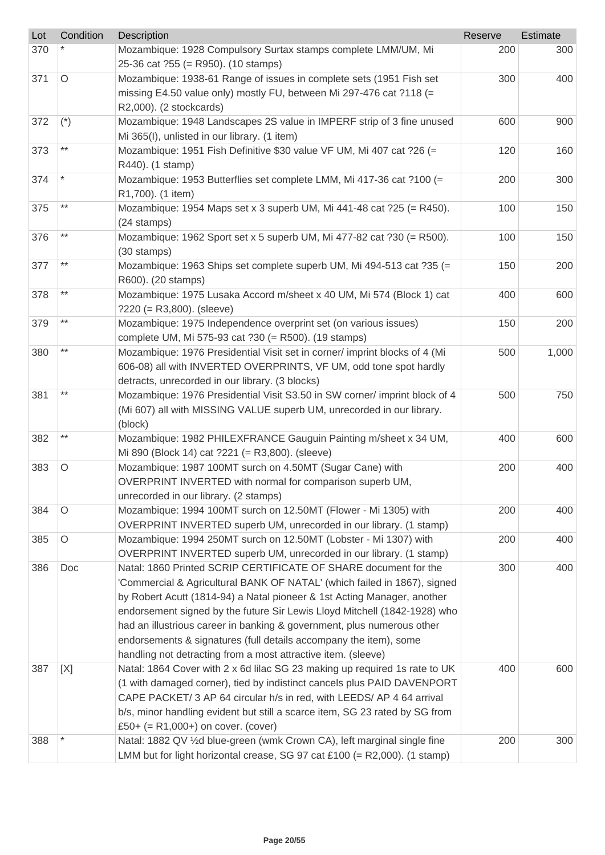| Lot        | Condition | <b>Description</b>                                                                                                                                                                                                                                                                                                                                                                                                                                                                                                  | Reserve    | Estimate   |
|------------|-----------|---------------------------------------------------------------------------------------------------------------------------------------------------------------------------------------------------------------------------------------------------------------------------------------------------------------------------------------------------------------------------------------------------------------------------------------------------------------------------------------------------------------------|------------|------------|
| 370        |           | Mozambique: 1928 Compulsory Surtax stamps complete LMM/UM, Mi<br>25-36 cat $?55 (= R950)$ . (10 stamps)                                                                                                                                                                                                                                                                                                                                                                                                             | 200        | 300        |
| 371        | $\circ$   | Mozambique: 1938-61 Range of issues in complete sets (1951 Fish set<br>missing E4.50 value only) mostly FU, between Mi 297-476 cat ?118 (=<br>R2,000). (2 stockcards)                                                                                                                                                                                                                                                                                                                                               | 300        | 400        |
| 372        | $(*)$     | Mozambique: 1948 Landscapes 2S value in IMPERF strip of 3 fine unused<br>Mi 365(I), unlisted in our library. (1 item)                                                                                                                                                                                                                                                                                                                                                                                               | 600        | 900        |
| 373        | $***$     | Mozambique: 1951 Fish Definitive \$30 value VF UM, Mi 407 cat ?26 (=<br>R440). (1 stamp)                                                                                                                                                                                                                                                                                                                                                                                                                            | 120        | 160        |
| 374        |           | Mozambique: 1953 Butterflies set complete LMM, Mi 417-36 cat ?100 (=<br>R1,700). (1 item)                                                                                                                                                                                                                                                                                                                                                                                                                           | 200        | 300        |
| 375        | $***$     | Mozambique: 1954 Maps set x 3 superb UM, Mi 441-48 cat ?25 (= R450).<br>(24 stamps)                                                                                                                                                                                                                                                                                                                                                                                                                                 | 100        | 150        |
| 376        | $***$     | Mozambique: 1962 Sport set x 5 superb UM, Mi 477-82 cat ?30 (= R500).<br>(30 stamps)                                                                                                                                                                                                                                                                                                                                                                                                                                | 100        | 150        |
| 377        | $***$     | Mozambique: 1963 Ships set complete superb UM, Mi 494-513 cat ?35 (=<br>R600). (20 stamps)                                                                                                                                                                                                                                                                                                                                                                                                                          | 150        | 200        |
| 378        | $***$     | Mozambique: 1975 Lusaka Accord m/sheet x 40 UM, Mi 574 (Block 1) cat<br>$?220 (= R3,800).$ (sleeve)                                                                                                                                                                                                                                                                                                                                                                                                                 | 400        | 600        |
| 379        | $***$     | Mozambique: 1975 Independence overprint set (on various issues)<br>complete UM, Mi 575-93 cat ?30 (= R500). (19 stamps)                                                                                                                                                                                                                                                                                                                                                                                             | 150        | 200        |
| 380        | **        | Mozambique: 1976 Presidential Visit set in corner/ imprint blocks of 4 (Mi<br>606-08) all with INVERTED OVERPRINTS, VF UM, odd tone spot hardly<br>detracts, unrecorded in our library. (3 blocks)                                                                                                                                                                                                                                                                                                                  | 500        | 1,000      |
| 381        | $***$     | Mozambique: 1976 Presidential Visit S3.50 in SW corner/ imprint block of 4<br>(Mi 607) all with MISSING VALUE superb UM, unrecorded in our library.<br>(block)                                                                                                                                                                                                                                                                                                                                                      | 500        | 750        |
| 382        | $***$     | Mozambique: 1982 PHILEXFRANCE Gauguin Painting m/sheet x 34 UM,<br>Mi 890 (Block 14) cat ?221 (= R3,800). (sleeve)                                                                                                                                                                                                                                                                                                                                                                                                  | 400        | 600        |
| 383        | $\circ$   | Mozambique: 1987 100MT surch on 4.50MT (Sugar Cane) with<br>OVERPRINT INVERTED with normal for comparison superb UM,<br>unrecorded in our library. (2 stamps)                                                                                                                                                                                                                                                                                                                                                       | 200        | 400        |
| 384        | $\circ$   | Mozambique: 1994 100MT surch on 12.50MT (Flower - Mi 1305) with<br>OVERPRINT INVERTED superb UM, unrecorded in our library. (1 stamp)                                                                                                                                                                                                                                                                                                                                                                               | 200        | 400        |
| 385        | $\circ$   | Mozambique: 1994 250MT surch on 12.50MT (Lobster - Mi 1307) with<br>OVERPRINT INVERTED superb UM, unrecorded in our library. (1 stamp)                                                                                                                                                                                                                                                                                                                                                                              | 200        | 400        |
| 386        | Doc       | Natal: 1860 Printed SCRIP CERTIFICATE OF SHARE document for the<br>'Commercial & Agricultural BANK OF NATAL' (which failed in 1867), signed<br>by Robert Acutt (1814-94) a Natal pioneer & 1st Acting Manager, another<br>endorsement signed by the future Sir Lewis Lloyd Mitchell (1842-1928) who<br>had an illustrious career in banking & government, plus numerous other<br>endorsements & signatures (full details accompany the item), some<br>handling not detracting from a most attractive item. (sleeve) | 300        | 400        |
| 387<br>388 | [X]       | Natal: 1864 Cover with 2 x 6d lilac SG 23 making up required 1s rate to UK<br>(1 with damaged corner), tied by indistinct cancels plus PAID DAVENPORT<br>CAPE PACKET/ 3 AP 64 circular h/s in red, with LEEDS/ AP 4 64 arrival<br>b/s, minor handling evident but still a scarce item, SG 23 rated by SG from<br>£50+ (= $R1,000+$ ) on cover. (cover)<br>Natal: 1882 QV 1/2d blue-green (wmk Crown CA), left marginal single fine                                                                                  | 400<br>200 | 600<br>300 |
|            |           | LMM but for light horizontal crease, SG 97 cat £100 (= $R2,000$ ). (1 stamp)                                                                                                                                                                                                                                                                                                                                                                                                                                        |            |            |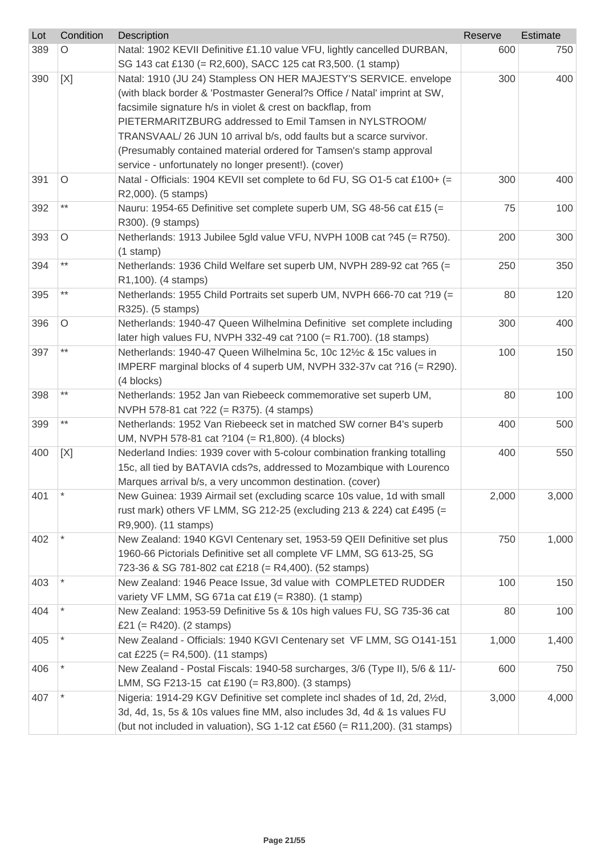| Lot | Condition       | Description                                                                                  | Reserve | Estimate |
|-----|-----------------|----------------------------------------------------------------------------------------------|---------|----------|
| 389 | O               | Natal: 1902 KEVII Definitive £1.10 value VFU, lightly cancelled DURBAN,                      | 600     | 750      |
|     |                 | SG 143 cat £130 (= R2,600), SACC 125 cat R3,500. (1 stamp)                                   |         |          |
| 390 | [X]             | Natal: 1910 (JU 24) Stampless ON HER MAJESTY'S SERVICE. envelope                             | 300     | 400      |
|     |                 | (with black border & 'Postmaster General?s Office / Natal' imprint at SW,                    |         |          |
|     |                 | facsimile signature h/s in violet & crest on backflap, from                                  |         |          |
|     |                 | PIETERMARITZBURG addressed to Emil Tamsen in NYLSTROOM/                                      |         |          |
|     |                 | TRANSVAAL/26 JUN 10 arrival b/s, odd faults but a scarce survivor.                           |         |          |
|     |                 | (Presumably contained material ordered for Tamsen's stamp approval                           |         |          |
|     |                 | service - unfortunately no longer present!). (cover)                                         |         |          |
| 391 | $\circ$         | Natal - Officials: 1904 KEVII set complete to 6d FU, SG O1-5 cat £100+ (=                    | 300     | 400      |
|     | $^{\star\star}$ | R2,000). (5 stamps)                                                                          |         |          |
| 392 |                 | Nauru: 1954-65 Definitive set complete superb UM, SG 48-56 cat £15 (=                        | 75      | 100      |
|     |                 | R300). (9 stamps)                                                                            |         |          |
| 393 | O               | Netherlands: 1913 Jubilee 5gld value VFU, NVPH 100B cat ?45 (= R750).                        | 200     | 300      |
| 394 | $***$           | $(1$ stamp)                                                                                  | 250     | 350      |
|     |                 | Netherlands: 1936 Child Welfare set superb UM, NVPH 289-92 cat ?65 (=<br>R1,100). (4 stamps) |         |          |
| 395 | $^{\star\star}$ | Netherlands: 1955 Child Portraits set superb UM, NVPH 666-70 cat ?19 (=                      | 80      | 120      |
|     |                 | R325). (5 stamps)                                                                            |         |          |
| 396 | $\circ$         | Netherlands: 1940-47 Queen Wilhelmina Definitive set complete including                      | 300     | 400      |
|     |                 | later high values FU, NVPH 332-49 cat ?100 (= R1.700). (18 stamps)                           |         |          |
| 397 | $***$           | Netherlands: 1940-47 Queen Wilhelmina 5c, 10c 121/2c & 15c values in                         | 100     | 150      |
|     |                 | IMPERF marginal blocks of 4 superb UM, NVPH 332-37v cat ?16 (= R290).                        |         |          |
|     |                 | (4 blocks)                                                                                   |         |          |
| 398 | $***$           | Netherlands: 1952 Jan van Riebeeck commemorative set superb UM,                              | 80      | 100      |
|     |                 | NVPH 578-81 cat ?22 (= R375). (4 stamps)                                                     |         |          |
| 399 | $***$           | Netherlands: 1952 Van Riebeeck set in matched SW corner B4's superb                          | 400     | 500      |
|     |                 | UM, NVPH 578-81 cat ?104 (= R1,800). (4 blocks)                                              |         |          |
| 400 | [X]             | Nederland Indies: 1939 cover with 5-colour combination franking totalling                    | 400     | 550      |
|     |                 | 15c, all tied by BATAVIA cds?s, addressed to Mozambique with Lourenco                        |         |          |
|     |                 | Marques arrival b/s, a very uncommon destination. (cover)                                    |         |          |
| 401 |                 | New Guinea: 1939 Airmail set (excluding scarce 10s value, 1d with small                      | 2,000   | 3,000    |
|     |                 | rust mark) others VF LMM, SG 212-25 (excluding 213 & 224) cat £495 (=                        |         |          |
|     |                 | R9,900). (11 stamps)                                                                         |         |          |
| 402 |                 | New Zealand: 1940 KGVI Centenary set, 1953-59 QEII Definitive set plus                       | 750     | 1,000    |
|     |                 | 1960-66 Pictorials Definitive set all complete VF LMM, SG 613-25, SG                         |         |          |
|     |                 | 723-36 & SG 781-802 cat £218 (= R4,400). (52 stamps)                                         |         |          |
| 403 |                 | New Zealand: 1946 Peace Issue, 3d value with COMPLETED RUDDER                                | 100     | 150      |
|     |                 | variety VF LMM, SG 671a cat £19 (= R380). (1 stamp)                                          |         |          |
| 404 |                 | New Zealand: 1953-59 Definitive 5s & 10s high values FU, SG 735-36 cat                       | 80      | 100      |
|     |                 | £21 (= R420). (2 stamps)                                                                     |         |          |
| 405 |                 | New Zealand - Officials: 1940 KGVI Centenary set VF LMM, SG O141-151                         | 1,000   | 1,400    |
|     |                 | cat £225 (= $R4,500$ ). (11 stamps)                                                          |         |          |
| 406 |                 | New Zealand - Postal Fiscals: 1940-58 surcharges, 3/6 (Type II), 5/6 & 11/-                  | 600     | 750      |
|     |                 | LMM, SG F213-15 cat £190 (= R3,800). (3 stamps)                                              |         |          |
| 407 |                 | Nigeria: 1914-29 KGV Definitive set complete incl shades of 1d, 2d, 21/2d,                   | 3,000   | 4,000    |
|     |                 | 3d, 4d, 1s, 5s & 10s values fine MM, also includes 3d, 4d & 1s values FU                     |         |          |
|     |                 | (but not included in valuation), SG 1-12 cat £560 (= R11,200). (31 stamps)                   |         |          |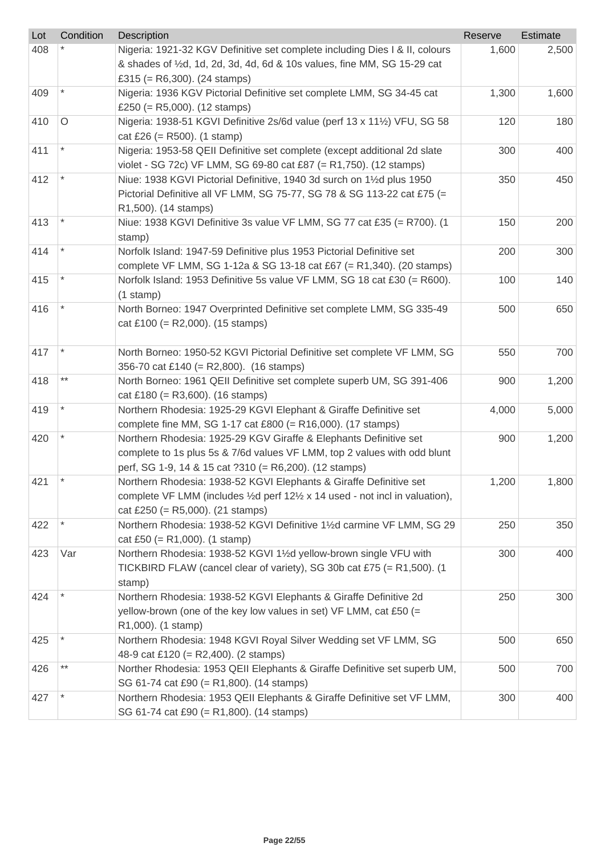| Lot | Condition | Description                                                                   | Reserve | Estimate |
|-----|-----------|-------------------------------------------------------------------------------|---------|----------|
| 408 |           | Nigeria: 1921-32 KGV Definitive set complete including Dies I & II, colours   | 1,600   | 2,500    |
|     |           | & shades of 1/2d, 1d, 2d, 3d, 4d, 6d & 10s values, fine MM, SG 15-29 cat      |         |          |
|     |           | £315 (= $R6,300$ ). (24 stamps)                                               |         |          |
| 409 |           | Nigeria: 1936 KGV Pictorial Definitive set complete LMM, SG 34-45 cat         | 1,300   | 1,600    |
|     |           | £250 (= $R5,000$ ). (12 stamps)                                               |         |          |
| 410 | $\circ$   | Nigeria: 1938-51 KGVI Definitive 2s/6d value (perf 13 x 11½) VFU, SG 58       | 120     | 180      |
|     |           | cat £26 (= R500). $(1 \text{ stamp})$                                         |         |          |
| 411 |           | Nigeria: 1953-58 QEII Definitive set complete (except additional 2d slate     | 300     | 400      |
|     |           | violet - SG 72c) VF LMM, SG 69-80 cat £87 (= R1,750). (12 stamps)             |         |          |
| 412 |           | Niue: 1938 KGVI Pictorial Definitive, 1940 3d surch on 11/2d plus 1950        | 350     | 450      |
|     |           | Pictorial Definitive all VF LMM, SG 75-77, SG 78 & SG 113-22 cat £75 (=       |         |          |
|     |           | R1,500). (14 stamps)                                                          |         |          |
| 413 |           | Niue: 1938 KGVI Definitive 3s value VF LMM, SG 77 cat £35 (= R700). (1        | 150     | 200      |
|     |           | stamp)                                                                        |         |          |
| 414 |           | Norfolk Island: 1947-59 Definitive plus 1953 Pictorial Definitive set         | 200     | 300      |
|     |           | complete VF LMM, SG 1-12a & SG 13-18 cat £67 (= R1,340). (20 stamps)          |         |          |
| 415 |           | Norfolk Island: 1953 Definitive 5s value VF LMM, SG 18 cat £30 (= R600).      | 100     | 140      |
|     |           | $(1$ stamp)                                                                   |         |          |
| 416 |           | North Borneo: 1947 Overprinted Definitive set complete LMM, SG 335-49         | 500     | 650      |
|     |           | cat £100 (= R2,000). (15 stamps)                                              |         |          |
|     |           |                                                                               |         |          |
| 417 |           | North Borneo: 1950-52 KGVI Pictorial Definitive set complete VF LMM, SG       | 550     | 700      |
|     |           | 356-70 cat £140 (= R2,800). (16 stamps)                                       |         |          |
| 418 | $***$     | North Borneo: 1961 QEII Definitive set complete superb UM, SG 391-406         | 900     | 1,200    |
|     |           | cat £180 (= $R3,600$ ). (16 stamps)                                           |         |          |
| 419 |           | Northern Rhodesia: 1925-29 KGVI Elephant & Giraffe Definitive set             | 4,000   | 5,000    |
|     |           | complete fine MM, SG 1-17 cat £800 (= $R16,000$ ). (17 stamps)                |         |          |
| 420 |           | Northern Rhodesia: 1925-29 KGV Giraffe & Elephants Definitive set             | 900     | 1,200    |
|     |           | complete to 1s plus 5s & 7/6d values VF LMM, top 2 values with odd blunt      |         |          |
|     |           | perf, SG 1-9, 14 & 15 cat ?310 (= R6,200). (12 stamps)                        |         |          |
| 421 |           | Northern Rhodesia: 1938-52 KGVI Elephants & Giraffe Definitive set            | 1,200   | 1,800    |
|     |           | complete VF LMM (includes 1/2d perf 121/2 x 14 used - not incl in valuation), |         |          |
|     |           | cat £250 (= $R5,000$ ). (21 stamps)                                           |         |          |
| 422 |           | Northern Rhodesia: 1938-52 KGVI Definitive 11/2d carmine VF LMM, SG 29        | 250     | 350      |
|     |           | cat £50 (= $R1,000$ ). (1 stamp)                                              |         |          |
| 423 | Var       | Northern Rhodesia: 1938-52 KGVI 11/2d yellow-brown single VFU with            | 300     | 400      |
|     |           | TICKBIRD FLAW (cancel clear of variety), SG 30b cat £75 (= R1,500). (1        |         |          |
|     |           | stamp)                                                                        |         |          |
| 424 |           | Northern Rhodesia: 1938-52 KGVI Elephants & Giraffe Definitive 2d             | 250     | 300      |
|     |           | yellow-brown (one of the key low values in set) VF LMM, cat £50 (=            |         |          |
|     |           | R1,000). (1 stamp)                                                            |         |          |
| 425 |           | Northern Rhodesia: 1948 KGVI Royal Silver Wedding set VF LMM, SG              | 500     | 650      |
|     |           | 48-9 cat £120 (= R2,400). (2 stamps)                                          |         |          |
| 426 | $***$     | Norther Rhodesia: 1953 QEII Elephants & Giraffe Definitive set superb UM,     | 500     | 700      |
|     |           | SG 61-74 cat £90 (= R1,800). (14 stamps)                                      |         |          |
| 427 |           | Northern Rhodesia: 1953 QEII Elephants & Giraffe Definitive set VF LMM,       | 300     | 400      |
|     |           | SG 61-74 cat £90 (= R1,800). (14 stamps)                                      |         |          |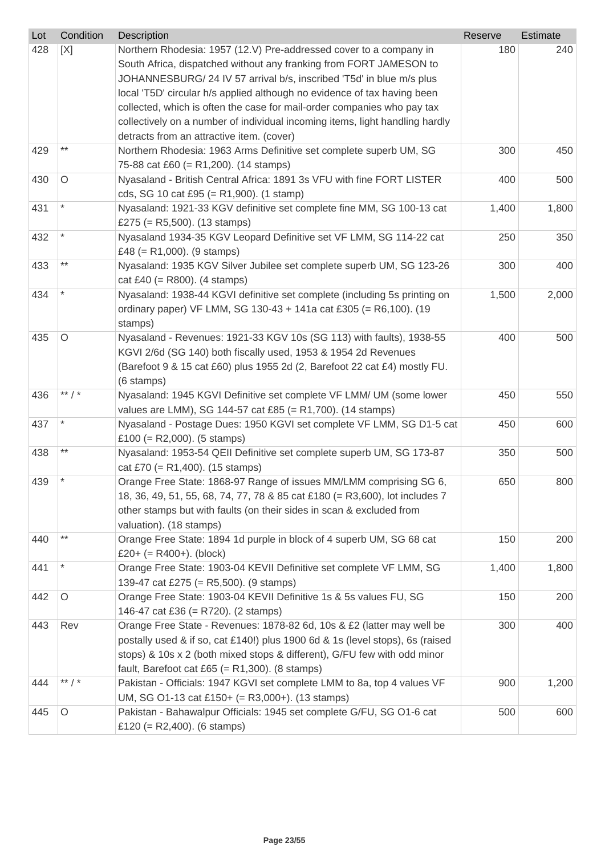| Lot | Condition       | Description                                                                                                                                                                                                                                                                                                                                                                                                                                                                                          | Reserve | Estimate |
|-----|-----------------|------------------------------------------------------------------------------------------------------------------------------------------------------------------------------------------------------------------------------------------------------------------------------------------------------------------------------------------------------------------------------------------------------------------------------------------------------------------------------------------------------|---------|----------|
| 428 | [X]             | Northern Rhodesia: 1957 (12.V) Pre-addressed cover to a company in<br>South Africa, dispatched without any franking from FORT JAMESON to<br>JOHANNESBURG/ 24 IV 57 arrival b/s, inscribed 'T5d' in blue m/s plus<br>local 'T5D' circular h/s applied although no evidence of tax having been<br>collected, which is often the case for mail-order companies who pay tax<br>collectively on a number of individual incoming items, light handling hardly<br>detracts from an attractive item. (cover) | 180     | 240      |
| 429 | $***$           | Northern Rhodesia: 1963 Arms Definitive set complete superb UM, SG<br>75-88 cat £60 (= R1,200). (14 stamps)                                                                                                                                                                                                                                                                                                                                                                                          | 300     | 450      |
| 430 | $\circ$         | Nyasaland - British Central Africa: 1891 3s VFU with fine FORT LISTER<br>cds, SG 10 cat £95 (= $R1,900$ ). (1 stamp)                                                                                                                                                                                                                                                                                                                                                                                 | 400     | 500      |
| 431 |                 | Nyasaland: 1921-33 KGV definitive set complete fine MM, SG 100-13 cat<br>£275 (= R5,500). $(13 \text{ stamps})$                                                                                                                                                                                                                                                                                                                                                                                      | 1,400   | 1,800    |
| 432 |                 | Nyasaland 1934-35 KGV Leopard Definitive set VF LMM, SG 114-22 cat<br>£48 (= R1,000). (9 stamps)                                                                                                                                                                                                                                                                                                                                                                                                     | 250     | 350      |
| 433 | $***$           | Nyasaland: 1935 KGV Silver Jubilee set complete superb UM, SG 123-26<br>cat £40 (= $R800$ ). (4 stamps)                                                                                                                                                                                                                                                                                                                                                                                              | 300     | 400      |
| 434 |                 | Nyasaland: 1938-44 KGVI definitive set complete (including 5s printing on<br>ordinary paper) VF LMM, SG 130-43 + 141a cat £305 (= R6,100). (19<br>stamps)                                                                                                                                                                                                                                                                                                                                            | 1,500   | 2,000    |
| 435 | $\circ$         | Nyasaland - Revenues: 1921-33 KGV 10s (SG 113) with faults), 1938-55<br>KGVI 2/6d (SG 140) both fiscally used, 1953 & 1954 2d Revenues<br>(Barefoot 9 & 15 cat £60) plus 1955 2d (2, Barefoot 22 cat £4) mostly FU.<br>(6 stamps)                                                                                                                                                                                                                                                                    | 400     | 500      |
| 436 | ** $/$ *        | Nyasaland: 1945 KGVI Definitive set complete VF LMM/ UM (some lower<br>values are LMM), SG 144-57 cat £85 (= R1,700). (14 stamps)                                                                                                                                                                                                                                                                                                                                                                    | 450     | 550      |
| 437 |                 | Nyasaland - Postage Dues: 1950 KGVI set complete VF LMM, SG D1-5 cat<br>£100 (= R2,000). (5 stamps)                                                                                                                                                                                                                                                                                                                                                                                                  | 450     | 600      |
| 438 | $^{\star\star}$ | Nyasaland: 1953-54 QEII Definitive set complete superb UM, SG 173-87<br>cat £70 (= $R1,400$ ). (15 stamps)                                                                                                                                                                                                                                                                                                                                                                                           | 350     | 500      |
| 439 |                 | Orange Free State: 1868-97 Range of issues MM/LMM comprising SG 6,<br>18, 36, 49, 51, 55, 68, 74, 77, 78 & 85 cat £180 (= R3,600), lot includes 7<br>other stamps but with faults (on their sides in scan & excluded from<br>valuation). (18 stamps)                                                                                                                                                                                                                                                 | 650     | 800      |
| 440 | $***$           | Orange Free State: 1894 1d purple in block of 4 superb UM, SG 68 cat<br>£20+ $(= R400+)$ . (block)                                                                                                                                                                                                                                                                                                                                                                                                   | 150     | 200      |
| 441 | $\star$         | Orange Free State: 1903-04 KEVII Definitive set complete VF LMM, SG<br>139-47 cat £275 (= R5,500). (9 stamps)                                                                                                                                                                                                                                                                                                                                                                                        | 1,400   | 1,800    |
| 442 | $\circ$         | Orange Free State: 1903-04 KEVII Definitive 1s & 5s values FU, SG<br>146-47 cat £36 (= R720). (2 stamps)                                                                                                                                                                                                                                                                                                                                                                                             | 150     | 200      |
| 443 | Rev             | Orange Free State - Revenues: 1878-82 6d, 10s & £2 (latter may well be<br>postally used & if so, cat £140!) plus 1900 6d & 1s (level stops), 6s (raised<br>stops) & 10s x 2 (both mixed stops & different), G/FU few with odd minor<br>fault, Barefoot cat £65 (= $R1,300$ ). (8 stamps)                                                                                                                                                                                                             | 300     | 400      |
| 444 | ** $/$ *        | Pakistan - Officials: 1947 KGVI set complete LMM to 8a, top 4 values VF<br>UM, SG O1-13 cat £150+ (= $R3,000+$ ). (13 stamps)                                                                                                                                                                                                                                                                                                                                                                        | 900     | 1,200    |
| 445 | $\circ$         | Pakistan - Bahawalpur Officials: 1945 set complete G/FU, SG O1-6 cat<br>£120 (= R2,400). (6 stamps)                                                                                                                                                                                                                                                                                                                                                                                                  | 500     | 600      |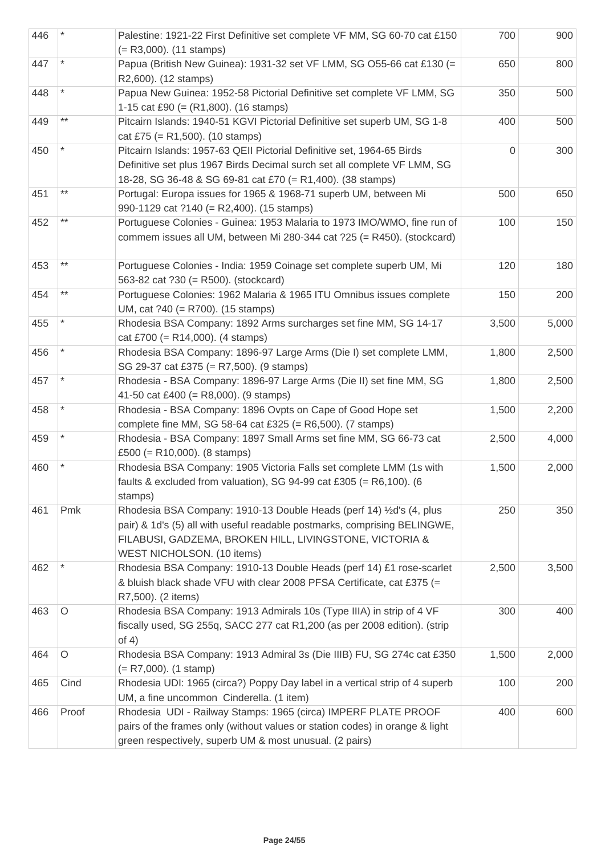| 446 |                 | Palestine: 1921-22 First Definitive set complete VF MM, SG 60-70 cat £150<br>$(= R3,000)$ . (11 stamps)                                                                                                                                    | 700      | 900   |
|-----|-----------------|--------------------------------------------------------------------------------------------------------------------------------------------------------------------------------------------------------------------------------------------|----------|-------|
| 447 |                 | Papua (British New Guinea): 1931-32 set VF LMM, SG 055-66 cat £130 (=<br>R2,600). (12 stamps)                                                                                                                                              | 650      | 800   |
| 448 |                 | Papua New Guinea: 1952-58 Pictorial Definitive set complete VF LMM, SG<br>1-15 cat £90 (= $(R1,800)$ . (16 stamps)                                                                                                                         | 350      | 500   |
| 449 | $***$           | Pitcairn Islands: 1940-51 KGVI Pictorial Definitive set superb UM, SG 1-8<br>cat £75 (= R1,500). (10 stamps)                                                                                                                               | 400      | 500   |
| 450 |                 | Pitcairn Islands: 1957-63 QEII Pictorial Definitive set, 1964-65 Birds<br>Definitive set plus 1967 Birds Decimal surch set all complete VF LMM, SG<br>18-28, SG 36-48 & SG 69-81 cat £70 (= R1,400). (38 stamps)                           | $\Omega$ | 300   |
| 451 | $***$           | Portugal: Europa issues for 1965 & 1968-71 superb UM, between Mi<br>990-1129 cat ?140 (= R2,400). (15 stamps)                                                                                                                              | 500      | 650   |
| 452 | $^{\star\star}$ | Portuguese Colonies - Guinea: 1953 Malaria to 1973 IMO/WMO, fine run of<br>commem issues all UM, between Mi 280-344 cat ?25 (= R450). (stockcard)                                                                                          | 100      | 150   |
| 453 | $***$           | Portuguese Colonies - India: 1959 Coinage set complete superb UM, Mi<br>563-82 cat ?30 (= R500). (stockcard)                                                                                                                               | 120      | 180   |
| 454 | $\star\star$    | Portuguese Colonies: 1962 Malaria & 1965 ITU Omnibus issues complete<br>UM, cat ?40 (= R700). (15 stamps)                                                                                                                                  | 150      | 200   |
| 455 |                 | Rhodesia BSA Company: 1892 Arms surcharges set fine MM, SG 14-17<br>cat £700 (= R14,000). (4 stamps)                                                                                                                                       | 3,500    | 5,000 |
| 456 |                 | Rhodesia BSA Company: 1896-97 Large Arms (Die I) set complete LMM,<br>SG 29-37 cat £375 (= R7,500). (9 stamps)                                                                                                                             | 1,800    | 2,500 |
| 457 |                 | Rhodesia - BSA Company: 1896-97 Large Arms (Die II) set fine MM, SG<br>41-50 cat £400 (= R8,000). (9 stamps)                                                                                                                               | 1,800    | 2,500 |
| 458 |                 | Rhodesia - BSA Company: 1896 Ovpts on Cape of Good Hope set<br>complete fine MM, SG 58-64 cat £325 (= R6,500). (7 stamps)                                                                                                                  | 1,500    | 2,200 |
| 459 |                 | Rhodesia - BSA Company: 1897 Small Arms set fine MM, SG 66-73 cat<br>£500 (= R10,000). (8 stamps)                                                                                                                                          | 2,500    | 4,000 |
| 460 |                 | Rhodesia BSA Company: 1905 Victoria Falls set complete LMM (1s with<br>faults & excluded from valuation), SG 94-99 cat £305 (= $R6,100$ ). (6<br>stamps)                                                                                   | 1,500    | 2,000 |
| 461 | Pmk             | Rhodesia BSA Company: 1910-13 Double Heads (perf 14) 1/2d's (4, plus<br>pair) & 1d's (5) all with useful readable postmarks, comprising BELINGWE,<br>FILABUSI, GADZEMA, BROKEN HILL, LIVINGSTONE, VICTORIA &<br>WEST NICHOLSON. (10 items) | 250      | 350   |
| 462 |                 | Rhodesia BSA Company: 1910-13 Double Heads (perf 14) £1 rose-scarlet<br>& bluish black shade VFU with clear 2008 PFSA Certificate, cat £375 (=<br>R7,500). (2 items)                                                                       | 2,500    | 3,500 |
| 463 | $\circ$         | Rhodesia BSA Company: 1913 Admirals 10s (Type IIIA) in strip of 4 VF<br>fiscally used, SG 255q, SACC 277 cat R1,200 (as per 2008 edition). (strip<br>of $4)$                                                                               | 300      | 400   |
| 464 | $\circ$         | Rhodesia BSA Company: 1913 Admiral 3s (Die IIIB) FU, SG 274c cat £350<br>$(= R7,000)$ . (1 stamp)                                                                                                                                          | 1,500    | 2,000 |
| 465 | Cind            | Rhodesia UDI: 1965 (circa?) Poppy Day label in a vertical strip of 4 superb<br>UM, a fine uncommon Cinderella. (1 item)                                                                                                                    | 100      | 200   |
| 466 | Proof           | Rhodesia UDI - Railway Stamps: 1965 (circa) IMPERF PLATE PROOF<br>pairs of the frames only (without values or station codes) in orange & light<br>green respectively, superb UM & most unusual. (2 pairs)                                  | 400      | 600   |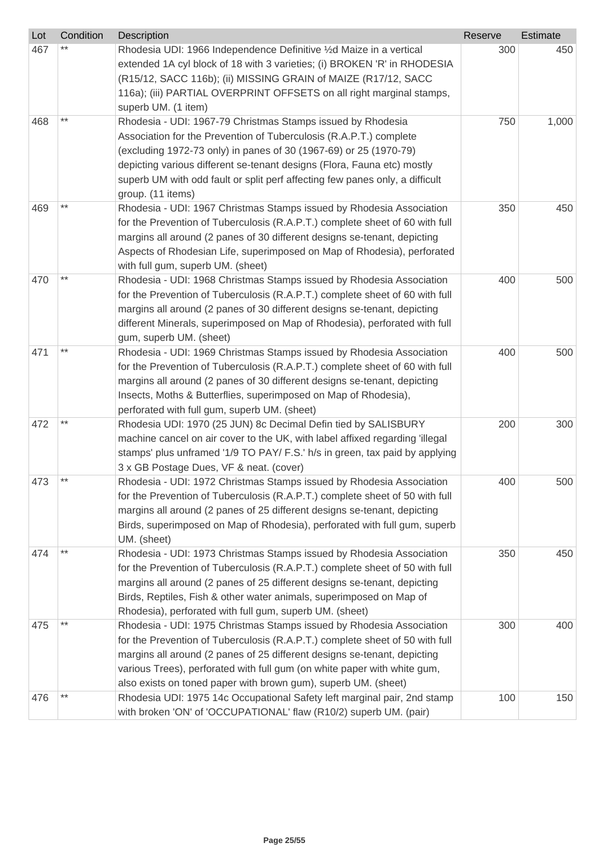| Lot | Condition | Description                                                                                                                                                                                                                                                                                                                                                                            | Reserve | Estimate |
|-----|-----------|----------------------------------------------------------------------------------------------------------------------------------------------------------------------------------------------------------------------------------------------------------------------------------------------------------------------------------------------------------------------------------------|---------|----------|
| 467 |           | Rhodesia UDI: 1966 Independence Definitive 1/2d Maize in a vertical<br>extended 1A cyl block of 18 with 3 varieties; (i) BROKEN 'R' in RHODESIA<br>(R15/12, SACC 116b); (ii) MISSING GRAIN of MAIZE (R17/12, SACC<br>116a); (iii) PARTIAL OVERPRINT OFFSETS on all right marginal stamps,<br>superb UM. (1 item)                                                                       | 300     | 450      |
| 468 | $***$     | Rhodesia - UDI: 1967-79 Christmas Stamps issued by Rhodesia<br>Association for the Prevention of Tuberculosis (R.A.P.T.) complete<br>(excluding 1972-73 only) in panes of 30 (1967-69) or 25 (1970-79)<br>depicting various different se-tenant designs (Flora, Fauna etc) mostly<br>superb UM with odd fault or split perf affecting few panes only, a difficult<br>group. (11 items) | 750     | 1,000    |
| 469 | $***$     | Rhodesia - UDI: 1967 Christmas Stamps issued by Rhodesia Association<br>for the Prevention of Tuberculosis (R.A.P.T.) complete sheet of 60 with full<br>margins all around (2 panes of 30 different designs se-tenant, depicting<br>Aspects of Rhodesian Life, superimposed on Map of Rhodesia), perforated<br>with full gum, superb UM. (sheet)                                       | 350     | 450      |
| 470 | $***$     | Rhodesia - UDI: 1968 Christmas Stamps issued by Rhodesia Association<br>for the Prevention of Tuberculosis (R.A.P.T.) complete sheet of 60 with full<br>margins all around (2 panes of 30 different designs se-tenant, depicting<br>different Minerals, superimposed on Map of Rhodesia), perforated with full<br>gum, superb UM. (sheet)                                              | 400     | 500      |
| 471 | $***$     | Rhodesia - UDI: 1969 Christmas Stamps issued by Rhodesia Association<br>for the Prevention of Tuberculosis (R.A.P.T.) complete sheet of 60 with full<br>margins all around (2 panes of 30 different designs se-tenant, depicting<br>Insects, Moths & Butterflies, superimposed on Map of Rhodesia),<br>perforated with full gum, superb UM. (sheet)                                    | 400     | 500      |
| 472 |           | Rhodesia UDI: 1970 (25 JUN) 8c Decimal Defin tied by SALISBURY<br>machine cancel on air cover to the UK, with label affixed regarding 'illegal<br>stamps' plus unframed '1/9 TO PAY/ F.S.' h/s in green, tax paid by applying<br>3 x GB Postage Dues, VF & neat. (cover)                                                                                                               | 200     | 300      |
| 473 | $***$     | Rhodesia - UDI: 1972 Christmas Stamps issued by Rhodesia Association<br>for the Prevention of Tuberculosis (R.A.P.T.) complete sheet of 50 with full<br>margins all around (2 panes of 25 different designs se-tenant, depicting<br>Birds, superimposed on Map of Rhodesia), perforated with full gum, superb<br>UM. (sheet)                                                           | 400     | 500      |
| 474 | $***$     | Rhodesia - UDI: 1973 Christmas Stamps issued by Rhodesia Association<br>for the Prevention of Tuberculosis (R.A.P.T.) complete sheet of 50 with full<br>margins all around (2 panes of 25 different designs se-tenant, depicting<br>Birds, Reptiles, Fish & other water animals, superimposed on Map of<br>Rhodesia), perforated with full gum, superb UM. (sheet)                     | 350     | 450      |
| 475 | **        | Rhodesia - UDI: 1975 Christmas Stamps issued by Rhodesia Association<br>for the Prevention of Tuberculosis (R.A.P.T.) complete sheet of 50 with full<br>margins all around (2 panes of 25 different designs se-tenant, depicting<br>various Trees), perforated with full gum (on white paper with white gum,<br>also exists on toned paper with brown gum), superb UM. (sheet)         | 300     | 400      |
| 476 | $***$     | Rhodesia UDI: 1975 14c Occupational Safety left marginal pair, 2nd stamp<br>with broken 'ON' of 'OCCUPATIONAL' flaw (R10/2) superb UM. (pair)                                                                                                                                                                                                                                          | 100     | 150      |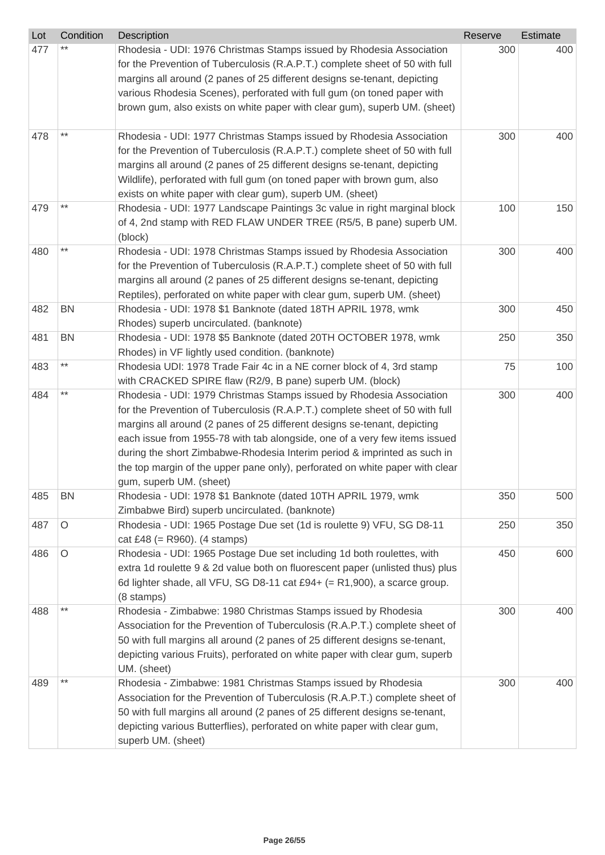| Lot | Condition | Description                                                                                                                                  | Reserve | Estimate |
|-----|-----------|----------------------------------------------------------------------------------------------------------------------------------------------|---------|----------|
| 477 |           | Rhodesia - UDI: 1976 Christmas Stamps issued by Rhodesia Association                                                                         | 300     | 400      |
|     |           | for the Prevention of Tuberculosis (R.A.P.T.) complete sheet of 50 with full                                                                 |         |          |
|     |           | margins all around (2 panes of 25 different designs se-tenant, depicting                                                                     |         |          |
|     |           | various Rhodesia Scenes), perforated with full gum (on toned paper with                                                                      |         |          |
|     |           | brown gum, also exists on white paper with clear gum), superb UM. (sheet)                                                                    |         |          |
| 478 | $***$     | Rhodesia - UDI: 1977 Christmas Stamps issued by Rhodesia Association                                                                         | 300     | 400      |
|     |           | for the Prevention of Tuberculosis (R.A.P.T.) complete sheet of 50 with full                                                                 |         |          |
|     |           | margins all around (2 panes of 25 different designs se-tenant, depicting                                                                     |         |          |
|     |           | Wildlife), perforated with full gum (on toned paper with brown gum, also                                                                     |         |          |
|     |           | exists on white paper with clear gum), superb UM. (sheet)                                                                                    |         |          |
| 479 | $***$     | Rhodesia - UDI: 1977 Landscape Paintings 3c value in right marginal block                                                                    | 100     | 150      |
|     |           | of 4, 2nd stamp with RED FLAW UNDER TREE (R5/5, B pane) superb UM.                                                                           |         |          |
|     | $***$     | (block)                                                                                                                                      |         |          |
| 480 |           | Rhodesia - UDI: 1978 Christmas Stamps issued by Rhodesia Association                                                                         | 300     | 400      |
|     |           | for the Prevention of Tuberculosis (R.A.P.T.) complete sheet of 50 with full                                                                 |         |          |
|     |           | margins all around (2 panes of 25 different designs se-tenant, depicting                                                                     |         |          |
|     |           | Reptiles), perforated on white paper with clear gum, superb UM. (sheet)                                                                      |         |          |
| 482 | <b>BN</b> | Rhodesia - UDI: 1978 \$1 Banknote (dated 18TH APRIL 1978, wmk                                                                                | 300     | 450      |
| 481 | <b>BN</b> | Rhodes) superb uncirculated. (banknote)<br>Rhodesia - UDI: 1978 \$5 Banknote (dated 20TH OCTOBER 1978, wmk                                   | 250     | 350      |
|     |           | Rhodes) in VF lightly used condition. (banknote)                                                                                             |         |          |
| 483 | $***$     | Rhodesia UDI: 1978 Trade Fair 4c in a NE corner block of 4, 3rd stamp                                                                        | 75      | 100      |
|     |           | with CRACKED SPIRE flaw (R2/9, B pane) superb UM. (block)                                                                                    |         |          |
| 484 | $***$     | Rhodesia - UDI: 1979 Christmas Stamps issued by Rhodesia Association                                                                         | 300     | 400      |
|     |           | for the Prevention of Tuberculosis (R.A.P.T.) complete sheet of 50 with full                                                                 |         |          |
|     |           | margins all around (2 panes of 25 different designs se-tenant, depicting                                                                     |         |          |
|     |           | each issue from 1955-78 with tab alongside, one of a very few items issued                                                                   |         |          |
|     |           | during the short Zimbabwe-Rhodesia Interim period & imprinted as such in                                                                     |         |          |
|     |           | the top margin of the upper pane only), perforated on white paper with clear                                                                 |         |          |
|     |           | gum, superb UM. (sheet)                                                                                                                      |         |          |
| 485 | <b>BN</b> | Rhodesia - UDI: 1978 \$1 Banknote (dated 10TH APRIL 1979, wmk                                                                                | 350     | 500      |
|     |           | Zimbabwe Bird) superb uncirculated. (banknote)                                                                                               |         |          |
| 487 | $\circ$   | Rhodesia - UDI: 1965 Postage Due set (1d is roulette 9) VFU, SG D8-11                                                                        | 250     | 350      |
|     |           | cat £48 (= $R960$ ). (4 stamps)                                                                                                              |         |          |
| 486 | O         | Rhodesia - UDI: 1965 Postage Due set including 1d both roulettes, with                                                                       | 450     | 600      |
|     |           | extra 1d roulette 9 & 2d value both on fluorescent paper (unlisted thus) plus                                                                |         |          |
|     |           | 6d lighter shade, all VFU, SG D8-11 cat £94+ $(= R1,900)$ , a scarce group.                                                                  |         |          |
|     | $***$     | (8 stamps)                                                                                                                                   |         |          |
| 488 |           | Rhodesia - Zimbabwe: 1980 Christmas Stamps issued by Rhodesia<br>Association for the Prevention of Tuberculosis (R.A.P.T.) complete sheet of | 300     | 400      |
|     |           | 50 with full margins all around (2 panes of 25 different designs se-tenant,                                                                  |         |          |
|     |           | depicting various Fruits), perforated on white paper with clear gum, superb                                                                  |         |          |
|     |           | UM. (sheet)                                                                                                                                  |         |          |
| 489 | $***$     | Rhodesia - Zimbabwe: 1981 Christmas Stamps issued by Rhodesia                                                                                | 300     | 400      |
|     |           | Association for the Prevention of Tuberculosis (R.A.P.T.) complete sheet of                                                                  |         |          |
|     |           | 50 with full margins all around (2 panes of 25 different designs se-tenant,                                                                  |         |          |
|     |           | depicting various Butterflies), perforated on white paper with clear gum,                                                                    |         |          |
|     |           | superb UM. (sheet)                                                                                                                           |         |          |
|     |           |                                                                                                                                              |         |          |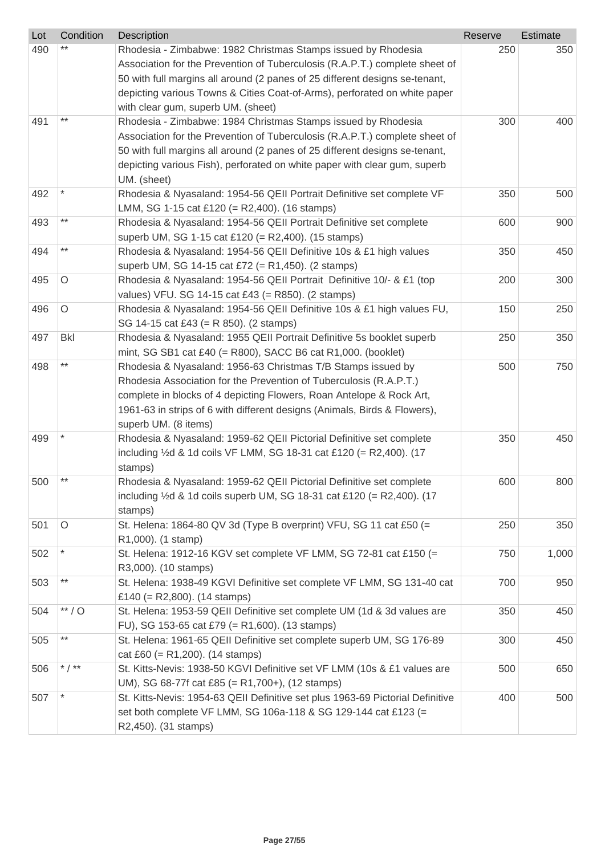| Lot | Condition       | Description                                                                                                                                                                                                                                                                                                                                    | Reserve | Estimate |
|-----|-----------------|------------------------------------------------------------------------------------------------------------------------------------------------------------------------------------------------------------------------------------------------------------------------------------------------------------------------------------------------|---------|----------|
| 490 |                 | Rhodesia - Zimbabwe: 1982 Christmas Stamps issued by Rhodesia<br>Association for the Prevention of Tuberculosis (R.A.P.T.) complete sheet of<br>50 with full margins all around (2 panes of 25 different designs se-tenant,<br>depicting various Towns & Cities Coat-of-Arms), perforated on white paper<br>with clear gum, superb UM. (sheet) | 250     | 350      |
| 491 | **              | Rhodesia - Zimbabwe: 1984 Christmas Stamps issued by Rhodesia<br>Association for the Prevention of Tuberculosis (R.A.P.T.) complete sheet of<br>50 with full margins all around (2 panes of 25 different designs se-tenant,<br>depicting various Fish), perforated on white paper with clear gum, superb<br>UM. (sheet)                        | 300     | 400      |
| 492 |                 | Rhodesia & Nyasaland: 1954-56 QEII Portrait Definitive set complete VF<br>LMM, SG 1-15 cat £120 (= R2,400). (16 stamps)                                                                                                                                                                                                                        | 350     | 500      |
| 493 | $^{\star\star}$ | Rhodesia & Nyasaland: 1954-56 QEII Portrait Definitive set complete<br>superb UM, SG 1-15 cat £120 (= R2,400). (15 stamps)                                                                                                                                                                                                                     | 600     | 900      |
| 494 | $***$           | Rhodesia & Nyasaland: 1954-56 QEII Definitive 10s & £1 high values<br>superb UM, SG 14-15 cat £72 (= R1,450). (2 stamps)                                                                                                                                                                                                                       | 350     | 450      |
| 495 | O               | Rhodesia & Nyasaland: 1954-56 QEII Portrait Definitive 10/- & £1 (top<br>values) VFU. SG 14-15 cat £43 (= R850). (2 stamps)                                                                                                                                                                                                                    | 200     | 300      |
| 496 | $\circ$         | Rhodesia & Nyasaland: 1954-56 QEII Definitive 10s & £1 high values FU,<br>SG 14-15 cat £43 (= $R$ 850). (2 stamps)                                                                                                                                                                                                                             | 150     | 250      |
| 497 | <b>Bkl</b>      | Rhodesia & Nyasaland: 1955 QEII Portrait Definitive 5s booklet superb<br>mint, SG SB1 cat £40 (= $R800$ ), SACC B6 cat $R1,000$ . (booklet)                                                                                                                                                                                                    | 250     | 350      |
| 498 | $***$           | Rhodesia & Nyasaland: 1956-63 Christmas T/B Stamps issued by<br>Rhodesia Association for the Prevention of Tuberculosis (R.A.P.T.)<br>complete in blocks of 4 depicting Flowers, Roan Antelope & Rock Art,<br>1961-63 in strips of 6 with different designs (Animals, Birds & Flowers),<br>superb UM. (8 items)                                | 500     | 750      |
| 499 |                 | Rhodesia & Nyasaland: 1959-62 QEII Pictorial Definitive set complete<br>including $\frac{1}{2}$ d & 1d coils VF LMM, SG 18-31 cat £120 (= R2,400). (17<br>stamps)                                                                                                                                                                              | 350     | 450      |
| 500 | $***$           | Rhodesia & Nyasaland: 1959-62 QEII Pictorial Definitive set complete<br>including 1/2d & 1d coils superb UM, SG 18-31 cat £120 (= R2,400). (17<br>stamps)                                                                                                                                                                                      | 600     | 800      |
| 501 | $\circ$         | St. Helena: 1864-80 QV 3d (Type B overprint) VFU, SG 11 cat £50 (=<br>R1,000). (1 stamp)                                                                                                                                                                                                                                                       | 250     | 350      |
| 502 | $\star$         | St. Helena: 1912-16 KGV set complete VF LMM, SG 72-81 cat £150 (=<br>R3,000). (10 stamps)                                                                                                                                                                                                                                                      | 750     | 1,000    |
| 503 | $^{\star\star}$ | St. Helena: 1938-49 KGVI Definitive set complete VF LMM, SG 131-40 cat<br>£140 (= R2,800). $(14 \text{ stamps})$                                                                                                                                                                                                                               | 700     | 950      |
| 504 | $**/O$          | St. Helena: 1953-59 QEII Definitive set complete UM (1d & 3d values are<br>FU), SG 153-65 cat £79 (= R1,600). (13 stamps)                                                                                                                                                                                                                      | 350     | 450      |
| 505 | $***$           | St. Helena: 1961-65 QEII Definitive set complete superb UM, SG 176-89<br>cat £60 (= $R1,200$ ). (14 stamps)                                                                                                                                                                                                                                    | 300     | 450      |
| 506 | * $/$ **        | St. Kitts-Nevis: 1938-50 KGVI Definitive set VF LMM (10s & £1 values are<br>UM), SG 68-77f cat £85 (= R1,700+), (12 stamps)                                                                                                                                                                                                                    | 500     | 650      |
| 507 |                 | St. Kitts-Nevis: 1954-63 QEII Definitive set plus 1963-69 Pictorial Definitive<br>set both complete VF LMM, SG 106a-118 & SG 129-144 cat £123 (=<br>R2,450). (31 stamps)                                                                                                                                                                       | 400     | 500      |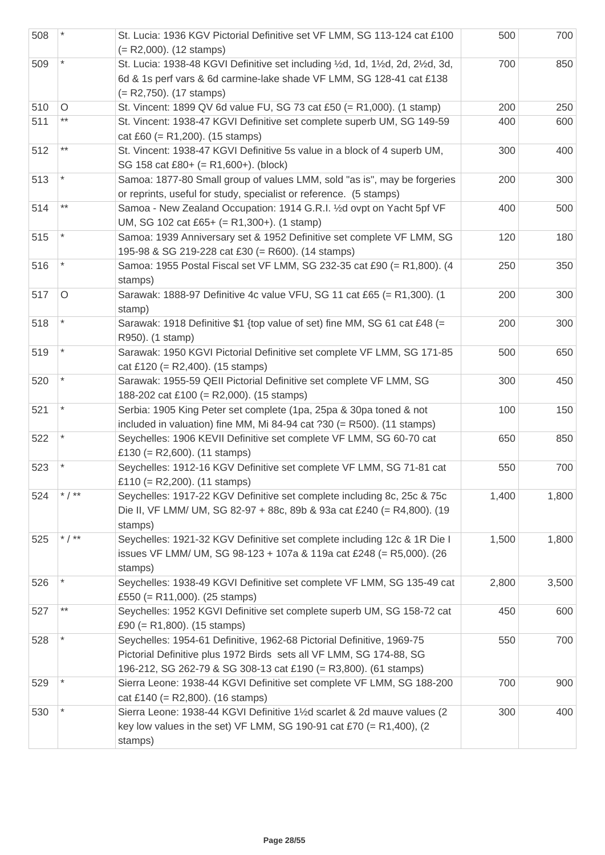| 508 |                 | St. Lucia: 1936 KGV Pictorial Definitive set VF LMM, SG 113-124 cat £100<br>$(= R2,000)$ . (12 stamps)                                                                                                          | 500   | 700   |
|-----|-----------------|-----------------------------------------------------------------------------------------------------------------------------------------------------------------------------------------------------------------|-------|-------|
| 509 |                 | St. Lucia: 1938-48 KGVI Definitive set including 1/2d, 1d, 11/2d, 2d, 21/2d, 3d,<br>6d & 1s perf vars & 6d carmine-lake shade VF LMM, SG 128-41 cat £138<br>$(= R2,750)$ . (17 stamps)                          | 700   | 850   |
| 510 | $\circ$         | St. Vincent: 1899 QV 6d value FU, SG 73 cat £50 (= R1,000). (1 stamp)                                                                                                                                           | 200   | 250   |
| 511 | $***$           | St. Vincent: 1938-47 KGVI Definitive set complete superb UM, SG 149-59<br>cat £60 (= R1,200). (15 stamps)                                                                                                       | 400   | 600   |
| 512 | $***$           | St. Vincent: 1938-47 KGVI Definitive 5s value in a block of 4 superb UM,<br>SG 158 cat £80+ (= R1,600+). (block)                                                                                                | 300   | 400   |
| 513 |                 | Samoa: 1877-80 Small group of values LMM, sold "as is", may be forgeries<br>or reprints, useful for study, specialist or reference. (5 stamps)                                                                  | 200   | 300   |
| 514 | $***$           | Samoa - New Zealand Occupation: 1914 G.R.I. 1/2d ovpt on Yacht 5pf VF<br>UM, SG 102 cat £65+ (= R1,300+). (1 stamp)                                                                                             | 400   | 500   |
| 515 |                 | Samoa: 1939 Anniversary set & 1952 Definitive set complete VF LMM, SG<br>195-98 & SG 219-228 cat £30 (= R600). (14 stamps)                                                                                      | 120   | 180   |
| 516 |                 | Samoa: 1955 Postal Fiscal set VF LMM, SG 232-35 cat £90 (= R1,800). (4<br>stamps)                                                                                                                               | 250   | 350   |
| 517 | $\circ$         | Sarawak: 1888-97 Definitive 4c value VFU, SG 11 cat £65 (= R1,300). (1<br>stamp)                                                                                                                                | 200   | 300   |
| 518 |                 | Sarawak: 1918 Definitive \$1 {top value of set) fine MM, SG 61 cat £48 (=<br>R950). (1 stamp)                                                                                                                   | 200   | 300   |
| 519 |                 | Sarawak: 1950 KGVI Pictorial Definitive set complete VF LMM, SG 171-85<br>cat £120 (= $R2,400$ ). (15 stamps)                                                                                                   | 500   | 650   |
| 520 |                 | Sarawak: 1955-59 QEII Pictorial Definitive set complete VF LMM, SG<br>188-202 cat £100 (= R2,000). (15 stamps)                                                                                                  | 300   | 450   |
| 521 |                 | Serbia: 1905 King Peter set complete (1pa, 25pa & 30pa toned & not<br>included in valuation) fine MM, Mi 84-94 cat ?30 (= R500). (11 stamps)                                                                    | 100   | 150   |
| 522 |                 | Seychelles: 1906 KEVII Definitive set complete VF LMM, SG 60-70 cat<br>£130 (= R2,600). $(11 \text{ stamps})$                                                                                                   | 650   | 850   |
| 523 |                 | Seychelles: 1912-16 KGV Definitive set complete VF LMM, SG 71-81 cat<br>£110 (= R2,200). $(11 \text{ stamps})$                                                                                                  | 550   | 700   |
| 524 | * $/$ **        | Seychelles: 1917-22 KGV Definitive set complete including 8c, 25c & 75c<br>Die II, VF LMM/ UM, SG 82-97 + 88c, 89b & 93a cat £240 (= R4,800). (19<br>stamps)                                                    | 1,400 | 1,800 |
| 525 | * $/$ **        | Seychelles: 1921-32 KGV Definitive set complete including 12c & 1R Die I<br>issues VF LMM/ UM, SG 98-123 + 107a & 119a cat £248 (= R5,000). (26<br>stamps)                                                      | 1,500 | 1,800 |
| 526 |                 | Seychelles: 1938-49 KGVI Definitive set complete VF LMM, SG 135-49 cat<br>£550 (= R11,000). (25 stamps)                                                                                                         | 2,800 | 3,500 |
| 527 | $^{\star\star}$ | Seychelles: 1952 KGVI Definitive set complete superb UM, SG 158-72 cat<br>£90 (= R1,800). $(15 \text{ stamps})$                                                                                                 | 450   | 600   |
| 528 |                 | Seychelles: 1954-61 Definitive, 1962-68 Pictorial Definitive, 1969-75<br>Pictorial Definitive plus 1972 Birds sets all VF LMM, SG 174-88, SG<br>196-212, SG 262-79 & SG 308-13 cat £190 (= R3,800). (61 stamps) | 550   | 700   |
| 529 |                 | Sierra Leone: 1938-44 KGVI Definitive set complete VF LMM, SG 188-200<br>cat £140 (= $R2,800$ ). (16 stamps)                                                                                                    | 700   | 900   |
| 530 |                 | Sierra Leone: 1938-44 KGVI Definitive 11/2d scarlet & 2d mauve values (2<br>key low values in the set) VF LMM, SG 190-91 cat £70 (= R1,400), (2<br>stamps)                                                      | 300   | 400   |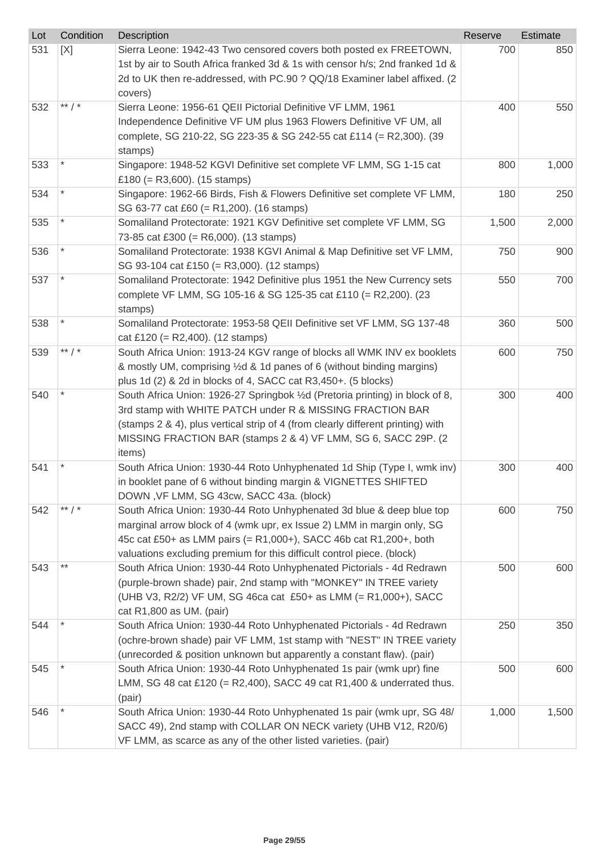| Lot | Condition | Description                                                                                                                                 | Reserve | Estimate |
|-----|-----------|---------------------------------------------------------------------------------------------------------------------------------------------|---------|----------|
| 531 | [X]       | Sierra Leone: 1942-43 Two censored covers both posted ex FREETOWN,                                                                          | 700     | 850      |
|     |           | 1st by air to South Africa franked 3d & 1s with censor h/s; 2nd franked 1d &                                                                |         |          |
|     |           | 2d to UK then re-addressed, with PC.90 ? QQ/18 Examiner label affixed. (2                                                                   |         |          |
|     |           | covers)                                                                                                                                     |         |          |
| 532 | ** $/$ *  | Sierra Leone: 1956-61 QEII Pictorial Definitive VF LMM, 1961                                                                                | 400     | 550      |
|     |           | Independence Definitive VF UM plus 1963 Flowers Definitive VF UM, all                                                                       |         |          |
|     |           | complete, SG 210-22, SG 223-35 & SG 242-55 cat £114 (= R2,300). (39                                                                         |         |          |
|     |           | stamps)                                                                                                                                     |         |          |
| 533 |           | Singapore: 1948-52 KGVI Definitive set complete VF LMM, SG 1-15 cat                                                                         | 800     | 1,000    |
|     |           | £180 (= R3,600). $(15 \text{ stamps})$                                                                                                      |         |          |
| 534 |           | Singapore: 1962-66 Birds, Fish & Flowers Definitive set complete VF LMM,                                                                    | 180     | 250      |
|     |           | SG 63-77 cat £60 (= R1,200). (16 stamps)                                                                                                    |         |          |
| 535 |           | Somaliland Protectorate: 1921 KGV Definitive set complete VF LMM, SG<br>73-85 cat £300 (= R6,000). (13 stamps)                              | 1,500   | 2,000    |
| 536 |           | Somaliland Protectorate: 1938 KGVI Animal & Map Definitive set VF LMM,                                                                      | 750     | 900      |
|     |           | SG 93-104 cat £150 (= R3,000). (12 stamps)                                                                                                  |         |          |
| 537 |           | Somaliland Protectorate: 1942 Definitive plus 1951 the New Currency sets                                                                    | 550     | 700      |
|     |           | complete VF LMM, SG 105-16 & SG 125-35 cat £110 (= R2,200). (23                                                                             |         |          |
|     |           | stamps)                                                                                                                                     |         |          |
| 538 |           | Somaliland Protectorate: 1953-58 QEII Definitive set VF LMM, SG 137-48                                                                      | 360     | 500      |
|     |           | cat £120 (= $R2,400$ ). (12 stamps)                                                                                                         |         |          |
| 539 | ** $/$ *  | South Africa Union: 1913-24 KGV range of blocks all WMK INV ex booklets                                                                     | 600     | 750      |
|     |           | & mostly UM, comprising 1/2d & 1d panes of 6 (without binding margins)                                                                      |         |          |
|     |           | plus 1d (2) & 2d in blocks of 4, SACC cat R3,450+. (5 blocks)                                                                               |         |          |
| 540 |           | South Africa Union: 1926-27 Springbok 1/2d (Pretoria printing) in block of 8,                                                               | 300     | 400      |
|     |           | 3rd stamp with WHITE PATCH under R & MISSING FRACTION BAR                                                                                   |         |          |
|     |           | (stamps 2 & 4), plus vertical strip of 4 (from clearly different printing) with                                                             |         |          |
|     |           | MISSING FRACTION BAR (stamps 2 & 4) VF LMM, SG 6, SACC 29P. (2)                                                                             |         |          |
|     |           | items)                                                                                                                                      |         |          |
| 541 |           | South Africa Union: 1930-44 Roto Unhyphenated 1d Ship (Type I, wmk inv)                                                                     | 300     | 400      |
|     |           | in booklet pane of 6 without binding margin & VIGNETTES SHIFTED                                                                             |         |          |
|     | ** $/$ *  | DOWN, VF LMM, SG 43cw, SACC 43a. (block)                                                                                                    |         |          |
| 542 |           | South Africa Union: 1930-44 Roto Unhyphenated 3d blue & deep blue top                                                                       | 600     | 750      |
|     |           | marginal arrow block of 4 (wmk upr, ex Issue 2) LMM in margin only, SG<br>45c cat £50+ as LMM pairs (= R1,000+), SACC 46b cat R1,200+, both |         |          |
|     |           | valuations excluding premium for this difficult control piece. (block)                                                                      |         |          |
| 543 | $***$     | South Africa Union: 1930-44 Roto Unhyphenated Pictorials - 4d Redrawn                                                                       | 500     | 600      |
|     |           | (purple-brown shade) pair, 2nd stamp with "MONKEY" IN TREE variety                                                                          |         |          |
|     |           | (UHB V3, R2/2) VF UM, SG 46ca cat £50+ as LMM (= R1,000+), SACC                                                                             |         |          |
|     |           | cat R1,800 as UM. (pair)                                                                                                                    |         |          |
| 544 |           | South Africa Union: 1930-44 Roto Unhyphenated Pictorials - 4d Redrawn                                                                       | 250     | 350      |
|     |           | (ochre-brown shade) pair VF LMM, 1st stamp with "NEST" IN TREE variety                                                                      |         |          |
|     |           | (unrecorded & position unknown but apparently a constant flaw). (pair)                                                                      |         |          |
| 545 |           | South Africa Union: 1930-44 Roto Unhyphenated 1s pair (wmk upr) fine                                                                        | 500     | 600      |
|     |           | LMM, SG 48 cat £120 (= R2,400), SACC 49 cat R1,400 & underrated thus.                                                                       |         |          |
|     |           | (pair)                                                                                                                                      |         |          |
| 546 |           | South Africa Union: 1930-44 Roto Unhyphenated 1s pair (wmk upr, SG 48/                                                                      | 1,000   | 1,500    |
|     |           | SACC 49), 2nd stamp with COLLAR ON NECK variety (UHB V12, R20/6)                                                                            |         |          |
|     |           | VF LMM, as scarce as any of the other listed varieties. (pair)                                                                              |         |          |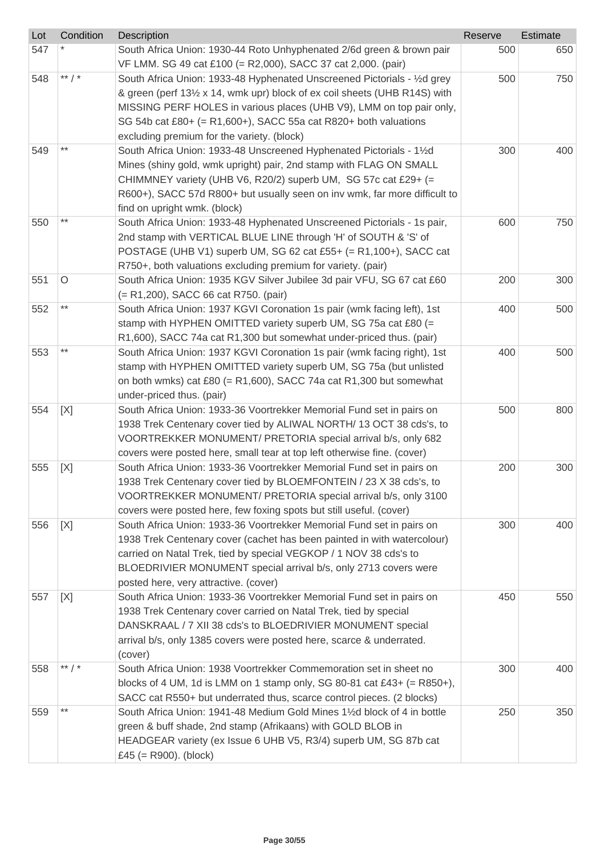| Lot | Condition | Description                                                                                                                                                                                                                                                                                                                                     | Reserve | Estimate |
|-----|-----------|-------------------------------------------------------------------------------------------------------------------------------------------------------------------------------------------------------------------------------------------------------------------------------------------------------------------------------------------------|---------|----------|
| 547 |           | South Africa Union: 1930-44 Roto Unhyphenated 2/6d green & brown pair<br>VF LMM. SG 49 cat £100 (= R2,000), SACC 37 cat 2,000. (pair)                                                                                                                                                                                                           | 500     | 650      |
| 548 | ** $/$ *  | South Africa Union: 1933-48 Hyphenated Unscreened Pictorials - 1/2d grey<br>& green (perf 131/2 x 14, wmk upr) block of ex coil sheets (UHB R14S) with<br>MISSING PERF HOLES in various places (UHB V9), LMM on top pair only,<br>SG 54b cat £80+ (= R1,600+), SACC 55a cat R820+ both valuations<br>excluding premium for the variety. (block) | 500     | 750      |
| 549 |           | South Africa Union: 1933-48 Unscreened Hyphenated Pictorials - 11/2d<br>Mines (shiny gold, wmk upright) pair, 2nd stamp with FLAG ON SMALL<br>CHIMMNEY variety (UHB V6, R20/2) superb UM, SG 57c cat £29+ (=<br>R600+), SACC 57d R800+ but usually seen on inv wmk, far more difficult to<br>find on upright wmk. (block)                       | 300     | 400      |
| 550 | $***$     | South Africa Union: 1933-48 Hyphenated Unscreened Pictorials - 1s pair,<br>2nd stamp with VERTICAL BLUE LINE through 'H' of SOUTH & 'S' of<br>POSTAGE (UHB V1) superb UM, SG 62 cat £55+ (= R1,100+), SACC cat<br>R750+, both valuations excluding premium for variety. (pair)                                                                  | 600     | 750      |
| 551 | O         | South Africa Union: 1935 KGV Silver Jubilee 3d pair VFU, SG 67 cat £60<br>(= R1,200), SACC 66 cat R750. (pair)                                                                                                                                                                                                                                  | 200     | 300      |
| 552 | $***$     | South Africa Union: 1937 KGVI Coronation 1s pair (wmk facing left), 1st<br>stamp with HYPHEN OMITTED variety superb UM, SG 75a cat £80 (=<br>R1,600), SACC 74a cat R1,300 but somewhat under-priced thus. (pair)                                                                                                                                | 400     | 500      |
| 553 | $***$     | South Africa Union: 1937 KGVI Coronation 1s pair (wmk facing right), 1st<br>stamp with HYPHEN OMITTED variety superb UM, SG 75a (but unlisted<br>on both wmks) cat £80 (= R1,600), SACC 74a cat R1,300 but somewhat<br>under-priced thus. (pair)                                                                                                | 400     | 500      |
| 554 | [X]       | South Africa Union: 1933-36 Voortrekker Memorial Fund set in pairs on<br>1938 Trek Centenary cover tied by ALIWAL NORTH/ 13 OCT 38 cds's, to<br>VOORTREKKER MONUMENT/ PRETORIA special arrival b/s, only 682<br>covers were posted here, small tear at top left otherwise fine. (cover)                                                         | 500     | 800      |
| 555 | [X]       | South Africa Union: 1933-36 Voortrekker Memorial Fund set in pairs on<br>1938 Trek Centenary cover tied by BLOEMFONTEIN / 23 X 38 cds's, to<br>VOORTREKKER MONUMENT/ PRETORIA special arrival b/s, only 3100<br>covers were posted here, few foxing spots but still useful. (cover)                                                             | 200     | 300      |
| 556 | [X]       | South Africa Union: 1933-36 Voortrekker Memorial Fund set in pairs on<br>1938 Trek Centenary cover (cachet has been painted in with watercolour)<br>carried on Natal Trek, tied by special VEGKOP / 1 NOV 38 cds's to<br>BLOEDRIVIER MONUMENT special arrival b/s, only 2713 covers were<br>posted here, very attractive. (cover)               | 300     | 400      |
| 557 | [X]       | South Africa Union: 1933-36 Voortrekker Memorial Fund set in pairs on<br>1938 Trek Centenary cover carried on Natal Trek, tied by special<br>DANSKRAAL / 7 XII 38 cds's to BLOEDRIVIER MONUMENT special<br>arrival b/s, only 1385 covers were posted here, scarce & underrated.<br>(cover)                                                      | 450     | 550      |
| 558 | ** $/$ *  | South Africa Union: 1938 Voortrekker Commemoration set in sheet no<br>blocks of 4 UM, 1d is LMM on 1 stamp only, SG 80-81 cat £43+ (= R850+),<br>SACC cat R550+ but underrated thus, scarce control pieces. (2 blocks)                                                                                                                          | 300     | 400      |
| 559 | $***$     | South Africa Union: 1941-48 Medium Gold Mines 11/2d block of 4 in bottle<br>green & buff shade, 2nd stamp (Afrikaans) with GOLD BLOB in<br>HEADGEAR variety (ex Issue 6 UHB V5, R3/4) superb UM, SG 87b cat<br>£45 (= $R900$ ). (block)                                                                                                         | 250     | 350      |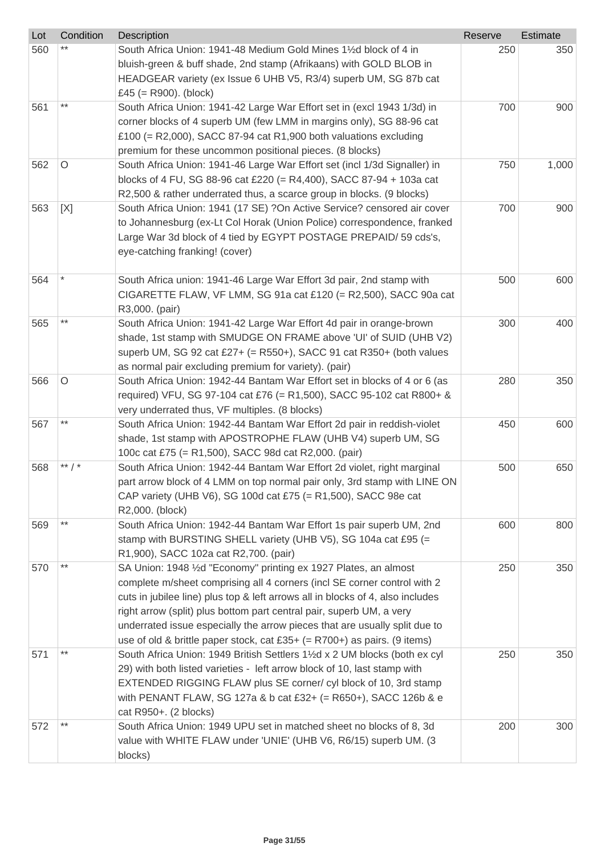| Lot | Condition | <b>Description</b>                                                             | Reserve | <b>Estimate</b> |
|-----|-----------|--------------------------------------------------------------------------------|---------|-----------------|
| 560 |           | South Africa Union: 1941-48 Medium Gold Mines 11/2d block of 4 in              | 250     | 350             |
|     |           | bluish-green & buff shade, 2nd stamp (Afrikaans) with GOLD BLOB in             |         |                 |
|     |           | HEADGEAR variety (ex Issue 6 UHB V5, R3/4) superb UM, SG 87b cat               |         |                 |
|     |           | £45 (= $R900$ ). (block)                                                       |         |                 |
| 561 | $***$     | South Africa Union: 1941-42 Large War Effort set in (excl 1943 1/3d) in        | 700     | 900             |
|     |           | corner blocks of 4 superb UM (few LMM in margins only), SG 88-96 cat           |         |                 |
|     |           | £100 (= R2,000), SACC 87-94 cat R1,900 both valuations excluding               |         |                 |
|     |           | premium for these uncommon positional pieces. (8 blocks)                       |         |                 |
| 562 | O         | South Africa Union: 1941-46 Large War Effort set (incl 1/3d Signaller) in      | 750     | 1,000           |
|     |           | blocks of 4 FU, SG 88-96 cat £220 (= R4,400), SACC 87-94 + 103a cat            |         |                 |
|     |           | R2,500 & rather underrated thus, a scarce group in blocks. (9 blocks)          |         |                 |
| 563 | [X]       | South Africa Union: 1941 (17 SE) ?On Active Service? censored air cover        | 700     | 900             |
|     |           | to Johannesburg (ex-Lt Col Horak (Union Police) correspondence, franked        |         |                 |
|     |           | Large War 3d block of 4 tied by EGYPT POSTAGE PREPAID/ 59 cds's,               |         |                 |
|     |           | eye-catching franking! (cover)                                                 |         |                 |
|     |           |                                                                                |         |                 |
| 564 |           | South Africa union: 1941-46 Large War Effort 3d pair, 2nd stamp with           | 500     | 600             |
|     |           | CIGARETTE FLAW, VF LMM, SG 91a cat £120 (= R2,500), SACC 90a cat               |         |                 |
|     |           | R3,000. (pair)                                                                 |         |                 |
| 565 | $***$     | South Africa Union: 1941-42 Large War Effort 4d pair in orange-brown           | 300     | 400             |
|     |           | shade, 1st stamp with SMUDGE ON FRAME above 'UI' of SUID (UHB V2)              |         |                 |
|     |           | superb UM, SG 92 cat £27+ (= R550+), SACC 91 cat R350+ (both values            |         |                 |
|     |           | as normal pair excluding premium for variety). (pair)                          |         |                 |
| 566 | $\circ$   | South Africa Union: 1942-44 Bantam War Effort set in blocks of 4 or 6 (as      | 280     | 350             |
|     |           | required) VFU, SG 97-104 cat £76 (= R1,500), SACC 95-102 cat R800+ &           |         |                 |
|     |           | very underrated thus, VF multiples. (8 blocks)                                 |         |                 |
| 567 | $***$     | South Africa Union: 1942-44 Bantam War Effort 2d pair in reddish-violet        | 450     | 600             |
|     |           | shade, 1st stamp with APOSTROPHE FLAW (UHB V4) superb UM, SG                   |         |                 |
|     |           | 100c cat £75 (= R1,500), SACC 98d cat R2,000. (pair)                           |         |                 |
| 568 | ** $/$ *  | South Africa Union: 1942-44 Bantam War Effort 2d violet, right marginal        | 500     | 650             |
|     |           | part arrow block of 4 LMM on top normal pair only, 3rd stamp with LINE ON      |         |                 |
|     |           | CAP variety (UHB V6), SG 100d cat £75 (= R1,500), SACC 98e cat                 |         |                 |
|     |           | R2,000. (block)                                                                |         |                 |
| 569 | $***$     | South Africa Union: 1942-44 Bantam War Effort 1s pair superb UM, 2nd           | 600     | 800             |
|     |           | stamp with BURSTING SHELL variety (UHB V5), SG 104a cat £95 (=                 |         |                 |
|     |           | R1,900), SACC 102a cat R2,700. (pair)                                          |         |                 |
| 570 | $***$     | SA Union: 1948 1/2d "Economy" printing ex 1927 Plates, an almost               | 250     | 350             |
|     |           | complete m/sheet comprising all 4 corners (incl SE corner control with 2       |         |                 |
|     |           | cuts in jubilee line) plus top & left arrows all in blocks of 4, also includes |         |                 |
|     |           | right arrow (split) plus bottom part central pair, superb UM, a very           |         |                 |
|     |           | underrated issue especially the arrow pieces that are usually split due to     |         |                 |
|     |           | use of old & brittle paper stock, cat £35+ $(= R700+)$ as pairs. (9 items)     |         |                 |
| 571 | $***$     | South Africa Union: 1949 British Settlers 11/2d x 2 UM blocks (both ex cyl     | 250     | 350             |
|     |           | 29) with both listed varieties - left arrow block of 10, last stamp with       |         |                 |
|     |           | EXTENDED RIGGING FLAW plus SE corner/ cyl block of 10, 3rd stamp               |         |                 |
|     |           | with PENANT FLAW, SG 127a & b cat £32+ (= R650+), SACC 126b & e                |         |                 |
|     |           | cat R950+. (2 blocks)                                                          |         |                 |
| 572 | $***$     | South Africa Union: 1949 UPU set in matched sheet no blocks of 8, 3d           | 200     | 300             |
|     |           | value with WHITE FLAW under 'UNIE' (UHB V6, R6/15) superb UM. (3               |         |                 |
|     |           | blocks)                                                                        |         |                 |
|     |           |                                                                                |         |                 |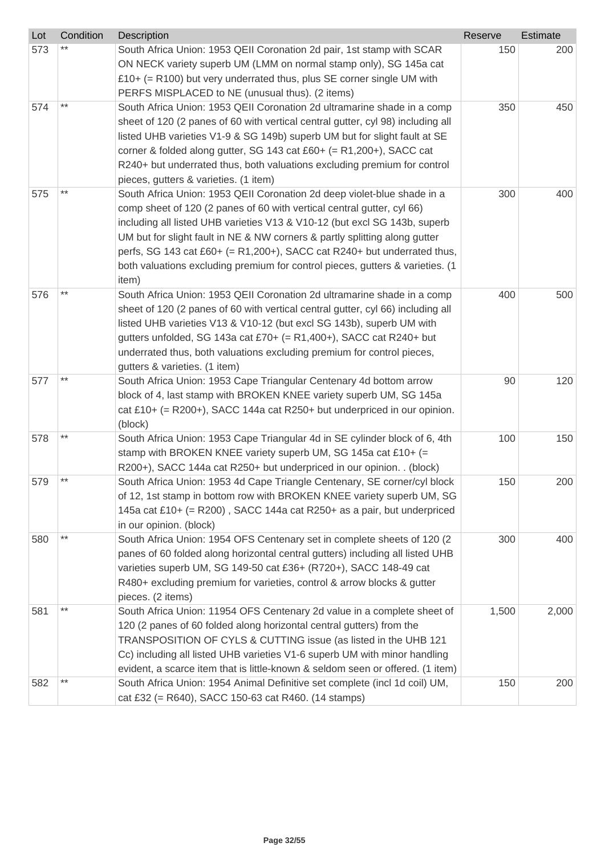| Lot | Condition | Description                                                                                                                                                                                                                                                                                                                                                                                                                                                                          | Reserve | Estimate |
|-----|-----------|--------------------------------------------------------------------------------------------------------------------------------------------------------------------------------------------------------------------------------------------------------------------------------------------------------------------------------------------------------------------------------------------------------------------------------------------------------------------------------------|---------|----------|
| 573 |           | South Africa Union: 1953 QEII Coronation 2d pair, 1st stamp with SCAR<br>ON NECK variety superb UM (LMM on normal stamp only), SG 145a cat<br>£10+ (= R100) but very underrated thus, plus SE corner single UM with<br>PERFS MISPLACED to NE (unusual thus). (2 items)                                                                                                                                                                                                               | 150     | 200      |
| 574 | $***$     | South Africa Union: 1953 QEII Coronation 2d ultramarine shade in a comp<br>sheet of 120 (2 panes of 60 with vertical central gutter, cyl 98) including all<br>listed UHB varieties V1-9 & SG 149b) superb UM but for slight fault at SE<br>corner & folded along gutter, SG 143 cat £60+ (= $R1,200+$ ), SACC cat<br>R240+ but underrated thus, both valuations excluding premium for control<br>pieces, gutters & varieties. (1 item)                                               | 350     | 450      |
| 575 |           | South Africa Union: 1953 QEII Coronation 2d deep violet-blue shade in a<br>comp sheet of 120 (2 panes of 60 with vertical central gutter, cyl 66)<br>including all listed UHB varieties V13 & V10-12 (but excl SG 143b, superb<br>UM but for slight fault in NE & NW corners & partly splitting along gutter<br>perfs, SG 143 cat £60+ (= $R1,200+$ ), SACC cat R240+ but underrated thus,<br>both valuations excluding premium for control pieces, gutters & varieties. (1<br>item) | 300     | 400      |
| 576 | $***$     | South Africa Union: 1953 QEII Coronation 2d ultramarine shade in a comp<br>sheet of 120 (2 panes of 60 with vertical central gutter, cyl 66) including all<br>listed UHB varieties V13 & V10-12 (but excl SG 143b), superb UM with<br>gutters unfolded, SG 143a cat £70+ (= R1,400+), SACC cat R240+ but<br>underrated thus, both valuations excluding premium for control pieces,<br>gutters & varieties. (1 item)                                                                  | 400     | 500      |
| 577 | $***$     | South Africa Union: 1953 Cape Triangular Centenary 4d bottom arrow<br>block of 4, last stamp with BROKEN KNEE variety superb UM, SG 145a<br>cat £10+ (= R200+), SACC 144a cat R250+ but underpriced in our opinion.<br>(block)                                                                                                                                                                                                                                                       | 90      | 120      |
| 578 | $***$     | South Africa Union: 1953 Cape Triangular 4d in SE cylinder block of 6, 4th<br>stamp with BROKEN KNEE variety superb UM, SG 145a cat £10+ (=<br>R200+), SACC 144a cat R250+ but underpriced in our opinion. . (block)                                                                                                                                                                                                                                                                 | 100     | 150      |
| 579 | $***$     | South Africa Union: 1953 4d Cape Triangle Centenary, SE corner/cyl block<br>of 12, 1st stamp in bottom row with BROKEN KNEE variety superb UM, SG<br>145a cat £10+ (= R200), SACC 144a cat R250+ as a pair, but underpriced<br>in our opinion. (block)                                                                                                                                                                                                                               | 150     | 200      |
| 580 | $***$     | South Africa Union: 1954 OFS Centenary set in complete sheets of 120 (2<br>panes of 60 folded along horizontal central gutters) including all listed UHB<br>varieties superb UM, SG 149-50 cat £36+ (R720+), SACC 148-49 cat<br>R480+ excluding premium for varieties, control & arrow blocks & gutter<br>pieces. (2 items)                                                                                                                                                          | 300     | 400      |
| 581 | $***$     | South Africa Union: 11954 OFS Centenary 2d value in a complete sheet of<br>120 (2 panes of 60 folded along horizontal central gutters) from the<br>TRANSPOSITION OF CYLS & CUTTING issue (as listed in the UHB 121<br>Cc) including all listed UHB varieties V1-6 superb UM with minor handling<br>evident, a scarce item that is little-known & seldom seen or offered. (1 item)                                                                                                    | 1,500   | 2,000    |
| 582 | $***$     | South Africa Union: 1954 Animal Definitive set complete (incl 1d coil) UM,<br>cat £32 (= R640), SACC 150-63 cat R460. (14 stamps)                                                                                                                                                                                                                                                                                                                                                    | 150     | 200      |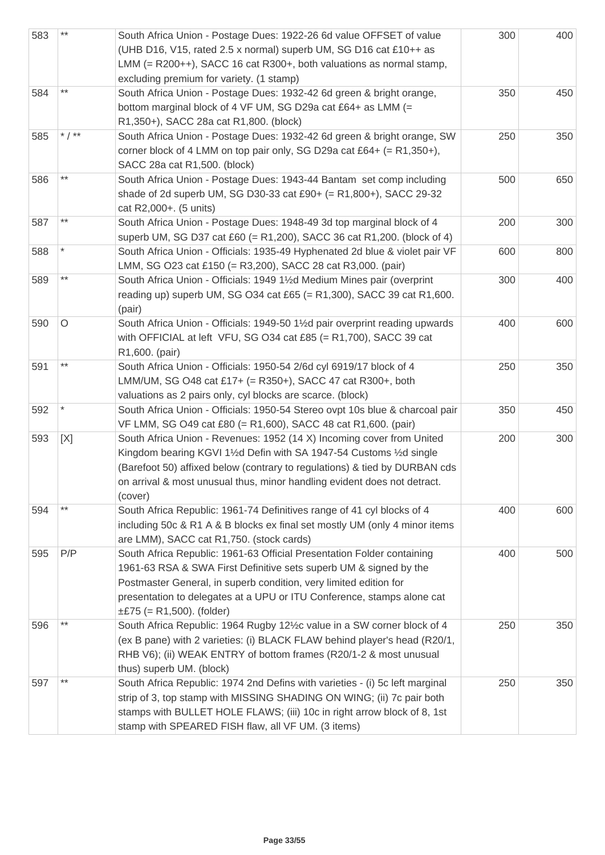| 583 | $***$    | South Africa Union - Postage Dues: 1922-26 6d value OFFSET of value<br>(UHB D16, V15, rated 2.5 x normal) superb UM, SG D16 cat £10++ as<br>LMM $(= R200++)$ , SACC 16 cat R300+, both valuations as normal stamp,<br>excluding premium for variety. (1 stamp)                                                               | 300 | 400 |
|-----|----------|------------------------------------------------------------------------------------------------------------------------------------------------------------------------------------------------------------------------------------------------------------------------------------------------------------------------------|-----|-----|
| 584 | $***$    | South Africa Union - Postage Dues: 1932-42 6d green & bright orange,<br>bottom marginal block of 4 VF UM, SG D29a cat £64+ as LMM (=<br>R1,350+), SACC 28a cat R1,800. (block)                                                                                                                                               | 350 | 450 |
| 585 | * $/$ ** | South Africa Union - Postage Dues: 1932-42 6d green & bright orange, SW<br>corner block of 4 LMM on top pair only, SG D29a cat £64+ $(= R1,350+)$ ,<br>SACC 28a cat R1,500. (block)                                                                                                                                          | 250 | 350 |
| 586 | $***$    | South Africa Union - Postage Dues: 1943-44 Bantam set comp including<br>shade of 2d superb UM, SG D30-33 cat £90+ (= R1,800+), SACC 29-32<br>cat R2,000+. (5 units)                                                                                                                                                          | 500 | 650 |
| 587 | $***$    | South Africa Union - Postage Dues: 1948-49 3d top marginal block of 4<br>superb UM, SG D37 cat £60 (= R1,200), SACC 36 cat R1,200. (block of 4)                                                                                                                                                                              | 200 | 300 |
| 588 |          | South Africa Union - Officials: 1935-49 Hyphenated 2d blue & violet pair VF<br>LMM, SG O23 cat £150 (= R3,200), SACC 28 cat R3,000. (pair)                                                                                                                                                                                   | 600 | 800 |
| 589 | $***$    | South Africa Union - Officials: 1949 1½d Medium Mines pair (overprint<br>reading up) superb UM, SG O34 cat £65 (= $R1,300$ ), SACC 39 cat $R1,600$ .<br>(pair)                                                                                                                                                               | 300 | 400 |
| 590 | O        | South Africa Union - Officials: 1949-50 1½d pair overprint reading upwards<br>with OFFICIAL at left VFU, SG O34 cat £85 (= $R1,700$ ), SACC 39 cat<br>R1,600. (pair)                                                                                                                                                         | 400 | 600 |
| 591 | $***$    | South Africa Union - Officials: 1950-54 2/6d cyl 6919/17 block of 4<br>LMM/UM, SG O48 cat £17+ (= R350+), SACC 47 cat R300+, both<br>valuations as 2 pairs only, cyl blocks are scarce. (block)                                                                                                                              | 250 | 350 |
| 592 |          | South Africa Union - Officials: 1950-54 Stereo ovpt 10s blue & charcoal pair<br>VF LMM, SG O49 cat £80 (= R1,600), SACC 48 cat R1,600. (pair)                                                                                                                                                                                | 350 | 450 |
| 593 | [X]      | South Africa Union - Revenues: 1952 (14 X) Incoming cover from United<br>Kingdom bearing KGVI 11/2d Defin with SA 1947-54 Customs 1/2d single<br>(Barefoot 50) affixed below (contrary to regulations) & tied by DURBAN cds<br>on arrival & most unusual thus, minor handling evident does not detract.<br>(cover)           | 200 | 300 |
| 594 | $***$    | South Africa Republic: 1961-74 Definitives range of 41 cyl blocks of 4<br>including 50c & R1 A & B blocks ex final set mostly UM (only 4 minor items<br>are LMM), SACC cat R1,750. (stock cards)                                                                                                                             | 400 | 600 |
| 595 | P/P      | South Africa Republic: 1961-63 Official Presentation Folder containing<br>1961-63 RSA & SWA First Definitive sets superb UM & signed by the<br>Postmaster General, in superb condition, very limited edition for<br>presentation to delegates at a UPU or ITU Conference, stamps alone cat<br>$\pm$ £75 (= R1,500). (folder) | 400 | 500 |
| 596 |          | South Africa Republic: 1964 Rugby 121/2c value in a SW corner block of 4<br>(ex B pane) with 2 varieties: (i) BLACK FLAW behind player's head (R20/1,<br>RHB V6); (ii) WEAK ENTRY of bottom frames (R20/1-2 & most unusual<br>thus) superb UM. (block)                                                                       | 250 | 350 |
| 597 | $* *$    | South Africa Republic: 1974 2nd Defins with varieties - (i) 5c left marginal<br>strip of 3, top stamp with MISSING SHADING ON WING; (ii) 7c pair both<br>stamps with BULLET HOLE FLAWS; (iii) 10c in right arrow block of 8, 1st<br>stamp with SPEARED FISH flaw, all VF UM. (3 items)                                       | 250 | 350 |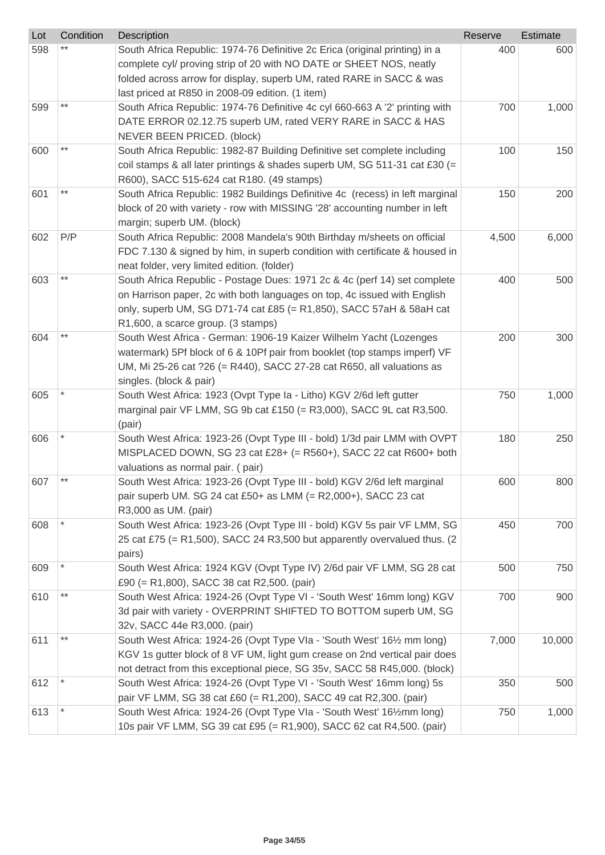| Lot | Condition | Description                                                                                                                                                                                                                                                        | Reserve | <b>Estimate</b> |
|-----|-----------|--------------------------------------------------------------------------------------------------------------------------------------------------------------------------------------------------------------------------------------------------------------------|---------|-----------------|
| 598 |           | South Africa Republic: 1974-76 Definitive 2c Erica (original printing) in a<br>complete cyl/ proving strip of 20 with NO DATE or SHEET NOS, neatly                                                                                                                 | 400     | 600             |
|     |           | folded across arrow for display, superb UM, rated RARE in SACC & was<br>last priced at R850 in 2008-09 edition. (1 item)                                                                                                                                           |         |                 |
| 599 | $***$     | South Africa Republic: 1974-76 Definitive 4c cyl 660-663 A '2' printing with                                                                                                                                                                                       | 700     | 1,000           |
|     |           | DATE ERROR 02.12.75 superb UM, rated VERY RARE in SACC & HAS<br>NEVER BEEN PRICED. (block)                                                                                                                                                                         |         |                 |
| 600 | $***$     | South Africa Republic: 1982-87 Building Definitive set complete including<br>coil stamps & all later printings & shades superb UM, SG 511-31 cat £30 (=<br>R600), SACC 515-624 cat R180. (49 stamps)                                                               | 100     | 150             |
| 601 | $***$     | South Africa Republic: 1982 Buildings Definitive 4c (recess) in left marginal<br>block of 20 with variety - row with MISSING '28' accounting number in left<br>margin; superb UM. (block)                                                                          | 150     | 200             |
| 602 | P/P       | South Africa Republic: 2008 Mandela's 90th Birthday m/sheets on official<br>FDC 7.130 & signed by him, in superb condition with certificate & housed in<br>neat folder, very limited edition. (folder)                                                             | 4,500   | 6,000           |
| 603 | $***$     | South Africa Republic - Postage Dues: 1971 2c & 4c (perf 14) set complete<br>on Harrison paper, 2c with both languages on top, 4c issued with English<br>only, superb UM, SG D71-74 cat £85 (= R1,850), SACC 57aH & 58aH cat<br>R1,600, a scarce group. (3 stamps) | 400     | 500             |
| 604 | $***$     | South West Africa - German: 1906-19 Kaizer Wilhelm Yacht (Lozenges<br>watermark) 5Pf block of 6 & 10Pf pair from booklet (top stamps imperf) VF<br>UM, Mi 25-26 cat ?26 (= R440), SACC 27-28 cat R650, all valuations as<br>singles. (block & pair)                | 200     | 300             |
| 605 |           | South West Africa: 1923 (Ovpt Type Ia - Litho) KGV 2/6d left gutter<br>marginal pair VF LMM, SG 9b cat £150 (= R3,000), SACC 9L cat R3,500.<br>(pair)                                                                                                              | 750     | 1,000           |
| 606 |           | South West Africa: 1923-26 (Ovpt Type III - bold) 1/3d pair LMM with OVPT<br>MISPLACED DOWN, SG 23 cat £28+ (= R560+), SACC 22 cat R600+ both<br>valuations as normal pair. (pair)                                                                                 | 180     | 250             |
| 607 | $***$     | South West Africa: 1923-26 (Ovpt Type III - bold) KGV 2/6d left marginal<br>pair superb UM. SG 24 cat £50+ as LMM (= R2,000+), SACC 23 cat<br>R3,000 as UM. (pair)                                                                                                 | 600     | 800             |
| 608 |           | South West Africa: 1923-26 (Ovpt Type III - bold) KGV 5s pair VF LMM, SG<br>25 cat £75 (= R1,500), SACC 24 R3,500 but apparently overvalued thus. (2<br>pairs)                                                                                                     | 450     | 700             |
| 609 |           | South West Africa: 1924 KGV (Ovpt Type IV) 2/6d pair VF LMM, SG 28 cat<br>£90 (= R1,800), SACC 38 cat R2,500. (pair)                                                                                                                                               | 500     | 750             |
| 610 | $***$     | South West Africa: 1924-26 (Ovpt Type VI - 'South West' 16mm long) KGV<br>3d pair with variety - OVERPRINT SHIFTED TO BOTTOM superb UM, SG<br>32v, SACC 44e R3,000. (pair)                                                                                         | 700     | 900             |
| 611 | $***$     | South West Africa: 1924-26 (Ovpt Type VIa - 'South West' 161/2 mm long)<br>KGV 1s gutter block of 8 VF UM, light gum crease on 2nd vertical pair does<br>not detract from this exceptional piece, SG 35v, SACC 58 R45,000. (block)                                 | 7,000   | 10,000          |
| 612 |           | South West Africa: 1924-26 (Ovpt Type VI - 'South West' 16mm long) 5s<br>pair VF LMM, SG 38 cat £60 (= R1,200), SACC 49 cat R2,300. (pair)                                                                                                                         | 350     | 500             |
| 613 |           | South West Africa: 1924-26 (Ovpt Type VIa - 'South West' 161/2mm long)<br>10s pair VF LMM, SG 39 cat £95 (= R1,900), SACC 62 cat R4,500. (pair)                                                                                                                    | 750     | 1,000           |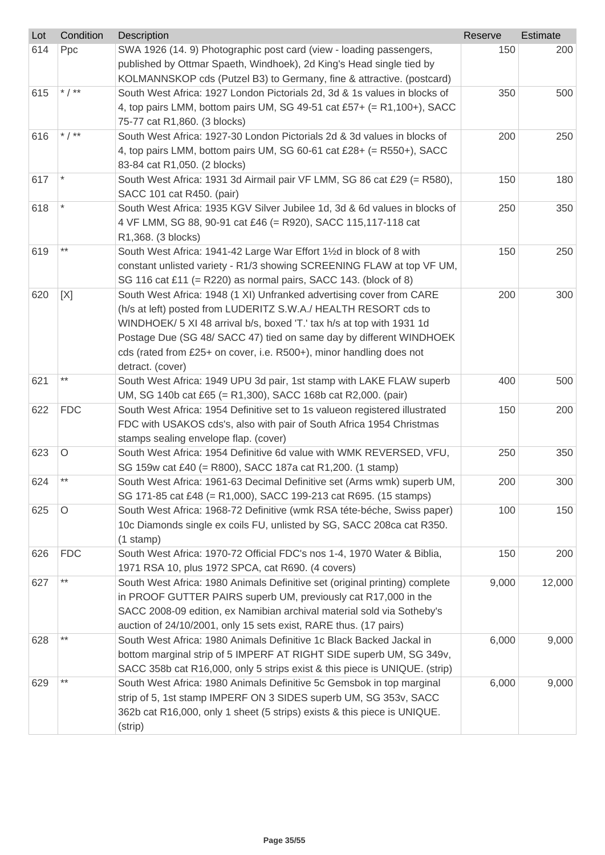| Lot | Condition  | Description                                                                 | Reserve | Estimate |
|-----|------------|-----------------------------------------------------------------------------|---------|----------|
| 614 | Ppc        | SWA 1926 (14. 9) Photographic post card (view - loading passengers,         | 150     | 200      |
|     |            | published by Ottmar Spaeth, Windhoek), 2d King's Head single tied by        |         |          |
|     |            | KOLMANNSKOP cds (Putzel B3) to Germany, fine & attractive. (postcard)       |         |          |
| 615 | * $/$ **   | South West Africa: 1927 London Pictorials 2d, 3d & 1s values in blocks of   | 350     | 500      |
|     |            | 4, top pairs LMM, bottom pairs UM, SG 49-51 cat £57+ (= R1,100+), SACC      |         |          |
|     |            | 75-77 cat R1,860. (3 blocks)                                                |         |          |
| 616 | * $/$ **   | South West Africa: 1927-30 London Pictorials 2d & 3d values in blocks of    | 200     | 250      |
|     |            | 4, top pairs LMM, bottom pairs UM, SG 60-61 cat £28+ (= R550+), SACC        |         |          |
|     |            | 83-84 cat R1,050. (2 blocks)                                                |         |          |
| 617 |            | South West Africa: 1931 3d Airmail pair VF LMM, SG 86 cat £29 (= R580),     | 150     | 180      |
|     |            | SACC 101 cat R450. (pair)                                                   |         |          |
| 618 |            | South West Africa: 1935 KGV Silver Jubilee 1d, 3d & 6d values in blocks of  | 250     | 350      |
|     |            | 4 VF LMM, SG 88, 90-91 cat £46 (= R920), SACC 115,117-118 cat               |         |          |
|     |            | R1,368. (3 blocks)                                                          |         |          |
| 619 | $***$      | South West Africa: 1941-42 Large War Effort 11/2d in block of 8 with        | 150     | 250      |
|     |            | constant unlisted variety - R1/3 showing SCREENING FLAW at top VF UM,       |         |          |
|     |            | SG 116 cat £11 (= R220) as normal pairs, SACC 143. (block of 8)             |         |          |
| 620 | [X]        | South West Africa: 1948 (1 XI) Unfranked advertising cover from CARE        | 200     | 300      |
|     |            | (h/s at left) posted from LUDERITZ S.W.A./ HEALTH RESORT cds to             |         |          |
|     |            | WINDHOEK/ 5 XI 48 arrival b/s, boxed 'T.' tax h/s at top with 1931 1d       |         |          |
|     |            | Postage Due (SG 48/ SACC 47) tied on same day by different WINDHOEK         |         |          |
|     |            | cds (rated from £25+ on cover, i.e. R500+), minor handling does not         |         |          |
|     |            | detract. (cover)                                                            |         |          |
| 621 | $***$      | South West Africa: 1949 UPU 3d pair, 1st stamp with LAKE FLAW superb        | 400     | 500      |
|     |            | UM, SG 140b cat £65 (= R1,300), SACC 168b cat R2,000. (pair)                |         |          |
| 622 | <b>FDC</b> | South West Africa: 1954 Definitive set to 1s valueon registered illustrated | 150     | 200      |
|     |            | FDC with USAKOS cds's, also with pair of South Africa 1954 Christmas        |         |          |
|     |            | stamps sealing envelope flap. (cover)                                       |         |          |
| 623 | $\circ$    | South West Africa: 1954 Definitive 6d value with WMK REVERSED, VFU,         | 250     | 350      |
|     | $***$      | SG 159w cat £40 (= R800), SACC 187a cat R1,200. (1 stamp)                   |         |          |
| 624 |            | South West Africa: 1961-63 Decimal Definitive set (Arms wmk) superb UM,     | 200     | 300      |
|     |            | SG 171-85 cat £48 (= R1,000), SACC 199-213 cat R695. (15 stamps)            |         |          |
| 625 | O          | South West Africa: 1968-72 Definitive (wmk RSA téte-béche, Swiss paper)     | 100     | 150      |
|     |            | 10c Diamonds single ex coils FU, unlisted by SG, SACC 208ca cat R350.       |         |          |
|     |            | $(1$ stamp)                                                                 |         |          |
| 626 | <b>FDC</b> | South West Africa: 1970-72 Official FDC's nos 1-4, 1970 Water & Biblia,     | 150     | 200      |
|     | $***$      | 1971 RSA 10, plus 1972 SPCA, cat R690. (4 covers)                           |         |          |
| 627 |            | South West Africa: 1980 Animals Definitive set (original printing) complete | 9,000   | 12,000   |
|     |            | in PROOF GUTTER PAIRS superb UM, previously cat R17,000 in the              |         |          |
|     |            | SACC 2008-09 edition, ex Namibian archival material sold via Sotheby's      |         |          |
|     | $***$      | auction of 24/10/2001, only 15 sets exist, RARE thus. (17 pairs)            |         |          |
| 628 |            | South West Africa: 1980 Animals Definitive 1c Black Backed Jackal in        | 6,000   | 9,000    |
|     |            | bottom marginal strip of 5 IMPERF AT RIGHT SIDE superb UM, SG 349v,         |         |          |
|     | $***$      | SACC 358b cat R16,000, only 5 strips exist & this piece is UNIQUE. (strip)  |         |          |
| 629 |            | South West Africa: 1980 Animals Definitive 5c Gemsbok in top marginal       | 6,000   | 9,000    |
|     |            | strip of 5, 1st stamp IMPERF ON 3 SIDES superb UM, SG 353v, SACC            |         |          |
|     |            | 362b cat R16,000, only 1 sheet (5 strips) exists & this piece is UNIQUE.    |         |          |
|     |            | (strip)                                                                     |         |          |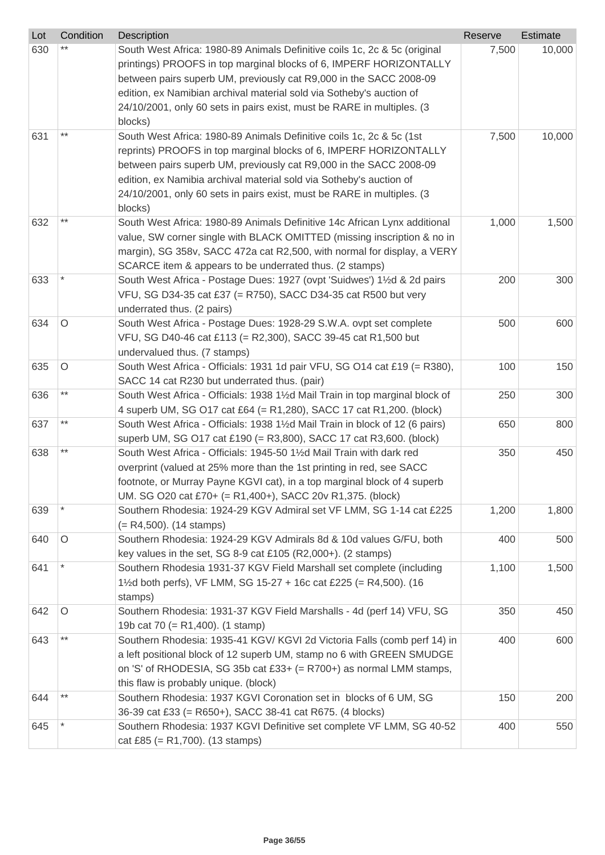| Lot | Condition | <b>Description</b>                                                                   | Reserve | <b>Estimate</b> |
|-----|-----------|--------------------------------------------------------------------------------------|---------|-----------------|
| 630 |           | South West Africa: 1980-89 Animals Definitive coils 1c, 2c & 5c (original            | 7,500   | 10,000          |
|     |           | printings) PROOFS in top marginal blocks of 6, IMPERF HORIZONTALLY                   |         |                 |
|     |           | between pairs superb UM, previously cat R9,000 in the SACC 2008-09                   |         |                 |
|     |           | edition, ex Namibian archival material sold via Sotheby's auction of                 |         |                 |
|     |           | 24/10/2001, only 60 sets in pairs exist, must be RARE in multiples. (3               |         |                 |
|     | $***$     | blocks)                                                                              |         |                 |
| 631 |           | South West Africa: 1980-89 Animals Definitive coils 1c, 2c & 5c (1st                 | 7,500   | 10,000          |
|     |           | reprints) PROOFS in top marginal blocks of 6, IMPERF HORIZONTALLY                    |         |                 |
|     |           | between pairs superb UM, previously cat R9,000 in the SACC 2008-09                   |         |                 |
|     |           | edition, ex Namibia archival material sold via Sotheby's auction of                  |         |                 |
|     |           | 24/10/2001, only 60 sets in pairs exist, must be RARE in multiples. (3               |         |                 |
| 632 | $***$     | blocks)<br>South West Africa: 1980-89 Animals Definitive 14c African Lynx additional | 1,000   | 1,500           |
|     |           | value, SW corner single with BLACK OMITTED (missing inscription & no in              |         |                 |
|     |           | margin), SG 358v, SACC 472a cat R2,500, with normal for display, a VERY              |         |                 |
|     |           | SCARCE item & appears to be underrated thus. (2 stamps)                              |         |                 |
| 633 |           | South West Africa - Postage Dues: 1927 (ovpt 'Suidwes') 11/2d & 2d pairs             | 200     | 300             |
|     |           | VFU, SG D34-35 cat £37 (= R750), SACC D34-35 cat R500 but very                       |         |                 |
|     |           | underrated thus. (2 pairs)                                                           |         |                 |
| 634 | O         | South West Africa - Postage Dues: 1928-29 S.W.A. ovpt set complete                   | 500     | 600             |
|     |           | VFU, SG D40-46 cat £113 (= R2,300), SACC 39-45 cat R1,500 but                        |         |                 |
|     |           | undervalued thus. (7 stamps)                                                         |         |                 |
| 635 | O         | South West Africa - Officials: 1931 1d pair VFU, SG 014 cat £19 (= R380),            | 100     | 150             |
|     |           | SACC 14 cat R230 but underrated thus. (pair)                                         |         |                 |
| 636 | $***$     | South West Africa - Officials: 1938 1½d Mail Train in top marginal block of          | 250     | 300             |
|     |           | 4 superb UM, SG O17 cat £64 (= R1,280), SACC 17 cat R1,200. (block)                  |         |                 |
| 637 | $***$     | South West Africa - Officials: 1938 1½d Mail Train in block of 12 (6 pairs)          | 650     | 800             |
|     |           | superb UM, SG O17 cat £190 (= R3,800), SACC 17 cat R3,600. (block)                   |         |                 |
| 638 | $***$     | South West Africa - Officials: 1945-50 11/2d Mail Train with dark red                | 350     | 450             |
|     |           | overprint (valued at 25% more than the 1st printing in red, see SACC                 |         |                 |
|     |           | footnote, or Murray Payne KGVI cat), in a top marginal block of 4 superb             |         |                 |
|     |           | UM. SG O20 cat £70+ (= R1,400+), SACC 20v R1,375. (block)                            |         |                 |
| 639 |           | Southern Rhodesia: 1924-29 KGV Admiral set VF LMM, SG 1-14 cat £225                  | 1,200   | 1,800           |
|     |           | $(= R4,500)$ . (14 stamps)                                                           |         |                 |
| 640 | $\circ$   | Southern Rhodesia: 1924-29 KGV Admirals 8d & 10d values G/FU, both                   | 400     | 500             |
|     |           | key values in the set, SG 8-9 cat £105 (R2,000+). (2 stamps)                         |         |                 |
| 641 |           | Southern Rhodesia 1931-37 KGV Field Marshall set complete (including                 | 1,100   | 1,500           |
|     |           | 1½d both perfs), VF LMM, SG 15-27 + 16c cat £225 (= R4,500). (16                     |         |                 |
| 642 | $\circ$   | stamps)<br>Southern Rhodesia: 1931-37 KGV Field Marshalls - 4d (perf 14) VFU, SG     | 350     | 450             |
|     |           | 19b cat 70 (= R1,400). (1 stamp)                                                     |         |                 |
| 643 | $***$     | Southern Rhodesia: 1935-41 KGV/ KGVI 2d Victoria Falls (comb perf 14) in             | 400     | 600             |
|     |           | a left positional block of 12 superb UM, stamp no 6 with GREEN SMUDGE                |         |                 |
|     |           | on 'S' of RHODESIA, SG 35b cat £33+ (= R700+) as normal LMM stamps,                  |         |                 |
|     |           | this flaw is probably unique. (block)                                                |         |                 |
| 644 | $***$     | Southern Rhodesia: 1937 KGVI Coronation set in blocks of 6 UM, SG                    | 150     | 200             |
|     |           | 36-39 cat £33 (= R650+), SACC 38-41 cat R675. (4 blocks)                             |         |                 |
| 645 |           | Southern Rhodesia: 1937 KGVI Definitive set complete VF LMM, SG 40-52                | 400     | 550             |
|     |           | cat £85 (= R1,700). (13 stamps)                                                      |         |                 |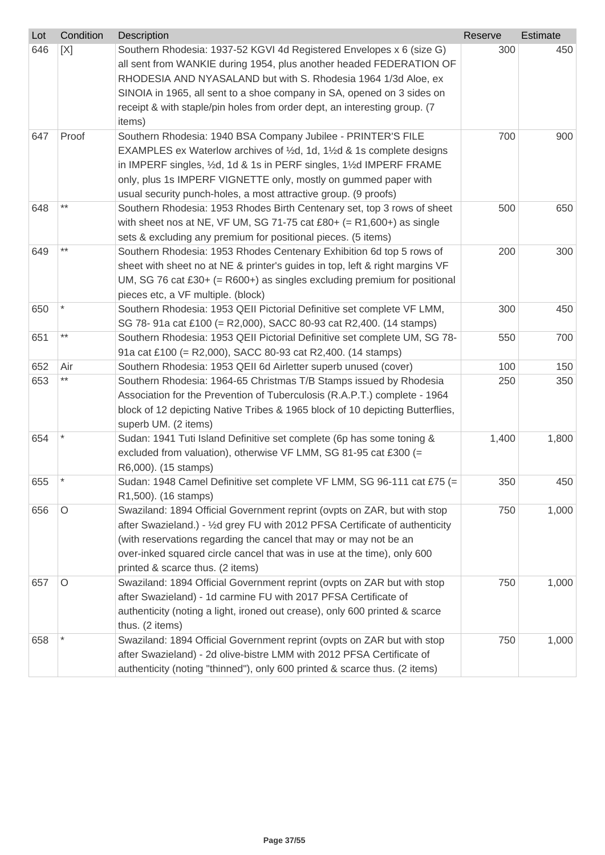| Lot | Condition | Description                                                                                                                                                                                                                                                                                                                                                                    | Reserve | Estimate |
|-----|-----------|--------------------------------------------------------------------------------------------------------------------------------------------------------------------------------------------------------------------------------------------------------------------------------------------------------------------------------------------------------------------------------|---------|----------|
| 646 | [X]       | Southern Rhodesia: 1937-52 KGVI 4d Registered Envelopes x 6 (size G)<br>all sent from WANKIE during 1954, plus another headed FEDERATION OF<br>RHODESIA AND NYASALAND but with S. Rhodesia 1964 1/3d Aloe, ex<br>SINOIA in 1965, all sent to a shoe company in SA, opened on 3 sides on<br>receipt & with staple/pin holes from order dept, an interesting group. (7<br>items) | 300     | 450      |
| 647 | Proof     | Southern Rhodesia: 1940 BSA Company Jubilee - PRINTER'S FILE<br>EXAMPLES ex Waterlow archives of $\frac{1}{2}d$ , 1d, 1 $\frac{1}{2}d$ & 1s complete designs<br>in IMPERF singles, 1/2d, 1d & 1s in PERF singles, 11/2d IMPERF FRAME<br>only, plus 1s IMPERF VIGNETTE only, mostly on gummed paper with<br>usual security punch-holes, a most attractive group. (9 proofs)     | 700     | 900      |
| 648 | $***$     | Southern Rhodesia: 1953 Rhodes Birth Centenary set, top 3 rows of sheet<br>with sheet nos at NE, VF UM, SG 71-75 cat £80+ (= $R1,600+$ ) as single<br>sets & excluding any premium for positional pieces. (5 items)                                                                                                                                                            | 500     | 650      |
| 649 | $***$     | Southern Rhodesia: 1953 Rhodes Centenary Exhibition 6d top 5 rows of<br>sheet with sheet no at NE & printer's guides in top, left & right margins VF<br>UM, SG 76 cat £30+ (= $R600+$ ) as singles excluding premium for positional<br>pieces etc, a VF multiple. (block)                                                                                                      | 200     | 300      |
| 650 |           | Southern Rhodesia: 1953 QEII Pictorial Definitive set complete VF LMM,<br>SG 78-91a cat £100 (= R2,000), SACC 80-93 cat R2,400. (14 stamps)                                                                                                                                                                                                                                    | 300     | 450      |
| 651 | $***$     | Southern Rhodesia: 1953 QEII Pictorial Definitive set complete UM, SG 78-<br>91a cat £100 (= R2,000), SACC 80-93 cat R2,400. (14 stamps)                                                                                                                                                                                                                                       | 550     | 700      |
| 652 | Air       | Southern Rhodesia: 1953 QEII 6d Airletter superb unused (cover)                                                                                                                                                                                                                                                                                                                | 100     | 150      |
| 653 | **        | Southern Rhodesia: 1964-65 Christmas T/B Stamps issued by Rhodesia<br>Association for the Prevention of Tuberculosis (R.A.P.T.) complete - 1964<br>block of 12 depicting Native Tribes & 1965 block of 10 depicting Butterflies,<br>superb UM. (2 items)                                                                                                                       | 250     | 350      |
| 654 |           | Sudan: 1941 Tuti Island Definitive set complete (6p has some toning &<br>excluded from valuation), otherwise VF LMM, SG 81-95 cat £300 (=<br>R6,000). (15 stamps)                                                                                                                                                                                                              | 1,400   | 1,800    |
| 655 |           | Sudan: 1948 Camel Definitive set complete VF LMM, SG 96-111 cat £75 (=<br>R1,500). (16 stamps)                                                                                                                                                                                                                                                                                 | 350     | 450      |
| 656 | O         | Swaziland: 1894 Official Government reprint (ovpts on ZAR, but with stop<br>after Swazieland.) - 1/2d grey FU with 2012 PFSA Certificate of authenticity<br>(with reservations regarding the cancel that may or may not be an<br>over-inked squared circle cancel that was in use at the time), only 600<br>printed & scarce thus. (2 items)                                   | 750     | 1,000    |
| 657 | O         | Swaziland: 1894 Official Government reprint (ovpts on ZAR but with stop<br>after Swazieland) - 1d carmine FU with 2017 PFSA Certificate of<br>authenticity (noting a light, ironed out crease), only 600 printed & scarce<br>thus. (2 items)                                                                                                                                   | 750     | 1,000    |
| 658 |           | Swaziland: 1894 Official Government reprint (ovpts on ZAR but with stop<br>after Swazieland) - 2d olive-bistre LMM with 2012 PFSA Certificate of<br>authenticity (noting "thinned"), only 600 printed & scarce thus. (2 items)                                                                                                                                                 | 750     | 1,000    |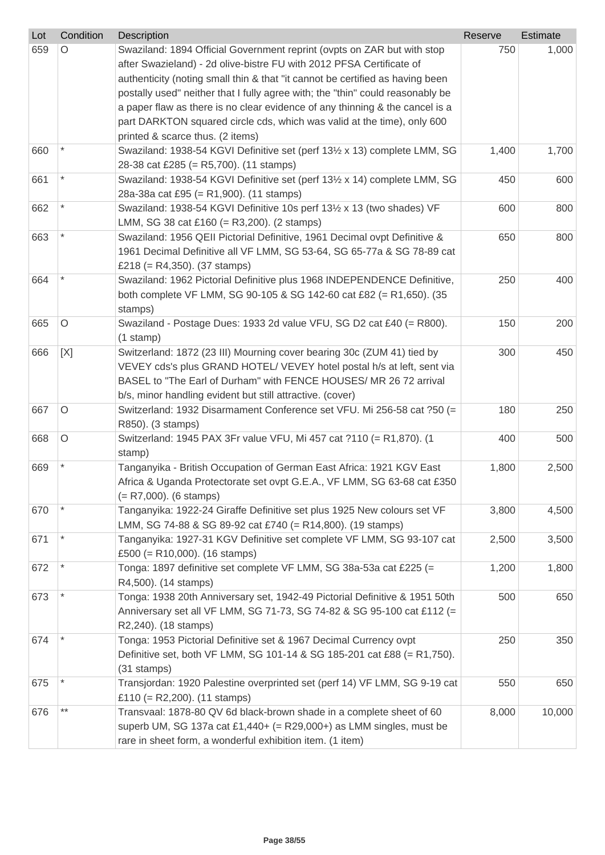| Lot | Condition | Description                                                                                                         | Reserve | Estimate |
|-----|-----------|---------------------------------------------------------------------------------------------------------------------|---------|----------|
| 659 | O         | Swaziland: 1894 Official Government reprint (ovpts on ZAR but with stop                                             | 750     | 1,000    |
|     |           | after Swazieland) - 2d olive-bistre FU with 2012 PFSA Certificate of                                                |         |          |
|     |           | authenticity (noting small thin & that "it cannot be certified as having been                                       |         |          |
|     |           | postally used" neither that I fully agree with; the "thin" could reasonably be                                      |         |          |
|     |           | a paper flaw as there is no clear evidence of any thinning & the cancel is a                                        |         |          |
|     |           | part DARKTON squared circle cds, which was valid at the time), only 600                                             |         |          |
|     |           | printed & scarce thus. (2 items)                                                                                    |         |          |
| 660 |           | Swaziland: 1938-54 KGVI Definitive set (perf 131/2 x 13) complete LMM, SG                                           | 1,400   | 1,700    |
| 661 |           | 28-38 cat £285 (= R5,700). (11 stamps)<br>Swaziland: 1938-54 KGVI Definitive set (perf 131/2 x 14) complete LMM, SG |         |          |
|     |           | 28a-38a cat £95 (= R1,900). (11 stamps)                                                                             | 450     | 600      |
| 662 |           | Swaziland: 1938-54 KGVI Definitive 10s perf 131/2 x 13 (two shades) VF                                              | 600     | 800      |
|     |           | LMM, SG 38 cat £160 (= $R3,200$ ). (2 stamps)                                                                       |         |          |
| 663 |           | Swaziland: 1956 QEII Pictorial Definitive, 1961 Decimal ovpt Definitive &                                           | 650     | 800      |
|     |           | 1961 Decimal Definitive all VF LMM, SG 53-64, SG 65-77a & SG 78-89 cat                                              |         |          |
|     |           | £218 (= R4,350). (37 stamps)                                                                                        |         |          |
| 664 |           | Swaziland: 1962 Pictorial Definitive plus 1968 INDEPENDENCE Definitive,                                             | 250     | 400      |
|     |           | both complete VF LMM, SG 90-105 & SG 142-60 cat £82 (= R1,650). (35                                                 |         |          |
|     |           | stamps)                                                                                                             |         |          |
| 665 | O         | Swaziland - Postage Dues: 1933 2d value VFU, SG D2 cat £40 (= R800).                                                | 150     | 200      |
|     |           | $(1$ stamp)                                                                                                         |         |          |
| 666 | [X]       | Switzerland: 1872 (23 III) Mourning cover bearing 30c (ZUM 41) tied by                                              | 300     | 450      |
|     |           | VEVEY cds's plus GRAND HOTEL/ VEVEY hotel postal h/s at left, sent via                                              |         |          |
|     |           | BASEL to "The Earl of Durham" with FENCE HOUSES/ MR 26 72 arrival                                                   |         |          |
|     |           | b/s, minor handling evident but still attractive. (cover)                                                           |         |          |
| 667 | $\circ$   | Switzerland: 1932 Disarmament Conference set VFU. Mi 256-58 cat ?50 (=                                              | 180     | 250      |
|     | $\circ$   | R850). (3 stamps)                                                                                                   |         | 500      |
| 668 |           | Switzerland: 1945 PAX 3Fr value VFU, Mi 457 cat ?110 (= R1,870). (1<br>stamp)                                       | 400     |          |
| 669 |           | Tanganyika - British Occupation of German East Africa: 1921 KGV East                                                | 1,800   | 2,500    |
|     |           | Africa & Uganda Protectorate set ovpt G.E.A., VF LMM, SG 63-68 cat £350                                             |         |          |
|     |           | $(= R7,000)$ . (6 stamps)                                                                                           |         |          |
| 670 |           | Tanganyika: 1922-24 Giraffe Definitive set plus 1925 New colours set VF                                             | 3,800   | 4,500    |
|     |           | LMM, SG 74-88 & SG 89-92 cat £740 (= R14,800). (19 stamps)                                                          |         |          |
| 671 |           | Tanganyika: 1927-31 KGV Definitive set complete VF LMM, SG 93-107 cat                                               | 2,500   | 3,500    |
|     |           | £500 (= R10,000). (16 stamps)                                                                                       |         |          |
| 672 |           | Tonga: 1897 definitive set complete VF LMM, SG 38a-53a cat £225 (=                                                  | 1,200   | 1,800    |
|     |           | R4,500). (14 stamps)                                                                                                |         |          |
| 673 |           | Tonga: 1938 20th Anniversary set, 1942-49 Pictorial Definitive & 1951 50th                                          | 500     | 650      |
|     |           | Anniversary set all VF LMM, SG 71-73, SG 74-82 & SG 95-100 cat £112 (=                                              |         |          |
|     |           | R2,240). (18 stamps)                                                                                                |         |          |
| 674 |           | Tonga: 1953 Pictorial Definitive set & 1967 Decimal Currency ovpt                                                   | 250     | 350      |
|     |           | Definitive set, both VF LMM, SG 101-14 & SG 185-201 cat £88 (= R1,750).                                             |         |          |
|     |           | (31 stamps)                                                                                                         |         |          |
| 675 |           | Transjordan: 1920 Palestine overprinted set (perf 14) VF LMM, SG 9-19 cat                                           | 550     | 650      |
| 676 | $***$     | £110 (= R2,200). (11 stamps)<br>Transvaal: 1878-80 QV 6d black-brown shade in a complete sheet of 60                | 8,000   | 10,000   |
|     |           | superb UM, SG 137a cat £1,440+ (= R29,000+) as LMM singles, must be                                                 |         |          |
|     |           | rare in sheet form, a wonderful exhibition item. (1 item)                                                           |         |          |
|     |           |                                                                                                                     |         |          |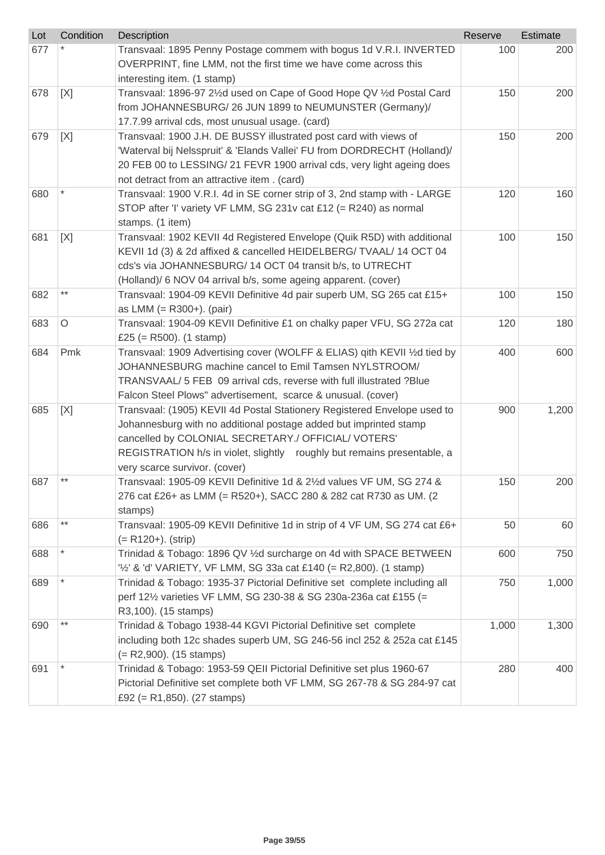| Lot | Condition       | Description                                                                                                                                                                                                                                                                                                      | Reserve | Estimate |
|-----|-----------------|------------------------------------------------------------------------------------------------------------------------------------------------------------------------------------------------------------------------------------------------------------------------------------------------------------------|---------|----------|
| 677 |                 | Transvaal: 1895 Penny Postage commem with bogus 1d V.R.I. INVERTED<br>OVERPRINT, fine LMM, not the first time we have come across this<br>interesting item. (1 stamp)                                                                                                                                            | 100     | 200      |
| 678 | [X]             | Transvaal: 1896-97 21/2d used on Cape of Good Hope QV 1/2d Postal Card                                                                                                                                                                                                                                           | 150     | 200      |
|     |                 | from JOHANNESBURG/26 JUN 1899 to NEUMUNSTER (Germany)/<br>17.7.99 arrival cds, most unusual usage. (card)                                                                                                                                                                                                        |         |          |
| 679 | [X]             | Transvaal: 1900 J.H. DE BUSSY illustrated post card with views of                                                                                                                                                                                                                                                | 150     | 200      |
|     |                 | 'Waterval bij Nelsspruit' & 'Elands Vallei' FU from DORDRECHT (Holland)/<br>20 FEB 00 to LESSING/ 21 FEVR 1900 arrival cds, very light ageing does<br>not detract from an attractive item. (card)                                                                                                                |         |          |
| 680 |                 | Transvaal: 1900 V.R.I. 4d in SE corner strip of 3, 2nd stamp with - LARGE<br>STOP after 'I' variety VF LMM, SG 231v cat £12 (= R240) as normal<br>stamps. (1 item)                                                                                                                                               | 120     | 160      |
| 681 | [X]             | Transvaal: 1902 KEVII 4d Registered Envelope (Quik R5D) with additional<br>KEVII 1d (3) & 2d affixed & cancelled HEIDELBERG/ TVAAL/ 14 OCT 04<br>cds's via JOHANNESBURG/ 14 OCT 04 transit b/s, to UTRECHT<br>(Holland)/ 6 NOV 04 arrival b/s, some ageing apparent. (cover)                                     | 100     | 150      |
| 682 | $^{\star\star}$ | Transvaal: 1904-09 KEVII Definitive 4d pair superb UM, SG 265 cat £15+<br>as LMM $(= R300+)$ . (pair)                                                                                                                                                                                                            | 100     | 150      |
| 683 | O               | Transvaal: 1904-09 KEVII Definitive £1 on chalky paper VFU, SG 272a cat<br>£25 (= R500). $(1 \text{ stamp})$                                                                                                                                                                                                     | 120     | 180      |
| 684 | Pmk             | Transvaal: 1909 Advertising cover (WOLFF & ELIAS) qith KEVII 1/2d tied by<br>JOHANNESBURG machine cancel to Emil Tamsen NYLSTROOM/<br>TRANSVAAL/ 5 FEB 09 arrival cds, reverse with full illustrated ?Blue<br>Falcon Steel Plows" advertisement, scarce & unusual. (cover)                                       | 400     | 600      |
| 685 | [X]             | Transvaal: (1905) KEVII 4d Postal Stationery Registered Envelope used to<br>Johannesburg with no additional postage added but imprinted stamp<br>cancelled by COLONIAL SECRETARY./ OFFICIAL/ VOTERS'<br>REGISTRATION h/s in violet, slightly roughly but remains presentable, a<br>very scarce survivor. (cover) | 900     | 1,200    |
| 687 | $***$           | Transvaal: 1905-09 KEVII Definitive 1d & 21/2d values VF UM, SG 274 &<br>276 cat £26+ as LMM (= R520+), SACC 280 & 282 cat R730 as UM. (2<br>stamps)                                                                                                                                                             | 150     | 200      |
| 686 | $***$           | Transvaal: 1905-09 KEVII Definitive 1d in strip of 4 VF UM, SG 274 cat £6+<br>$(= R120+).$ (strip)                                                                                                                                                                                                               | 50      | 60       |
| 688 |                 | Trinidad & Tobago: 1896 QV 1/2d surcharge on 4d with SPACE BETWEEN<br>"/2' & 'd' VARIETY, VF LMM, SG 33a cat £140 (= R2,800). (1 stamp)                                                                                                                                                                          | 600     | 750      |
| 689 |                 | Trinidad & Tobago: 1935-37 Pictorial Definitive set complete including all<br>perf 121/ <sub>2</sub> varieties VF LMM, SG 230-38 & SG 230a-236a cat £155 (=<br>R3,100). (15 stamps)                                                                                                                              | 750     | 1,000    |
| 690 |                 | Trinidad & Tobago 1938-44 KGVI Pictorial Definitive set complete<br>including both 12c shades superb UM, SG 246-56 incl 252 & 252a cat £145<br>$(= R2,900)$ . (15 stamps)                                                                                                                                        | 1,000   | 1,300    |
| 691 |                 | Trinidad & Tobago: 1953-59 QEII Pictorial Definitive set plus 1960-67<br>Pictorial Definitive set complete both VF LMM, SG 267-78 & SG 284-97 cat<br>£92 (= R1,850). (27 stamps)                                                                                                                                 | 280     | 400      |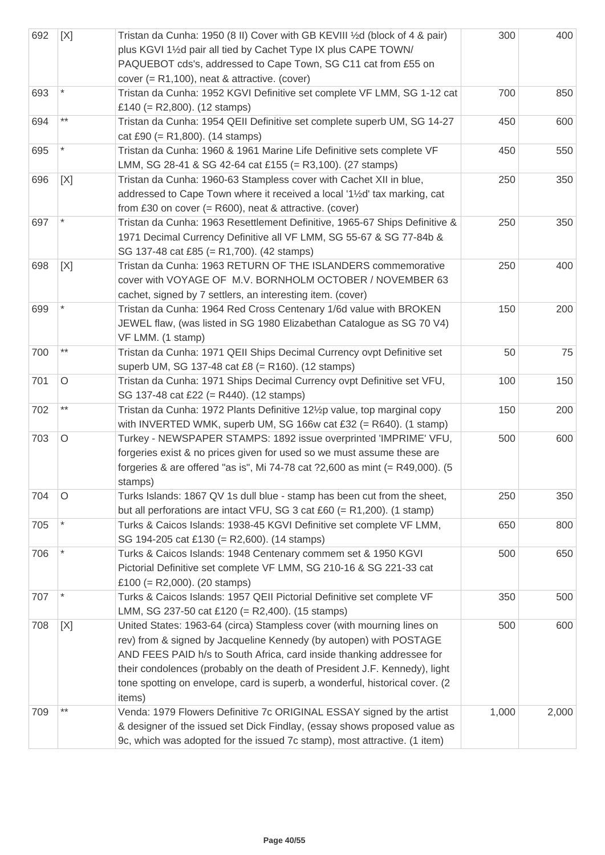| 692 | [X]             | Tristan da Cunha: 1950 (8 II) Cover with GB KEVIII 1/2d (block of 4 & pair)<br>plus KGVI 11/2d pair all tied by Cachet Type IX plus CAPE TOWN/<br>PAQUEBOT cds's, addressed to Cape Town, SG C11 cat from £55 on<br>cover $(= R1, 100)$ , neat & attractive. (cover)                                                                                                                          | 300   | 400   |
|-----|-----------------|-----------------------------------------------------------------------------------------------------------------------------------------------------------------------------------------------------------------------------------------------------------------------------------------------------------------------------------------------------------------------------------------------|-------|-------|
| 693 |                 | Tristan da Cunha: 1952 KGVI Definitive set complete VF LMM, SG 1-12 cat<br>£140 (= R2,800). $(12 \text{ stamps})$                                                                                                                                                                                                                                                                             | 700   | 850   |
| 694 | $^{\star\star}$ | Tristan da Cunha: 1954 QEII Definitive set complete superb UM, SG 14-27<br>cat £90 (= $R1,800$ ). (14 stamps)                                                                                                                                                                                                                                                                                 | 450   | 600   |
| 695 |                 | Tristan da Cunha: 1960 & 1961 Marine Life Definitive sets complete VF<br>LMM, SG 28-41 & SG 42-64 cat £155 (= R3,100). (27 stamps)                                                                                                                                                                                                                                                            | 450   | 550   |
| 696 | [X]             | Tristan da Cunha: 1960-63 Stampless cover with Cachet XII in blue,<br>addressed to Cape Town where it received a local '11/2d' tax marking, cat<br>from £30 on cover $(=$ R600), neat & attractive. (cover)                                                                                                                                                                                   | 250   | 350   |
| 697 |                 | Tristan da Cunha: 1963 Resettlement Definitive, 1965-67 Ships Definitive &<br>1971 Decimal Currency Definitive all VF LMM, SG 55-67 & SG 77-84b &<br>SG 137-48 cat £85 (= R1,700). (42 stamps)                                                                                                                                                                                                | 250   | 350   |
| 698 | [X]             | Tristan da Cunha: 1963 RETURN OF THE ISLANDERS commemorative<br>cover with VOYAGE OF M.V. BORNHOLM OCTOBER / NOVEMBER 63<br>cachet, signed by 7 settlers, an interesting item. (cover)                                                                                                                                                                                                        | 250   | 400   |
| 699 |                 | Tristan da Cunha: 1964 Red Cross Centenary 1/6d value with BROKEN<br>JEWEL flaw, (was listed in SG 1980 Elizabethan Catalogue as SG 70 V4)<br>VF LMM. (1 stamp)                                                                                                                                                                                                                               | 150   | 200   |
| 700 | $***$           | Tristan da Cunha: 1971 QEII Ships Decimal Currency ovpt Definitive set<br>superb UM, SG 137-48 cat £8 (= R160). (12 stamps)                                                                                                                                                                                                                                                                   | 50    | 75    |
| 701 | $\circ$         | Tristan da Cunha: 1971 Ships Decimal Currency ovpt Definitive set VFU,<br>SG 137-48 cat £22 (= R440). (12 stamps)                                                                                                                                                                                                                                                                             | 100   | 150   |
| 702 | $^{\star\star}$ | Tristan da Cunha: 1972 Plants Definitive 121/2p value, top marginal copy<br>with INVERTED WMK, superb UM, SG 166w cat £32 (= $R640$ ). (1 stamp)                                                                                                                                                                                                                                              | 150   | 200   |
| 703 | $\circ$         | Turkey - NEWSPAPER STAMPS: 1892 issue overprinted 'IMPRIME' VFU,<br>forgeries exist & no prices given for used so we must assume these are<br>forgeries & are offered "as is", Mi 74-78 cat ?2,600 as mint (= R49,000). (5<br>stamps)                                                                                                                                                         | 500   | 600   |
| 704 | $\circ$         | Turks Islands: 1867 QV 1s dull blue - stamp has been cut from the sheet,<br>but all perforations are intact VFU, SG 3 cat £60 (= $R1,200$ ). (1 stamp)                                                                                                                                                                                                                                        | 250   | 350   |
| 705 |                 | Turks & Caicos Islands: 1938-45 KGVI Definitive set complete VF LMM,<br>SG 194-205 cat £130 (= R2,600). (14 stamps)                                                                                                                                                                                                                                                                           | 650   | 800   |
| 706 |                 | Turks & Caicos Islands: 1948 Centenary commem set & 1950 KGVI<br>Pictorial Definitive set complete VF LMM, SG 210-16 & SG 221-33 cat<br>£100 $(= R2,000)$ . (20 stamps)                                                                                                                                                                                                                       | 500   | 650   |
| 707 |                 | Turks & Caicos Islands: 1957 QEII Pictorial Definitive set complete VF<br>LMM, SG 237-50 cat £120 (= R2,400). (15 stamps)                                                                                                                                                                                                                                                                     | 350   | 500   |
| 708 | [X]             | United States: 1963-64 (circa) Stampless cover (with mourning lines on<br>rev) from & signed by Jacqueline Kennedy (by autopen) with POSTAGE<br>AND FEES PAID h/s to South Africa, card inside thanking addressee for<br>their condolences (probably on the death of President J.F. Kennedy), light<br>tone spotting on envelope, card is superb, a wonderful, historical cover. (2<br>items) | 500   | 600   |
| 709 | $***$           | Venda: 1979 Flowers Definitive 7c ORIGINAL ESSAY signed by the artist<br>& designer of the issued set Dick Findlay, (essay shows proposed value as<br>9c, which was adopted for the issued 7c stamp), most attractive. (1 item)                                                                                                                                                               | 1,000 | 2,000 |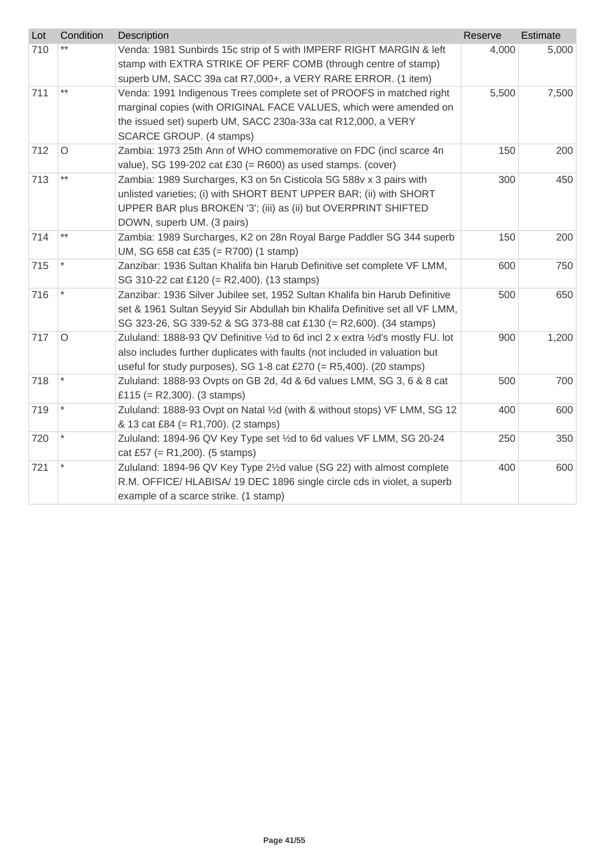| Lot | Condition       | Description                                                                                                                                                                                                                              | Reserve | Estimate |
|-----|-----------------|------------------------------------------------------------------------------------------------------------------------------------------------------------------------------------------------------------------------------------------|---------|----------|
| 710 |                 | Venda: 1981 Sunbirds 15c strip of 5 with IMPERF RIGHT MARGIN & left<br>stamp with EXTRA STRIKE OF PERF COMB (through centre of stamp)<br>superb UM, SACC 39a cat R7,000+, a VERY RARE ERROR. (1 item)                                    | 4,000   | 5,000    |
| 711 | $***$           | Venda: 1991 Indigenous Trees complete set of PROOFS in matched right                                                                                                                                                                     | 5,500   | 7,500    |
|     |                 | marginal copies (with ORIGINAL FACE VALUES, which were amended on<br>the issued set) superb UM, SACC 230a-33a cat R12,000, a VERY<br>SCARCE GROUP. (4 stamps)                                                                            |         |          |
| 712 | O               | Zambia: 1973 25th Ann of WHO commemorative on FDC (incl scarce 4n<br>value), SG 199-202 cat £30 (= $R600$ ) as used stamps. (cover)                                                                                                      | 150     | 200      |
| 713 | $^{\star\star}$ | Zambia: 1989 Surcharges, K3 on 5n Cisticola SG 588v x 3 pairs with<br>unlisted varieties; (i) with SHORT BENT UPPER BAR; (ii) with SHORT<br>UPPER BAR plus BROKEN '3'; (iii) as (ii) but OVERPRINT SHIFTED<br>DOWN, superb UM. (3 pairs) | 300     | 450      |
| 714 | $^{\star\star}$ | Zambia: 1989 Surcharges, K2 on 28n Royal Barge Paddler SG 344 superb<br>UM, SG 658 cat £35 (= R700) (1 stamp)                                                                                                                            | 150     | 200      |
| 715 |                 | Zanzibar: 1936 Sultan Khalifa bin Harub Definitive set complete VF LMM,<br>SG 310-22 cat £120 (= R2,400). (13 stamps)                                                                                                                    | 600     | 750      |
| 716 |                 | Zanzibar: 1936 Silver Jubilee set, 1952 Sultan Khalifa bin Harub Definitive<br>set & 1961 Sultan Seyyid Sir Abdullah bin Khalifa Definitive set all VF LMM,<br>SG 323-26, SG 339-52 & SG 373-88 cat £130 (= R2,600). (34 stamps)         | 500     | 650      |
| 717 | $\circ$         | Zululand: 1888-93 QV Definitive 1/2d to 6d incl 2 x extra 1/2d's mostly FU. lot<br>also includes further duplicates with faults (not included in valuation but<br>useful for study purposes), SG 1-8 cat £270 (= $R5,400$ ). (20 stamps) | 900     | 1,200    |
| 718 |                 | Zululand: 1888-93 Ovpts on GB 2d, 4d & 6d values LMM, SG 3, 6 & 8 cat<br>£115 (= R2,300). (3 stamps)                                                                                                                                     | 500     | 700      |
| 719 |                 | Zululand: 1888-93 Ovpt on Natal 1/2d (with & without stops) VF LMM, SG 12<br>& 13 cat £84 (= R1,700). (2 stamps)                                                                                                                         | 400     | 600      |
| 720 |                 | Zululand: 1894-96 QV Key Type set 1/2d to 6d values VF LMM, SG 20-24<br>cat £57 (= $R1,200$ ). (5 stamps)                                                                                                                                | 250     | 350      |
| 721 |                 | Zululand: 1894-96 QV Key Type 21/2d value (SG 22) with almost complete<br>R.M. OFFICE/ HLABISA/ 19 DEC 1896 single circle cds in violet, a superb<br>example of a scarce strike. (1 stamp)                                               | 400     | 600      |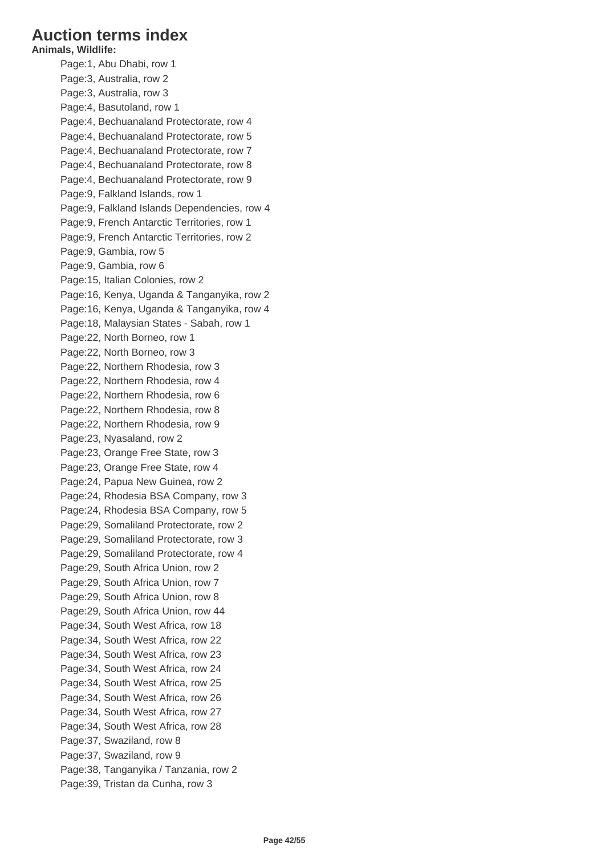## **Auction terms index**

**Animals, Wildlife:**

Page:1, Abu Dhabi, row 1 Page:3, Australia, row 2 Page:3, Australia, row 3 Page:4, Basutoland, row 1 Page:4, Bechuanaland Protectorate, row 4 Page:4, Bechuanaland Protectorate, row 5 Page:4, Bechuanaland Protectorate, row 7 Page:4, Bechuanaland Protectorate, row 8 Page:4, Bechuanaland Protectorate, row 9 Page:9, Falkland Islands, row 1 Page:9, Falkland Islands Dependencies, row 4 Page:9, French Antarctic Territories, row 1 Page:9, French Antarctic Territories, row 2 Page:9, Gambia, row 5 Page:9, Gambia, row 6 Page:15, Italian Colonies, row 2 Page:16, Kenya, Uganda & Tanganyika, row 2 Page:16, Kenya, Uganda & Tanganyika, row 4 Page:18, Malaysian States - Sabah, row 1 Page:22, North Borneo, row 1 Page:22, North Borneo, row 3 Page:22, Northern Rhodesia, row 3 Page:22, Northern Rhodesia, row 4 Page:22, Northern Rhodesia, row 6 Page:22, Northern Rhodesia, row 8 Page:22, Northern Rhodesia, row 9 Page:23, Nyasaland, row 2 Page:23, Orange Free State, row 3 Page:23, Orange Free State, row 4 Page:24, Papua New Guinea, row 2 Page:24, Rhodesia BSA Company, row 3 Page:24, Rhodesia BSA Company, row 5 Page:29, Somaliland Protectorate, row 2 Page:29, Somaliland Protectorate, row 3 Page:29, Somaliland Protectorate, row 4 Page:29, South Africa Union, row 2 Page:29, South Africa Union, row 7 Page:29, South Africa Union, row 8 Page:29, South Africa Union, row 44 Page:34, South West Africa, row 18 Page:34, South West Africa, row 22 Page:34, South West Africa, row 23 Page:34, South West Africa, row 24 Page:34, South West Africa, row 25 Page:34, South West Africa, row 26 Page:34, South West Africa, row 27 Page:34, South West Africa, row 28 Page:37, Swaziland, row 8 Page:37, Swaziland, row 9 Page:38, Tanganyika / Tanzania, row 2 Page:39, Tristan da Cunha, row 3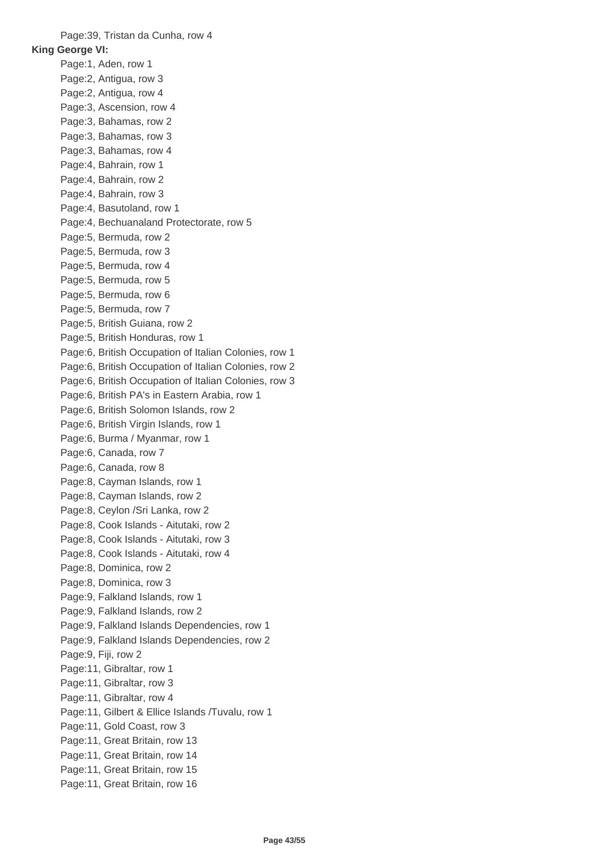Page:39, Tristan da Cunha, row 4 **King George VI:** Page:1, Aden, row 1 Page:2, Antigua, row 3 Page:2, Antigua, row 4 Page:3, Ascension, row 4 Page:3, Bahamas, row 2 Page:3, Bahamas, row 3 Page:3, Bahamas, row 4 Page:4, Bahrain, row 1 Page:4, Bahrain, row 2 Page:4, Bahrain, row 3 Page:4, Basutoland, row 1 Page:4, Bechuanaland Protectorate, row 5 Page:5, Bermuda, row 2 Page:5, Bermuda, row 3 Page:5, Bermuda, row 4 Page:5, Bermuda, row 5 Page:5, Bermuda, row 6 Page:5, Bermuda, row 7 Page:5, British Guiana, row 2 Page:5, British Honduras, row 1 Page:6, British Occupation of Italian Colonies, row 1 Page:6, British Occupation of Italian Colonies, row 2 Page:6, British Occupation of Italian Colonies, row 3 Page:6, British PA's in Eastern Arabia, row 1 Page:6, British Solomon Islands, row 2 Page:6, British Virgin Islands, row 1 Page:6, Burma / Myanmar, row 1 Page:6, Canada, row 7 Page:6, Canada, row 8 Page:8, Cayman Islands, row 1 Page:8, Cayman Islands, row 2 Page:8, Ceylon /Sri Lanka, row 2 Page:8, Cook Islands - Aitutaki, row 2 Page:8, Cook Islands - Aitutaki, row 3 Page:8, Cook Islands - Aitutaki, row 4 Page:8, Dominica, row 2 Page:8, Dominica, row 3 Page:9, Falkland Islands, row 1 Page:9, Falkland Islands, row 2 Page:9, Falkland Islands Dependencies, row 1 Page:9, Falkland Islands Dependencies, row 2 Page:9, Fiji, row 2 Page:11, Gibraltar, row 1 Page:11, Gibraltar, row 3 Page:11, Gibraltar, row 4 Page:11, Gilbert & Ellice Islands /Tuvalu, row 1 Page:11, Gold Coast, row 3 Page:11, Great Britain, row 13 Page:11, Great Britain, row 14 Page:11, Great Britain, row 15 Page:11, Great Britain, row 16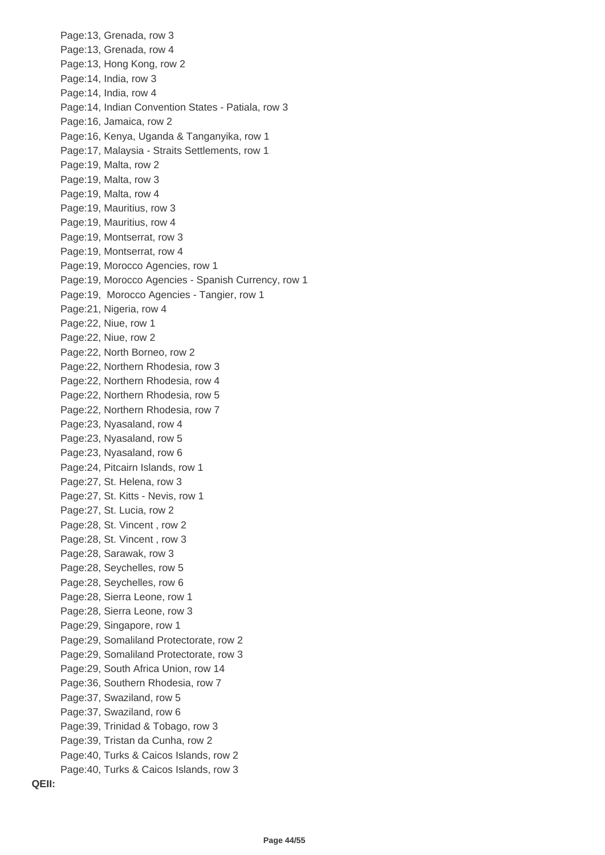Page:13, Grenada, row 3 Page:13, Grenada, row 4 Page:13, Hong Kong, row 2 Page:14, India, row 3 Page:14, India, row 4 Page:14, Indian Convention States - Patiala, row 3 Page:16, Jamaica, row 2 Page:16, Kenya, Uganda & Tanganyika, row 1 Page:17, Malaysia - Straits Settlements, row 1 Page:19, Malta, row 2 Page:19, Malta, row 3 Page:19, Malta, row 4 Page:19, Mauritius, row 3 Page:19, Mauritius, row 4 Page:19, Montserrat, row 3 Page:19, Montserrat, row 4 Page:19, Morocco Agencies, row 1 Page:19, Morocco Agencies - Spanish Currency, row 1 Page:19, Morocco Agencies - Tangier, row 1 Page:21, Nigeria, row 4 Page:22, Niue, row 1 Page:22, Niue, row 2 Page:22, North Borneo, row 2 Page:22, Northern Rhodesia, row 3 Page:22, Northern Rhodesia, row 4 Page:22, Northern Rhodesia, row 5 Page:22, Northern Rhodesia, row 7 Page:23, Nyasaland, row 4 Page:23, Nyasaland, row 5 Page:23, Nyasaland, row 6 Page:24, Pitcairn Islands, row 1 Page:27, St. Helena, row 3 Page:27, St. Kitts - Nevis, row 1 Page:27, St. Lucia, row 2 Page:28, St. Vincent , row 2 Page:28, St. Vincent , row 3 Page:28, Sarawak, row 3 Page:28, Seychelles, row 5 Page:28, Seychelles, row 6 Page:28, Sierra Leone, row 1 Page:28, Sierra Leone, row 3 Page:29, Singapore, row 1 Page:29, Somaliland Protectorate, row 2 Page:29, Somaliland Protectorate, row 3 Page:29, South Africa Union, row 14 Page:36, Southern Rhodesia, row 7 Page:37, Swaziland, row 5 Page:37, Swaziland, row 6 Page:39, Trinidad & Tobago, row 3 Page:39, Tristan da Cunha, row 2 Page:40, Turks & Caicos Islands, row 2 Page:40, Turks & Caicos Islands, row 3

**QEII:**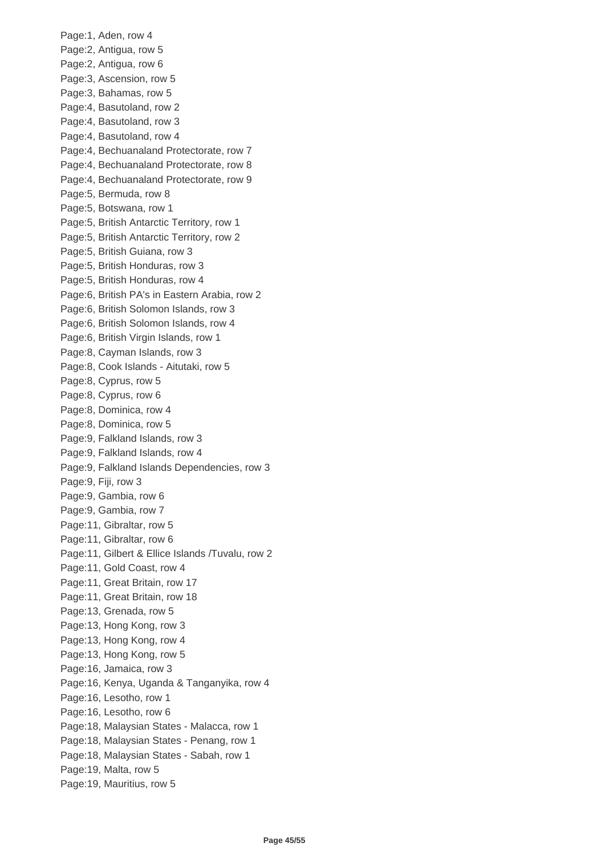Page:1, Aden, row 4 Page:2, Antigua, row 5 Page:2, Antigua, row 6 Page:3, Ascension, row 5 Page:3, Bahamas, row 5 Page:4, Basutoland, row 2 Page:4, Basutoland, row 3 Page:4, Basutoland, row 4 Page:4, Bechuanaland Protectorate, row 7 Page:4, Bechuanaland Protectorate, row 8 Page:4, Bechuanaland Protectorate, row 9 Page:5, Bermuda, row 8 Page:5, Botswana, row 1 Page:5, British Antarctic Territory, row 1 Page:5, British Antarctic Territory, row 2 Page:5, British Guiana, row 3 Page:5, British Honduras, row 3 Page:5, British Honduras, row 4 Page:6, British PA's in Eastern Arabia, row 2 Page:6, British Solomon Islands, row 3 Page:6, British Solomon Islands, row 4 Page:6, British Virgin Islands, row 1 Page:8, Cayman Islands, row 3 Page:8, Cook Islands - Aitutaki, row 5 Page:8, Cyprus, row 5 Page:8, Cyprus, row 6 Page:8, Dominica, row 4 Page:8, Dominica, row 5 Page:9, Falkland Islands, row 3 Page:9, Falkland Islands, row 4 Page:9, Falkland Islands Dependencies, row 3 Page:9, Fiji, row 3 Page:9, Gambia, row 6 Page:9, Gambia, row 7 Page:11, Gibraltar, row 5 Page:11, Gibraltar, row 6 Page:11, Gilbert & Ellice Islands /Tuvalu, row 2 Page:11, Gold Coast, row 4 Page:11, Great Britain, row 17 Page:11, Great Britain, row 18 Page:13, Grenada, row 5 Page:13, Hong Kong, row 3 Page:13, Hong Kong, row 4 Page:13, Hong Kong, row 5 Page:16, Jamaica, row 3 Page:16, Kenya, Uganda & Tanganyika, row 4 Page:16, Lesotho, row 1 Page:16, Lesotho, row 6 Page:18, Malaysian States - Malacca, row 1 Page:18, Malaysian States - Penang, row 1 Page:18, Malaysian States - Sabah, row 1 Page:19, Malta, row 5 Page:19, Mauritius, row 5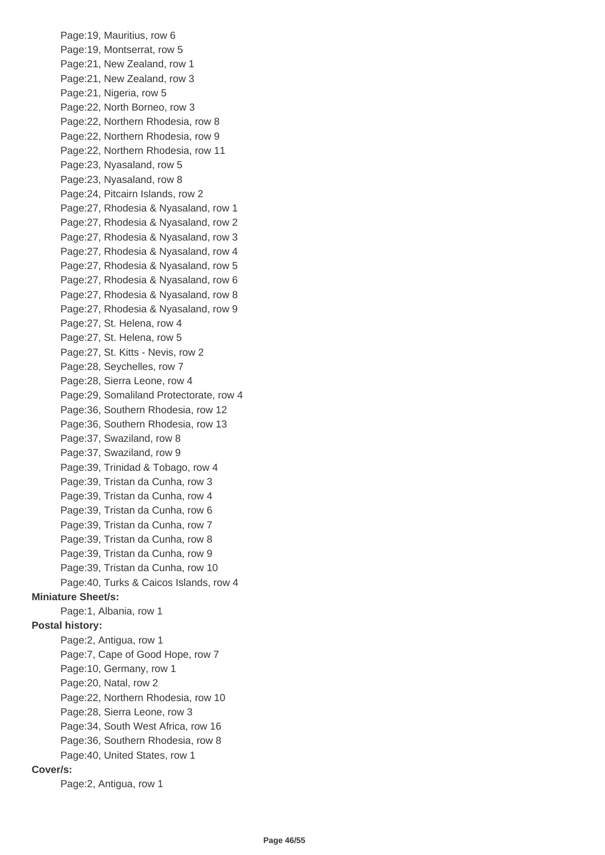Page:19, Mauritius, row 6 Page:19, Montserrat, row 5 Page:21, New Zealand, row 1 Page:21, New Zealand, row 3 Page:21, Nigeria, row 5 Page:22, North Borneo, row 3 Page:22, Northern Rhodesia, row 8 Page:22, Northern Rhodesia, row 9 Page:22, Northern Rhodesia, row 11 Page:23, Nyasaland, row 5 Page:23, Nyasaland, row 8 Page:24, Pitcairn Islands, row 2 Page:27, Rhodesia & Nyasaland, row 1 Page:27, Rhodesia & Nyasaland, row 2 Page:27, Rhodesia & Nyasaland, row 3 Page:27, Rhodesia & Nyasaland, row 4 Page:27, Rhodesia & Nyasaland, row 5 Page:27, Rhodesia & Nyasaland, row 6 Page:27, Rhodesia & Nyasaland, row 8 Page:27, Rhodesia & Nyasaland, row 9 Page:27, St. Helena, row 4 Page:27, St. Helena, row 5 Page:27, St. Kitts - Nevis, row 2 Page:28, Seychelles, row 7 Page:28, Sierra Leone, row 4 Page:29, Somaliland Protectorate, row 4 Page:36, Southern Rhodesia, row 12 Page:36, Southern Rhodesia, row 13 Page:37, Swaziland, row 8 Page:37, Swaziland, row 9 Page:39, Trinidad & Tobago, row 4 Page:39, Tristan da Cunha, row 3 Page:39, Tristan da Cunha, row 4 Page:39, Tristan da Cunha, row 6 Page:39, Tristan da Cunha, row 7 Page:39, Tristan da Cunha, row 8 Page:39, Tristan da Cunha, row 9 Page:39, Tristan da Cunha, row 10 Page:40, Turks & Caicos Islands, row 4 **Miniature Sheet/s:** Page:1, Albania, row 1 **Postal history:** Page:2, Antigua, row 1 Page:7, Cape of Good Hope, row 7 Page:10, Germany, row 1 Page:20, Natal, row 2 Page:22, Northern Rhodesia, row 10 Page:28, Sierra Leone, row 3 Page:34, South West Africa, row 16 Page:36, Southern Rhodesia, row 8 Page:40, United States, row 1 **Cover/s:** Page:2, Antigua, row 1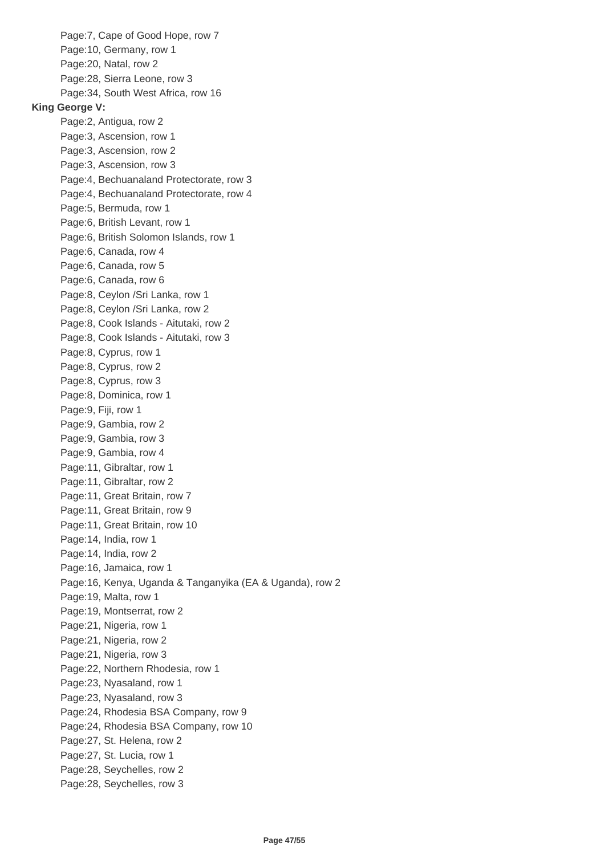Page:7, Cape of Good Hope, row 7 Page:10, Germany, row 1 Page:20, Natal, row 2 Page:28, Sierra Leone, row 3 Page:34, South West Africa, row 16 **King George V:** Page:2, Antigua, row 2 Page:3, Ascension, row 1 Page:3, Ascension, row 2 Page:3, Ascension, row 3 Page:4, Bechuanaland Protectorate, row 3 Page:4, Bechuanaland Protectorate, row 4 Page:5, Bermuda, row 1 Page:6, British Levant, row 1 Page:6, British Solomon Islands, row 1 Page:6, Canada, row 4 Page:6, Canada, row 5 Page:6, Canada, row 6 Page:8, Ceylon /Sri Lanka, row 1 Page:8, Ceylon /Sri Lanka, row 2 Page:8, Cook Islands - Aitutaki, row 2 Page:8, Cook Islands - Aitutaki, row 3 Page:8, Cyprus, row 1 Page:8, Cyprus, row 2 Page:8, Cyprus, row 3 Page:8, Dominica, row 1 Page:9, Fiji, row 1 Page:9, Gambia, row 2 Page:9, Gambia, row 3 Page:9, Gambia, row 4 Page:11, Gibraltar, row 1 Page:11, Gibraltar, row 2 Page:11, Great Britain, row 7 Page:11, Great Britain, row 9 Page:11, Great Britain, row 10 Page:14, India, row 1 Page:14, India, row 2 Page:16, Jamaica, row 1 Page:16, Kenya, Uganda & Tanganyika (EA & Uganda), row 2 Page:19, Malta, row 1 Page:19, Montserrat, row 2 Page:21, Nigeria, row 1 Page:21, Nigeria, row 2 Page:21, Nigeria, row 3 Page:22, Northern Rhodesia, row 1 Page:23, Nyasaland, row 1 Page:23, Nyasaland, row 3 Page:24, Rhodesia BSA Company, row 9 Page:24, Rhodesia BSA Company, row 10 Page:27, St. Helena, row 2 Page:27, St. Lucia, row 1 Page:28, Seychelles, row 2 Page:28, Seychelles, row 3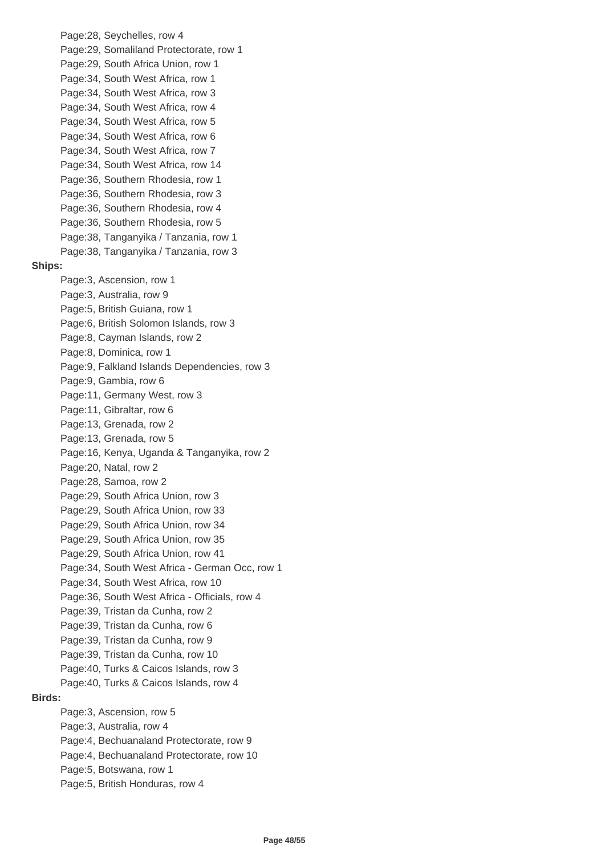Page:28, Seychelles, row 4 Page:29, Somaliland Protectorate, row 1 Page:29, South Africa Union, row 1 Page:34, South West Africa, row 1 Page:34, South West Africa, row 3 Page:34, South West Africa, row 4 Page:34, South West Africa, row 5 Page:34, South West Africa, row 6 Page:34, South West Africa, row 7 Page:34, South West Africa, row 14 Page:36, Southern Rhodesia, row 1 Page:36, Southern Rhodesia, row 3 Page:36, Southern Rhodesia, row 4 Page:36, Southern Rhodesia, row 5 Page:38, Tanganyika / Tanzania, row 1 Page:38, Tanganyika / Tanzania, row 3 **Ships:** Page:3, Ascension, row 1 Page:3, Australia, row 9 Page:5, British Guiana, row 1 Page:6, British Solomon Islands, row 3 Page:8, Cayman Islands, row 2 Page:8, Dominica, row 1 Page:9, Falkland Islands Dependencies, row 3 Page:9, Gambia, row 6 Page:11, Germany West, row 3 Page:11, Gibraltar, row 6 Page:13, Grenada, row 2 Page:13, Grenada, row 5 Page:16, Kenya, Uganda & Tanganyika, row 2 Page:20, Natal, row 2 Page:28, Samoa, row 2 Page:29, South Africa Union, row 3 Page:29, South Africa Union, row 33 Page:29, South Africa Union, row 34 Page:29, South Africa Union, row 35 Page:29, South Africa Union, row 41 Page:34, South West Africa - German Occ, row 1 Page:34, South West Africa, row 10 Page:36, South West Africa - Officials, row 4 Page:39, Tristan da Cunha, row 2 Page:39, Tristan da Cunha, row 6 Page:39, Tristan da Cunha, row 9 Page:39, Tristan da Cunha, row 10 Page:40, Turks & Caicos Islands, row 3 Page:40, Turks & Caicos Islands, row 4 **Birds:** Page:3, Ascension, row 5 Page:3, Australia, row 4 Page:4, Bechuanaland Protectorate, row 9 Page:4, Bechuanaland Protectorate, row 10 Page:5, Botswana, row 1

Page:5, British Honduras, row 4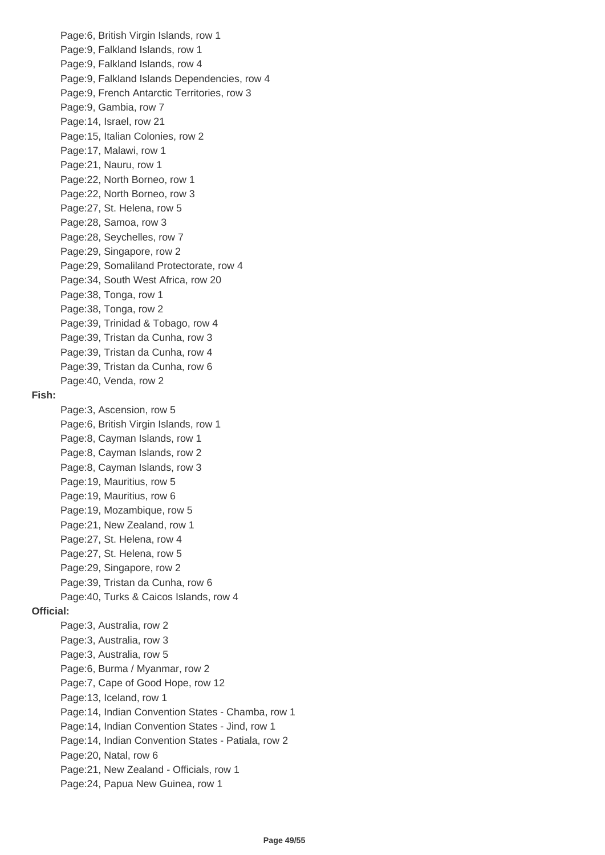Page:6, British Virgin Islands, row 1 Page:9, Falkland Islands, row 1 Page:9, Falkland Islands, row 4 Page:9, Falkland Islands Dependencies, row 4 Page:9, French Antarctic Territories, row 3 Page:9, Gambia, row 7 Page:14, Israel, row 21 Page:15, Italian Colonies, row 2 Page:17, Malawi, row 1 Page:21, Nauru, row 1 Page:22, North Borneo, row 1 Page:22, North Borneo, row 3 Page:27, St. Helena, row 5 Page:28, Samoa, row 3 Page:28, Seychelles, row 7 Page:29, Singapore, row 2 Page:29, Somaliland Protectorate, row 4 Page:34, South West Africa, row 20 Page:38, Tonga, row 1 Page:38, Tonga, row 2 Page:39, Trinidad & Tobago, row 4 Page:39, Tristan da Cunha, row 3 Page:39, Tristan da Cunha, row 4 Page:39, Tristan da Cunha, row 6 Page:40, Venda, row 2 **Fish:** Page:3, Ascension, row 5 Page:6, British Virgin Islands, row 1 Page:8, Cayman Islands, row 1 Page:8, Cayman Islands, row 2 Page:8, Cayman Islands, row 3 Page:19, Mauritius, row 5 Page:19, Mauritius, row 6 Page:19, Mozambique, row 5 Page:21, New Zealand, row 1 Page:27, St. Helena, row 4 Page:27, St. Helena, row 5 Page:29, Singapore, row 2 Page:39, Tristan da Cunha, row 6 Page:40, Turks & Caicos Islands, row 4 **Official:** Page:3, Australia, row 2 Page:3, Australia, row 3 Page:3, Australia, row 5 Page:6, Burma / Myanmar, row 2 Page:7, Cape of Good Hope, row 12 Page:13, Iceland, row 1 Page:14, Indian Convention States - Chamba, row 1 Page:14, Indian Convention States - Jind, row 1 Page:14, Indian Convention States - Patiala, row 2 Page:20, Natal, row 6 Page:21, New Zealand - Officials, row 1 Page:24, Papua New Guinea, row 1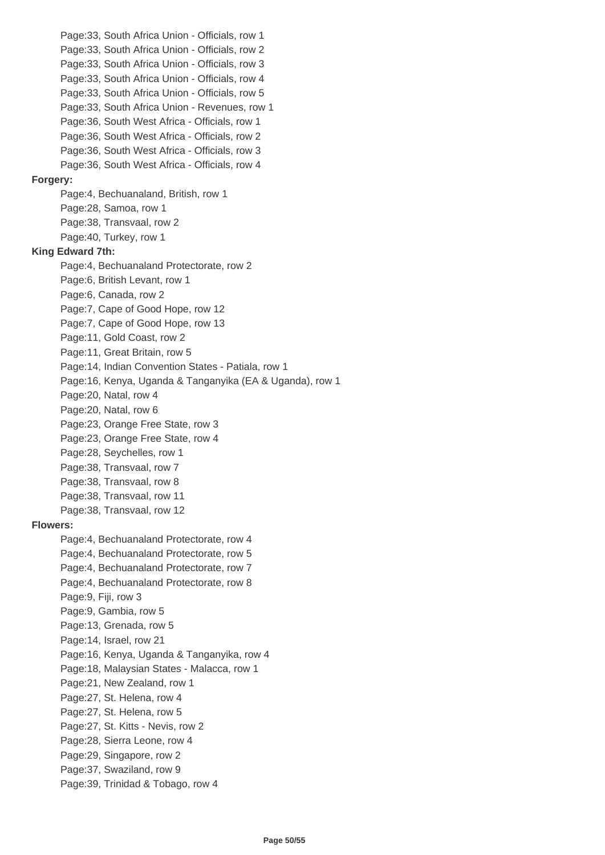Page:33, South Africa Union - Officials, row 1 Page:33, South Africa Union - Officials, row 2 Page:33, South Africa Union - Officials, row 3 Page:33, South Africa Union - Officials, row 4 Page:33, South Africa Union - Officials, row 5 Page:33, South Africa Union - Revenues, row 1 Page:36, South West Africa - Officials, row 1 Page:36, South West Africa - Officials, row 2 Page:36, South West Africa - Officials, row 3 Page:36, South West Africa - Officials, row 4 **Forgery:** Page:4, Bechuanaland, British, row 1 Page:28, Samoa, row 1 Page:38, Transvaal, row 2 Page:40, Turkey, row 1 **King Edward 7th:** Page:4, Bechuanaland Protectorate, row 2 Page:6, British Levant, row 1 Page:6, Canada, row 2 Page:7, Cape of Good Hope, row 12 Page:7, Cape of Good Hope, row 13 Page:11, Gold Coast, row 2 Page:11, Great Britain, row 5 Page:14, Indian Convention States - Patiala, row 1 Page:16, Kenya, Uganda & Tanganyika (EA & Uganda), row 1 Page:20, Natal, row 4 Page:20, Natal, row 6 Page:23, Orange Free State, row 3 Page:23, Orange Free State, row 4 Page:28, Seychelles, row 1 Page:38, Transvaal, row 7 Page:38, Transvaal, row 8 Page:38, Transvaal, row 11 Page:38, Transvaal, row 12 **Flowers:** Page:4, Bechuanaland Protectorate, row 4 Page:4, Bechuanaland Protectorate, row 5 Page:4, Bechuanaland Protectorate, row 7 Page:4, Bechuanaland Protectorate, row 8 Page:9, Fiji, row 3 Page:9, Gambia, row 5 Page:13, Grenada, row 5 Page:14, Israel, row 21 Page:16, Kenya, Uganda & Tanganyika, row 4 Page:18, Malaysian States - Malacca, row 1 Page:21, New Zealand, row 1 Page:27, St. Helena, row 4 Page:27, St. Helena, row 5 Page:27, St. Kitts - Nevis, row 2 Page:28, Sierra Leone, row 4 Page:29, Singapore, row 2 Page:37, Swaziland, row 9 Page:39, Trinidad & Tobago, row 4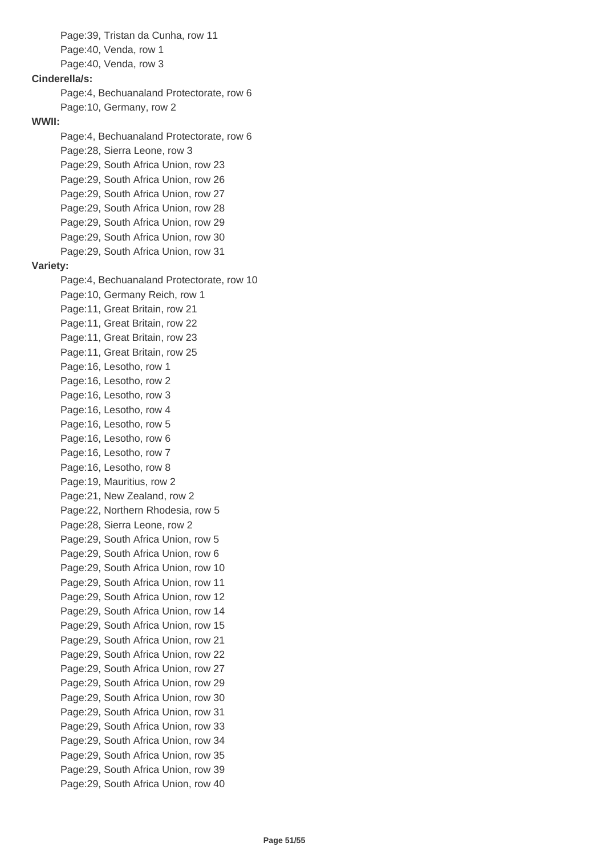Page:39, Tristan da Cunha, row 11 Page:40, Venda, row 1 Page:40, Venda, row 3 **Cinderella/s:** Page:4, Bechuanaland Protectorate, row 6 Page:10, Germany, row 2 **WWII:** Page:4, Bechuanaland Protectorate, row 6 Page:28, Sierra Leone, row 3 Page:29, South Africa Union, row 23 Page:29, South Africa Union, row 26 Page:29, South Africa Union, row 27 Page:29, South Africa Union, row 28 Page:29, South Africa Union, row 29 Page:29, South Africa Union, row 30 Page:29, South Africa Union, row 31 **Variety:** Page:4, Bechuanaland Protectorate, row 10 Page:10, Germany Reich, row 1 Page:11, Great Britain, row 21 Page:11, Great Britain, row 22 Page:11, Great Britain, row 23 Page:11, Great Britain, row 25 Page:16, Lesotho, row 1 Page:16, Lesotho, row 2 Page:16, Lesotho, row 3 Page:16, Lesotho, row 4 Page:16, Lesotho, row 5 Page:16, Lesotho, row 6 Page:16, Lesotho, row 7 Page:16, Lesotho, row 8 Page:19, Mauritius, row 2 Page:21, New Zealand, row 2 Page:22, Northern Rhodesia, row 5 Page:28, Sierra Leone, row 2 Page:29, South Africa Union, row 5 Page:29, South Africa Union, row 6 Page:29, South Africa Union, row 10 Page:29, South Africa Union, row 11 Page:29, South Africa Union, row 12 Page:29, South Africa Union, row 14 Page:29, South Africa Union, row 15 Page:29, South Africa Union, row 21 Page:29, South Africa Union, row 22 Page:29, South Africa Union, row 27 Page:29, South Africa Union, row 29 Page:29, South Africa Union, row 30 Page:29, South Africa Union, row 31 Page:29, South Africa Union, row 33 Page:29, South Africa Union, row 34 Page:29, South Africa Union, row 35 Page:29, South Africa Union, row 39 Page:29, South Africa Union, row 40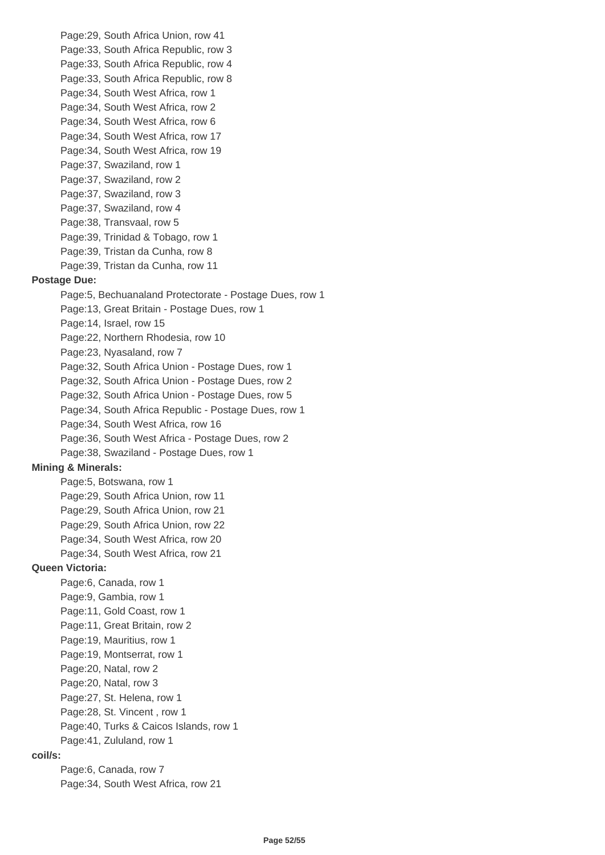Page:29, South Africa Union, row 41 Page:33, South Africa Republic, row 3 Page:33, South Africa Republic, row 4 Page:33, South Africa Republic, row 8 Page:34, South West Africa, row 1 Page:34, South West Africa, row 2 Page:34, South West Africa, row 6 Page:34, South West Africa, row 17 Page:34, South West Africa, row 19 Page:37, Swaziland, row 1 Page:37, Swaziland, row 2 Page:37, Swaziland, row 3 Page:37, Swaziland, row 4 Page:38, Transvaal, row 5 Page:39, Trinidad & Tobago, row 1 Page:39, Tristan da Cunha, row 8 Page:39, Tristan da Cunha, row 11 **Postage Due:** Page:5, Bechuanaland Protectorate - Postage Dues, row 1 Page:13, Great Britain - Postage Dues, row 1 Page:14, Israel, row 15 Page:22, Northern Rhodesia, row 10 Page:23, Nyasaland, row 7 Page:32, South Africa Union - Postage Dues, row 1 Page:32, South Africa Union - Postage Dues, row 2 Page:32, South Africa Union - Postage Dues, row 5 Page:34, South Africa Republic - Postage Dues, row 1 Page:34, South West Africa, row 16 Page:36, South West Africa - Postage Dues, row 2 Page:38, Swaziland - Postage Dues, row 1 **Mining & Minerals:** Page:5, Botswana, row 1 Page:29, South Africa Union, row 11 Page:29, South Africa Union, row 21 Page:29, South Africa Union, row 22 Page:34, South West Africa, row 20 Page:34, South West Africa, row 21 **Queen Victoria:** Page:6, Canada, row 1 Page:9, Gambia, row 1 Page:11, Gold Coast, row 1 Page:11, Great Britain, row 2 Page:19, Mauritius, row 1 Page:19, Montserrat, row 1 Page:20, Natal, row 2 Page:20, Natal, row 3 Page:27, St. Helena, row 1 Page:28, St. Vincent , row 1 Page:40, Turks & Caicos Islands, row 1 Page:41, Zululand, row 1 **coil/s:** Page:6, Canada, row 7 Page:34, South West Africa, row 21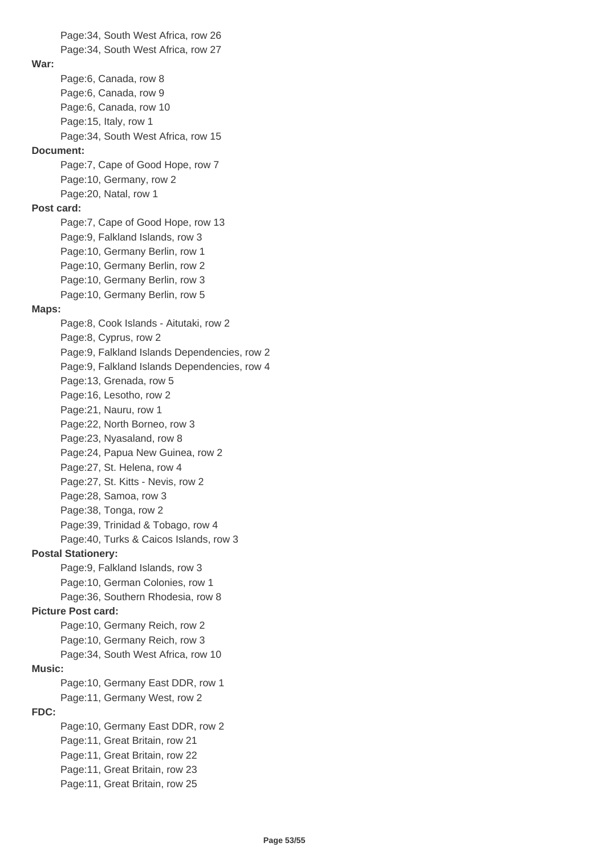Page:34, South West Africa, row 26 Page:34, South West Africa, row 27 **War:** Page:6, Canada, row 8 Page:6, Canada, row 9 Page:6, Canada, row 10 Page:15, Italy, row 1 Page:34, South West Africa, row 15 **Document:** Page:7, Cape of Good Hope, row 7 Page:10, Germany, row 2 Page:20, Natal, row 1 **Post card:** Page:7, Cape of Good Hope, row 13 Page:9, Falkland Islands, row 3 Page:10, Germany Berlin, row 1 Page:10, Germany Berlin, row 2 Page:10, Germany Berlin, row 3 Page:10, Germany Berlin, row 5 **Maps:** Page:8, Cook Islands - Aitutaki, row 2 Page:8, Cyprus, row 2 Page:9, Falkland Islands Dependencies, row 2 Page:9, Falkland Islands Dependencies, row 4 Page:13, Grenada, row 5 Page:16, Lesotho, row 2 Page:21, Nauru, row 1 Page:22, North Borneo, row 3 Page:23, Nyasaland, row 8 Page:24, Papua New Guinea, row 2 Page:27, St. Helena, row 4 Page:27, St. Kitts - Nevis, row 2 Page:28, Samoa, row 3 Page:38, Tonga, row 2 Page:39, Trinidad & Tobago, row 4 Page:40, Turks & Caicos Islands, row 3 **Postal Stationery:** Page:9, Falkland Islands, row 3 Page:10, German Colonies, row 1 Page:36, Southern Rhodesia, row 8 **Picture Post card:** Page:10, Germany Reich, row 2 Page:10, Germany Reich, row 3 Page:34, South West Africa, row 10 **Music:** Page:10, Germany East DDR, row 1 Page:11, Germany West, row 2 **FDC:** Page:10, Germany East DDR, row 2 Page:11, Great Britain, row 21 Page:11, Great Britain, row 22 Page:11, Great Britain, row 23 Page:11, Great Britain, row 25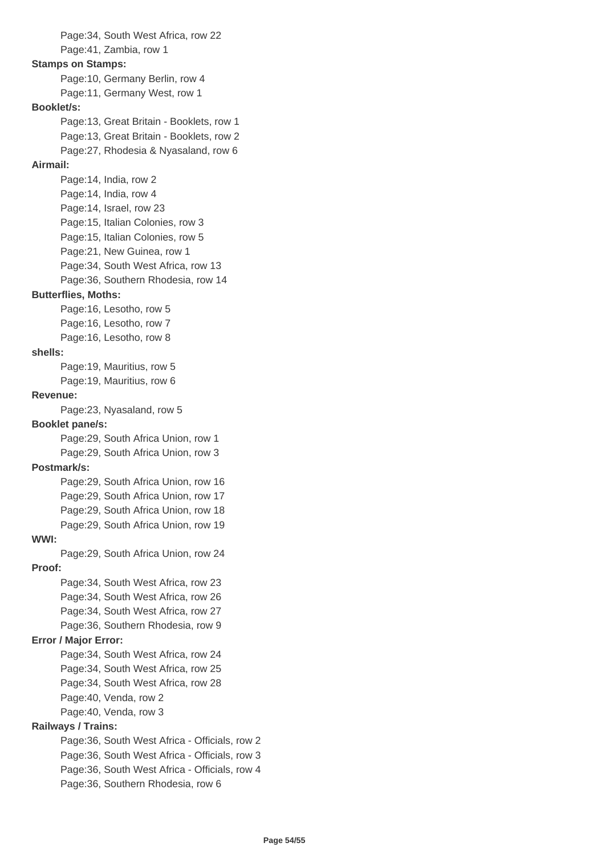Page:34, South West Africa, row 22 Page:41, Zambia, row 1 **Stamps on Stamps:** Page:10, Germany Berlin, row 4 Page:11, Germany West, row 1 **Booklet/s:** Page:13, Great Britain - Booklets, row 1 Page:13, Great Britain - Booklets, row 2 Page:27, Rhodesia & Nyasaland, row 6 **Airmail:** Page:14, India, row 2 Page:14, India, row 4 Page:14, Israel, row 23 Page:15, Italian Colonies, row 3 Page:15, Italian Colonies, row 5 Page:21, New Guinea, row 1 Page:34, South West Africa, row 13 Page:36, Southern Rhodesia, row 14 **Butterflies, Moths:** Page:16, Lesotho, row 5 Page:16, Lesotho, row 7 Page:16, Lesotho, row 8 **shells:** Page:19, Mauritius, row 5 Page:19, Mauritius, row 6 **Revenue:** Page:23, Nyasaland, row 5 **Booklet pane/s:** Page:29, South Africa Union, row 1 Page:29, South Africa Union, row 3 **Postmark/s:** Page:29, South Africa Union, row 16 Page:29, South Africa Union, row 17 Page:29, South Africa Union, row 18 Page:29, South Africa Union, row 19 **WWI:** Page:29, South Africa Union, row 24 **Proof:** Page:34, South West Africa, row 23 Page:34, South West Africa, row 26 Page:34, South West Africa, row 27 Page:36, Southern Rhodesia, row 9 **Error / Major Error:** Page:34, South West Africa, row 24 Page:34, South West Africa, row 25 Page:34, South West Africa, row 28 Page:40, Venda, row 2 Page:40, Venda, row 3 **Railways / Trains:** Page:36, South West Africa - Officials, row 2 Page:36, South West Africa - Officials, row 3 Page:36, South West Africa - Officials, row 4 Page:36, Southern Rhodesia, row 6